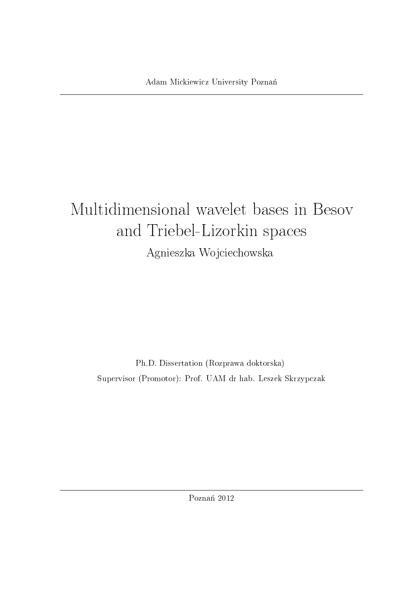# Multidimensional wavelet bases in Besov and Triebel-Lizorkin spaces Agnieszka Wojciechowska

Ph.D. Dissertation (Rozprawa doktorska) Supervisor (Promotor): Prof. UAM dr hab. Leszek Skrzypczak

Poznań 2012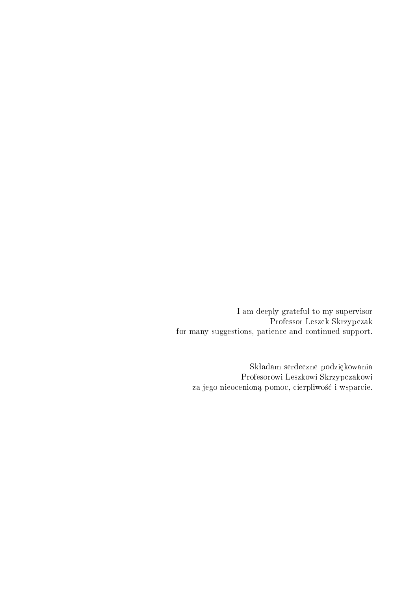I am deeply grateful to my supervisor Professor Leszek Skrzypczak for many suggestions, patience and continued support.

Składam serdeczne podziękowania Profesorowi Leszkowi Skrzypczakowi za jego nieocenioną pomoc, cierpliwość i wsparcie.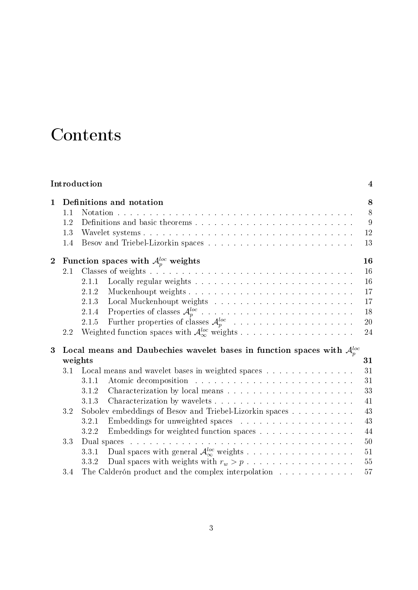## Contents

| Introduction   |                                                    |                          |                                                                              |  |  |  |  |  |    | $\overline{\mathbf{4}}$ |    |        |
|----------------|----------------------------------------------------|--------------------------|------------------------------------------------------------------------------|--|--|--|--|--|----|-------------------------|----|--------|
| $\mathbf{1}$   |                                                    | Definitions and notation |                                                                              |  |  |  |  |  |    |                         |    |        |
|                | 1.1                                                |                          | Notation                                                                     |  |  |  |  |  |    |                         |    | 8      |
|                | 1.2                                                |                          |                                                                              |  |  |  |  |  |    |                         |    | 9      |
|                | 1.3                                                |                          |                                                                              |  |  |  |  |  |    |                         |    | 12     |
|                | 1.4                                                |                          |                                                                              |  |  |  |  |  |    |                         |    | 13     |
| $\overline{2}$ | Function spaces with $\mathcal{A}_p^{loc}$ weights |                          |                                                                              |  |  |  |  |  |    |                         | 16 |        |
|                | 2.1                                                |                          |                                                                              |  |  |  |  |  |    |                         |    | 16     |
|                |                                                    | 2.1.1                    |                                                                              |  |  |  |  |  |    |                         |    | 16     |
|                |                                                    | 2.1.2                    |                                                                              |  |  |  |  |  |    |                         |    | 17     |
|                |                                                    | 2.1.3                    |                                                                              |  |  |  |  |  |    |                         |    | 17     |
|                |                                                    | 2.1.4                    |                                                                              |  |  |  |  |  |    |                         |    | 18     |
|                |                                                    | 2.1.5                    | Further properties of classes $\mathcal{A}_{p}^{loc}$                        |  |  |  |  |  |    |                         |    | 20     |
|                | 2.2                                                |                          |                                                                              |  |  |  |  |  |    |                         |    | 24     |
| 3              |                                                    |                          | Local means and Daubechies wavelet bases in function spaces with $A_n^{loc}$ |  |  |  |  |  |    |                         |    |        |
|                | weights                                            |                          |                                                                              |  |  |  |  |  | 31 |                         |    |        |
|                |                                                    |                          | 3.1 Local means and wavelet bases in weighted spaces                         |  |  |  |  |  |    |                         |    | 31     |
|                |                                                    | 3.1.1                    |                                                                              |  |  |  |  |  |    |                         |    | 31     |
|                |                                                    | 3.1.2                    |                                                                              |  |  |  |  |  |    |                         |    | 33     |
|                |                                                    | 3.1.3                    |                                                                              |  |  |  |  |  |    |                         |    | 41     |
|                | 3.2                                                |                          | Sobolev embeddings of Besov and Triebel-Lizorkin spaces                      |  |  |  |  |  |    |                         |    | 43     |
|                |                                                    | 3.2.1                    |                                                                              |  |  |  |  |  |    |                         |    | 43     |
|                |                                                    | 3.2.2                    |                                                                              |  |  |  |  |  |    |                         |    | 44     |
|                | 3.3                                                |                          | Embeddings for weighted function spaces                                      |  |  |  |  |  |    |                         |    | 50     |
|                |                                                    |                          |                                                                              |  |  |  |  |  |    |                         |    |        |
|                |                                                    | 3.3.1                    | Dual spaces with general $\mathcal{A}_{\infty}^{loc}$ weights                |  |  |  |  |  |    |                         |    | 51     |
|                |                                                    | 3.3.2                    |                                                                              |  |  |  |  |  |    |                         |    | $55\,$ |
|                | 3.4                                                |                          | The Calderón product and the complex interpolation $\dots \dots \dots \dots$ |  |  |  |  |  |    |                         |    | 57     |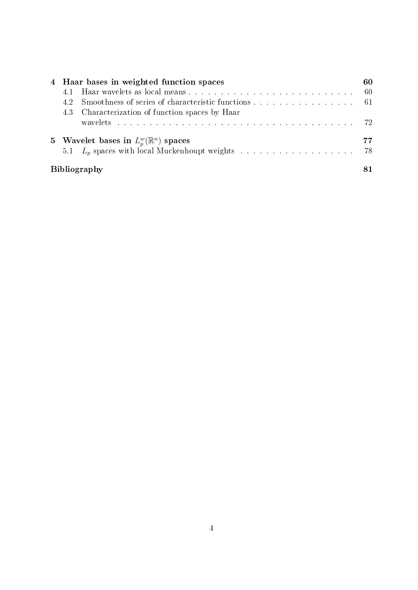| 4 Haar bases in weighted function spaces        |                                                     |  |  |  |  |  |  |
|-------------------------------------------------|-----------------------------------------------------|--|--|--|--|--|--|
| 4.1 Haar wavelets as local means                |                                                     |  |  |  |  |  |  |
| 42                                              | Smoothness of series of characteristic functions 61 |  |  |  |  |  |  |
|                                                 | 4.3 Characterization of function spaces by Haar     |  |  |  |  |  |  |
|                                                 |                                                     |  |  |  |  |  |  |
| 5 Wavelet bases in $L_p^w(\mathbb{R}^n)$ spaces |                                                     |  |  |  |  |  |  |
|                                                 |                                                     |  |  |  |  |  |  |
|                                                 | <b>Bibliography</b>                                 |  |  |  |  |  |  |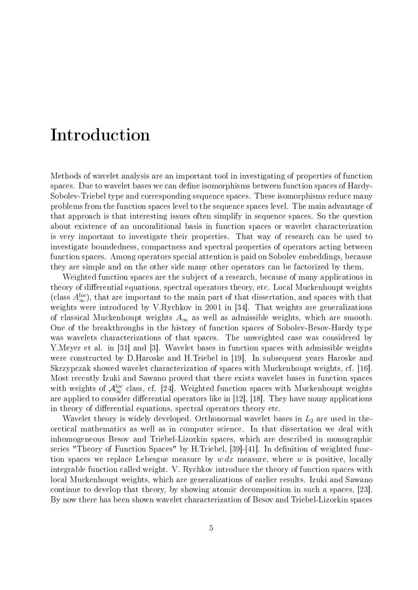### Introduction

Methods of wavelet analysis are an important tool in investigating of properties of function spaces. Due to wavelet bases we can define isomorphisms between function spaces of Hardy-Sobolev-Triebel type and corresponding sequence spaces. These isomorphisms reduce many problems from the function spaces level to the sequence spaces level. The main advantage of that approach is that interesting issues often simplify in sequence spaces. So the question about existence of an unconditional basis in function spaces or wavelet characterization is very important to investigate their properties. That way of research can be used to investigate boundedness, compactness and spectral properties of operators acting between function spaces. Among operators special attention is paid on Sobolev embeddings, because they are simple and on the other side many other operators can be factorized by them.

Weighted function spaces are the subject of a research, because of many applications in theory of differential equations, spectral operators theory, etc. Local Muckenhoupt weights (class  $A_{\infty}^{loc}$ ), that are important to the main part of that dissertation, and spaces with that weights were introduced by V.Rychkov in 2001 in [34]. That weights are generalizations of classical Muckenhoupt weights  $A_{\infty}$  as well as admissible weights, which are smooth. One of the breakthroughs in the history of function spaces of Sobolev-Besov-Hardy type was wavelets characterizations of that spaces. The unweighted case was considered by Y.Meyer et al. in [31] and [3]. Wavelet bases in function spaces with admissible weights were constructed by D.Haroske and H.Triebel in [19]. In subsequent years Haroske and Skrzypczak showed wavelet characterization of spaces with Muckenhoupt weights, cf. [16]. Most recently Izuki and Sawano proved that there exists wavelet bases in function spaces with weights of  $\mathcal{A}_{\infty}^{loc}$  class, cf. [24]. Weighted function spaces with Muckenhoupt weights are applied to consider differential operators like in  $[12]$ ,  $[18]$ . They have many applications in theory of differential equations, spectral operators theory etc.

Wavelet theory is widely developed. Orthonormal wavelet bases in  $L_2$  are used in theoretical mathematics as well as in computer science. In that dissertation we deal with inhomogeneous Besov and Triebel-Lizorkin spaces, which are described in monographic series "Theory of Function Spaces" by H.Triebel, [39]-[41]. In definition of weighted function spaces we replace Lebesgue measure by  $w dx$  measure, where w is positive, locally integrable function called weight. V. Rychkov introduce the theory of function spaces with local Muckenhoupt weights, which are generalizations of earlier results. Izuki and Sawano continue to develop that theory, by showing atomic decomposition in such a spaces, [23]. By now there has been shown wavelet characterization of Besov and Triebel-Lizorkin spaces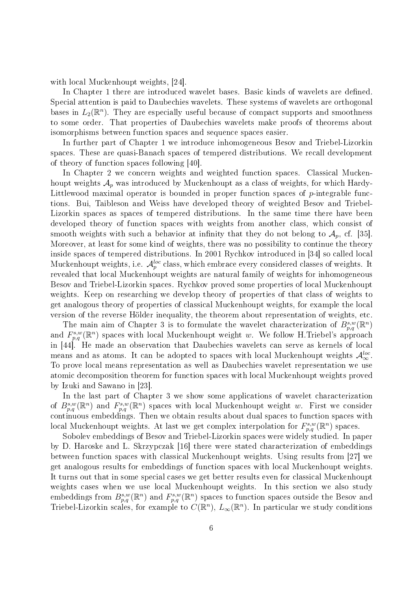with local Muckenhoupt weights, [24].

In Chapter 1 there are introduced wavelet bases. Basic kinds of wavelets are defined. Special attention is paid to Daubechies wavelets. These systems of wavelets are orthogonal bases in  $L_2(\mathbb{R}^n)$ . They are especially useful because of compact supports and smoothness to some order. That properties of Daubechies wavelets make proofs of theorems about isomorphisms between function spaces and sequence spaces easier.

In further part of Chapter 1 we introduce inhomogeneous Besov and Triebel-Lizorkin spaces. These are quasi-Banach spaces of tempered distributions. We recall development of theory of function spaces following [40].

In Chapter 2 we concern weights and weighted function spaces. Classical Muckenhoupt weights  $\mathcal{A}_p$  was introduced by Muckenhoupt as a class of weights, for which Hardy-Littlewood maximal operator is bounded in proper function spaces of  $p$ -integrable functions. Bui, Taibleson and Weiss have developed theory of weighted Besov and Triebel-Lizorkin spaces as spaces of tempered distributions. In the same time there have been developed theory of function spaces with weights from another class, which consist of smooth weights with such a behavior at infinity that they do not belong to  $\mathcal{A}_p$ , cf. [35]. Moreover, at least for some kind of weights, there was no possibility to continue the theory inside spaces of tempered distributions. In 2001 Rychkov introduced in [34] so called local Muckenhoupt weights, i.e.  $\mathcal{A}_p^{loc}$  class, which embrace every considered classes of weights. It revealed that local Muckenhoupt weights are natural family of weights for inhomogeneous Besov and Triebel-Lizorkin spaces. Rychkov proved some properties of local Muckenhoupt weights. Keep on researching we develop theory of properties of that class of weights to get analogous theory of properties of classical Muckenhoupt weights, for example the local version of the reverse Hölder inequality, the theorem about representation of weights, etc.

The main aim of Chapter 3 is to formulate the wavelet characterization of  $B_{p,q}^{s,w}(\mathbb{R}^n)$ and  $F_{p,q}^{s,w}(\mathbb{R}^n)$  spaces with local Muckenhoupt weight w. We follow H.Triebel's approach in [44]. He made an observation that Daubechies wavelets can serve as kernels of local means and as atoms. It can be adopted to spaces with local Muckenhoupt weights  $\mathcal{A}^{loc}_{\infty}$ . To prove local means representation as well as Daubechies wavelet representation we use atomic decomposition theorem for function spaces with local Muckenhoupt weights proved by Izuki and Sawano in [23].

In the last part of Chapter 3 we show some applications of wavelet characterization of  $B^{s,w}_{p,q}(\mathbb{R}^n)$  and  $F^{s,w}_{p,q}(\mathbb{R}^n)$  spaces with local Muckenhoupt weight w. First we consider continuous embeddings. Then we obtain results about dual spaces to function spaces with local Muckenhoupt weights. At last we get complex interpolation for  $F_{p,q}^{s,w}(\mathbb{R}^n)$  spaces.

Sobolev embeddings of Besov and Triebel-Lizorkin spaces were widely studied. In paper by D. Haroske and L. Skrzypczak [16] there were stated characterization of embeddings between function spaces with classical Muckenhoupt weights. Using results from [27] we get analogous results for embeddings of function spaces with local Muckenhoupt weights. It turns out that in some special cases we get better results even for classical Muckenhoupt weights cases when we use local Muckenhoupt weights. In this section we also study embeddings from  $B_{p,q}^{s,w}(\mathbb{R}^n)$  and  $F_{p,q}^{s,w}(\mathbb{R}^n)$  spaces to function spaces outside the Besov and Triebel-Lizorkin scales, for example to  $C(\mathbb{R}^n)$ ,  $L_\infty(\mathbb{R}^n)$ . In particular we study conditions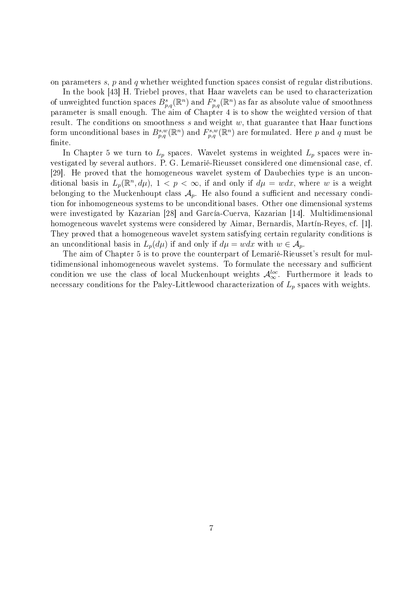on parameters s, p and q whether weighted function spaces consist of regular distributions.

In the book [43] H. Triebel proves, that Haar wavelets can be used to characterization of unweighted function spaces  $B_{p,q}^s(\mathbb{R}^n)$  and  $F_{p,q}^s(\mathbb{R}^n)$  as far as absolute value of smoothness parameter is small enough. The aim of Chapter 4 is to show the weighted version of that result. The conditions on smoothness  $s$  and weight  $w$ , that guarantee that Haar functions form unconditional bases in  $B_{p,q}^{s,w}(\mathbb{R}^n)$  and  $F_{p,q}^{s,w}(\mathbb{R}^n)$  are formulated. Here p and q must be finite.

In Chapter 5 we turn to  $L_p$  spaces. Wavelet systems in weighted  $L_p$  spaces were investigated by several authors. P. G. Lemarié-Rieusset considered one dimensional case, cf. [29]. He proved that the homogeneous wavelet system of Daubechies type is an unconditional basis in  $L_p(\mathbb{R}^n, d\mu)$ ,  $1 < p < \infty$ , if and only if  $d\mu = wdx$ , where w is a weight belonging to the Muckenhoupt class  $A_p$ . He also found a sufficient and necessary condition for inhomogeneous systems to be unconditional bases. Other one dimensional systems were investigated by Kazarian [28] and García-Cuerva, Kazarian [14]. Multidimensional homogeneous wavelet systems were considered by Aimar, Bernardis, Martín-Reyes, cf. [1]. They proved that a homogeneous wavelet system satisfying certain regularity conditions is an unconditional basis in  $L_p(d\mu)$  if and only if  $d\mu = wdx$  with  $w \in A_p$ .

The aim of Chapter 5 is to prove the counterpart of Lemarié-Rieusset's result for multidimensional inhomogeneous wavelet systems. To formulate the necessary and sufficient condition we use the class of local Muckenhoupt weights  $\mathcal{A}^{loc}_{\infty}$ . Furthermore it leads to necessary conditions for the Paley-Littlewood characterization of  $L_p$  spaces with weights.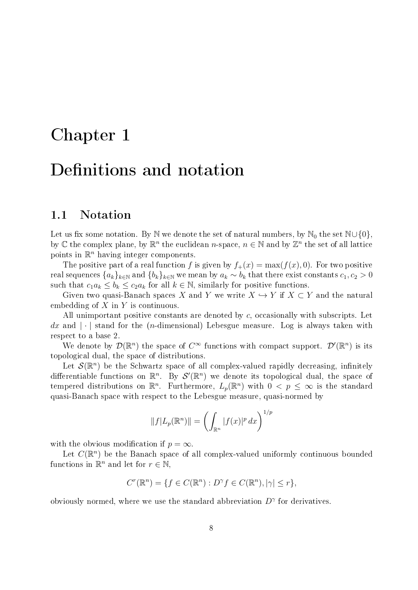# Chapter 1 Definitions and notation

#### 1.1 Notation

Let us fix some notation. By N we denote the set of natural numbers, by N<sub>0</sub> the set N∪{0}, by  $\mathbb C$  the complex plane, by  $\mathbb R^n$  the euclidean n-space,  $n \in \mathbb N$  and by  $\mathbb Z^n$  the set of all lattice points in  $\mathbb{R}^n$  having integer components.

The positive part of a real function f is given by  $f_+(x) = \max(f(x), 0)$ . For two positive real sequences  $\{a_k\}_{k\in\mathbb{N}}$  and  $\{b_k\}_{k\in\mathbb{N}}$  we mean by  $a_k \sim b_k$  that there exist constants  $c_1, c_2 > 0$ such that  $c_1a_k \leq b_k \leq c_2a_k$  for all  $k \in \mathbb{N}$ , similarly for positive functions.

Given two quasi-Banach spaces X and Y we write  $X \hookrightarrow Y$  if  $X \subset Y$  and the natural embedding of  $X$  in  $Y$  is continuous.

All unimportant positive constants are denoted by c, occasionally with subscripts. Let dx and  $\lfloor \cdot \rfloor$  stand for the (*n*-dimensional) Lebesgue measure. Log is always taken with respect to a base 2.

We denote by  $\mathcal{D}(\mathbb{R}^n)$  the space of  $C^{\infty}$  functions with compact support.  $\mathcal{D}'(\mathbb{R}^n)$  is its topological dual, the space of distributions.

Let  $\mathcal{S}(\mathbb{R}^n)$  be the Schwartz space of all complex-valued rapidly decreasing, infinitely differentiable functions on  $\mathbb{R}^n$ . By  $\mathcal{S}'(\mathbb{R}^n)$  we denote its topological dual, the space of tempered distributions on  $\mathbb{R}^n$ . Furthermore,  $L_p(\mathbb{R}^n)$  with  $0 < p \leq \infty$  is the standard quasi-Banach space with respect to the Lebesgue measure, quasi-normed by

$$
||f|L_p(\mathbb{R}^n)|| = \left(\int_{\mathbb{R}^n} |f(x)|^p dx\right)^{1/p}
$$

with the obvious modification if  $p = \infty$ .

Let  $C(\mathbb{R}^n)$  be the Banach space of all complex-valued uniformly continuous bounded functions in  $\mathbb{R}^n$  and let for  $r \in \mathbb{N}$ ,

$$
C^r(\mathbb{R}^n) = \{ f \in C(\mathbb{R}^n) : D^{\gamma} f \in C(\mathbb{R}^n), |\gamma| \le r \},\
$$

obviously normed, where we use the standard abbreviation  $D^{\gamma}$  for derivatives.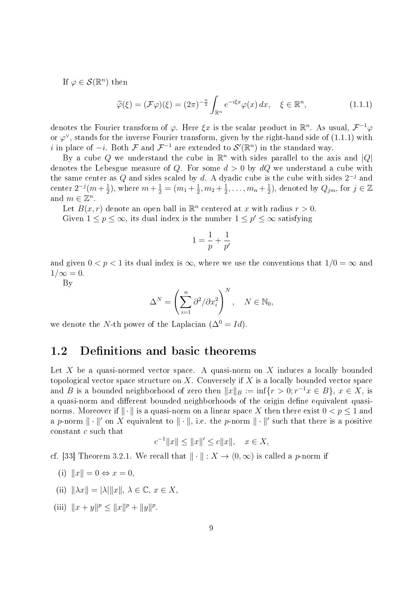If  $\varphi \in \mathcal{S}(\mathbb{R}^n)$  then

$$
\widehat{\varphi}(\xi) = (\mathcal{F}\varphi)(\xi) = (2\pi)^{-\frac{n}{2}} \int_{\mathbb{R}^n} e^{-i\xi x} \varphi(x) dx, \quad \xi \in \mathbb{R}^n,
$$
\n(1.1.1)

denotes the Fourier transform of  $\varphi$ . Here  $\xi x$  is the scalar product in  $\mathbb{R}^n$ . As usual,  $\mathcal{F}^{-1}\varphi$ or  $\varphi^{\vee}$ , stands for the inverse Fourier transform, given by the right-hand side of (1.1.1) with i in place of  $-i$ . Both F and  $\mathcal{F}^{-1}$  are extended to  $\mathcal{S}'(\mathbb{R}^n)$  in the standard way.

By a cube Q we understand the cube in  $\mathbb{R}^n$  with sides parallel to the axis and  $|Q|$ denotes the Lebesgue measure of Q. For some  $d > 0$  by  $dQ$  we understand a cube with the same center as Q and sides scaled by d. A dyadic cube is the cube with sides  $2^{-j}$  and center  $2^{-j}(m+\frac{1}{2})$  $(\frac{1}{2})$ , where  $m + \frac{1}{2} = (m_1 + \frac{1}{2})$  $\frac{1}{2}, m_2 + \frac{1}{2}$  $\frac{1}{2}, \ldots, m_n + \frac{1}{2}$  $(\frac{1}{2})$ , denoted by  $Q_{jm}$ , for  $j \in \mathbb{Z}$ and  $m \in \mathbb{Z}^n$ .

Let  $B(x, r)$  denote an open ball in  $\mathbb{R}^n$  centered at x with radius  $r > 0$ .

Given  $1 \leq p \leq \infty$ , its dual index is the number  $1 \leq p' \leq \infty$  satisfying

$$
1 = \frac{1}{p} + \frac{1}{p'}
$$

and given  $0 < p < 1$  its dual index is  $\infty$ , where we use the conventions that  $1/0 = \infty$  and  $1/\infty = 0$ .

By

$$
\Delta^N = \left(\sum_{i=1}^n \partial^2/\partial x_i^2\right)^N, \quad N \in \mathbb{N}_0,
$$

we denote the N-th power of the Laplacian  $(\Delta^{0} = Id)$ .

#### 1.2 Definitions and basic theorems

Let  $X$  be a quasi-normed vector space. A quasi-norm on  $X$  induces a locally bounded topological vector space structure on X. Conversely if X is a locally bounded vector space and B is a bounded neighborhood of zero then  $||x||_B := \inf\{r > 0; r^{-1}x \in B\}, x \in X$ , is a quasi-norm and different bounded neighborhoods of the origin define equivalent quasinorms. Moreover if  $\|\cdot\|$  is a quasi-norm on a linear space X then there exist  $0 < p \leq 1$  and a p-norm  $\|\cdot\|'$  on X equivalent to  $\|\cdot\|$ , i.e. the p-norm  $\|\cdot\|'$  such that there is a positive constant c such that

$$
c^{-1}||x|| \le ||x||' \le c||x||, \quad x \in X,
$$

cf. [33] Theorem 3.2.1. We recall that  $\|\cdot\| : X \to (0, \infty)$  is called a p-norm if

- (i)  $||x|| = 0 \Leftrightarrow x = 0$ .
- (ii)  $\|\lambda x\| = |\lambda| \|x\|, \lambda \in \mathbb{C}, x \in X,$
- (iii)  $||x + y||^p \le ||x||^p + ||y||^p$ .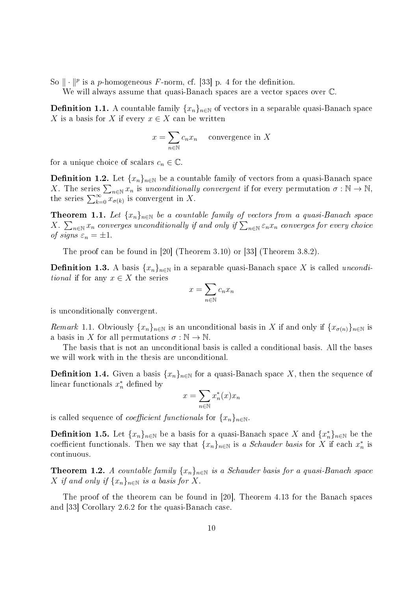So  $\|\cdot\|^p$  is a p-homogeneous F-norm, cf. [33] p. 4 for the definition.

We will always assume that quasi-Banach spaces are a vector spaces over  $\mathbb{C}$ .

**Definition 1.1.** A countable family  $\{x_n\}_{n\in\mathbb{N}}$  of vectors in a separable quasi-Banach space X is a basis for X if every  $x \in X$  can be written

$$
x = \sum_{n \in \mathbb{N}} c_n x_n \quad \text{convergence in } X
$$

for a unique choice of scalars  $c_n \in \mathbb{C}$ .

**Definition 1.2.** Let  $\{x_n\}_{n\in\mathbb{N}}$  be a countable family of vectors from a quasi-Banach space X. The series  $\sum_{n\in\mathbb{N}}x_n$  is unconditionally convergent if for every permutation  $\sigma:\mathbb{N}\to\mathbb{N}$ , the series  $\sum_{k=0}^{\infty} \overline{x_{\sigma(k)}}$  is convergent in X.

**Theorem 1.1.** Let  $\{x_n\}_{n\in\mathbb{N}}$  be a countable family of vectors from a quasi-Banach space X.  $\sum_{n\in\mathbb{N}}x_n$  converges unconditionally if and only if  $\sum_{n\in\mathbb{N}}\varepsilon_nx_n$  converges for every choice of signs  $\varepsilon_n = \pm 1$ .

The proof can be found in [20] (Theorem 3.10) or [33] (Theorem 3.8.2).

**Definition 1.3.** A basis  $\{x_n\}_{n\in\mathbb{N}}$  in a separable quasi-Banach space X is called uncondi*tional* if for any  $x \in X$  the series

$$
x = \sum_{n \in \mathbb{N}} c_n x_n
$$

is unconditionally convergent.

Remark 1.1. Obviously  $\{x_n\}_{n\in\mathbb{N}}$  is an unconditional basis in X if and only if  $\{x_{\sigma(n)}\}_{n\in\mathbb{N}}$  is a basis in X for all permutations  $\sigma : \mathbb{N} \to \mathbb{N}$ .

The basis that is not an unconditional basis is called a conditional basis. All the bases we will work with in the thesis are unconditional.

**Definition 1.4.** Given a basis  $\{x_n\}_{n\in\mathbb{N}}$  for a quasi-Banach space X, then the sequence of linear functionals  $x_n^*$  defined by

$$
x = \sum_{n \in \mathbb{N}} x_n^*(x) x_n
$$

is called sequence of *coefficient functionals* for  $\{x_n\}_{n\in\mathbb{N}}$ .

**Definition 1.5.** Let  $\{x_n\}_{n\in\mathbb{N}}$  be a basis for a quasi-Banach space X and  $\{x_n^*\}_{n\in\mathbb{N}}$  be the coefficient functionals. Then we say that  $\{x_n\}_{n\in\mathbb{N}}$  is a Schauder basis for X if each  $x_n^*$  is continuous.

**Theorem 1.2.** A countable family  $\{x_n\}_{n\in\mathbb{N}}$  is a Schauder basis for a quasi-Banach space X if and only if  $\{x_n\}_{n\in\mathbb{N}}$  is a basis for X.

The proof of the theorem can be found in [20], Theorem 4.13 for the Banach spaces and [33] Corollary 2.6.2 for the quasi-Banach case.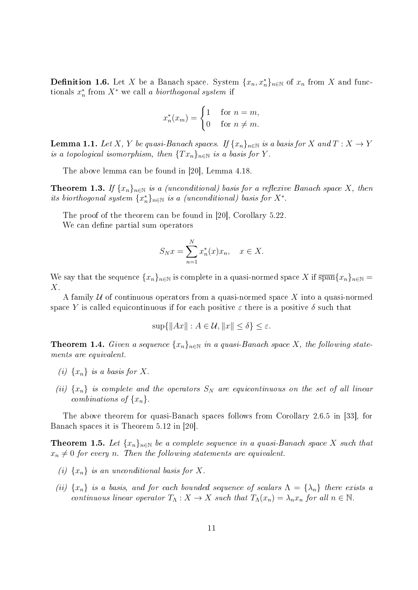**Definition 1.6.** Let X be a Banach space. System  $\{x_n, x_n^*\}_{n\in\mathbb{N}}$  of  $x_n$  from X and functionals  $x_n^*$  from  $X^*$  we call a biorthogonal system if

$$
x_n^*(x_m) = \begin{cases} 1 & \text{for } n = m, \\ 0 & \text{for } n \neq m. \end{cases}
$$

**Lemma 1.1.** Let X, Y be quasi-Banach spaces. If  $\{x_n\}_{n\in\mathbb{N}}$  is a basis for X and  $T: X \to Y$ is a topological isomorphism, then  ${Tx_n}_{n\in\mathbb{N}}$  is a basis for Y.

The above lemma can be found in [20], Lemma 4.18.

**Theorem 1.3.** If  $\{x_n\}_{n\in\mathbb{N}}$  is a (unconditional) basis for a reflexive Banach space X, then its biorthogonal system  $\{x_n^*\}_{n\in\mathbb{N}}$  is a (unconditional) basis for  $X^*$ .

The proof of the theorem can be found in [20], Corollary 5.22.

We can define partial sum operators

$$
S_N x = \sum_{n=1}^N x_n^*(x) x_n, \quad x \in X.
$$

We say that the sequence  $\{x_n\}_{n\in\mathbb{N}}$  is complete in a quasi-normed space X if  $\overline{\text{span}}\{x_n\}_{n\in\mathbb{N}}$ X.

A family  $U$  of continuous operators from a quasi-normed space X into a quasi-normed space Y is called equicontinuous if for each positive  $\varepsilon$  there is a positive  $\delta$  such that

$$
\sup\{\|Ax\| : A \in \mathcal{U}, \|x\| \le \delta\} \le \varepsilon.
$$

**Theorem 1.4.** Given a sequence  $\{x_n\}_{n\in\mathbb{N}}$  in a quasi-Banach space X, the following statements are equivalent.

- (i)  $\{x_n\}$  is a basis for X.
- (ii)  $\{x_n\}$  is complete and the operators  $S_N$  are equicontinuous on the set of all linear combinations of  $\{x_n\}$ .

The above theorem for quasi-Banach spaces follows from Corollary 2.6.5 in [33], for Banach spaces it is Theorem 5.12 in [20].

**Theorem 1.5.** Let  $\{x_n\}_{n\in\mathbb{N}}$  be a complete sequence in a quasi-Banach space X such that  $x_n \neq 0$  for every n. Then the following statements are equivalent.

- (i)  $\{x_n\}$  is an unconditional basis for X.
- (ii)  $\{x_n\}$  is a basis, and for each bounded sequence of scalars  $\Lambda = \{\lambda_n\}$  there exists a continuous linear operator  $T_\Lambda: X \to X$  such that  $T_\Lambda(x_n) = \lambda_n x_n$  for all  $n \in \mathbb{N}$ .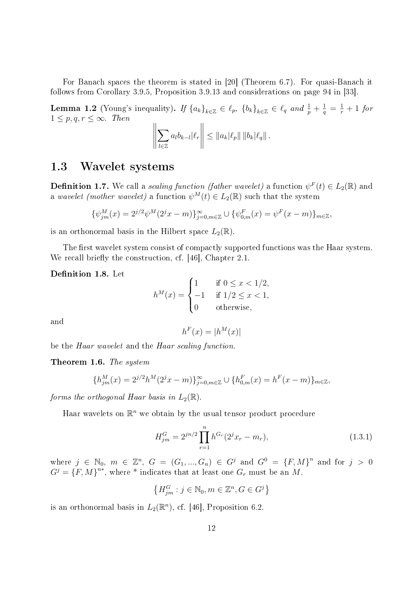For Banach spaces the theorem is stated in [20] (Theorem 6.7). For quasi-Banach it follows from Corollary 3.9.5, Proposition 3.9.13 and considerations on page 94 in [33].

**Lemma 1.2** (Young's inequality). If  ${a_k}_{k \in \mathbb{Z}} \in \ell_p$ ,  ${b_k}_{k \in \mathbb{Z}} \in \ell_q$  and  $\frac{1}{p} + \frac{1}{q} = \frac{1}{r} + 1$  for  $1 \leq p, q, r \leq \infty$ . Then  $\parallel$  $\mathbb{H}$  $\lVert$ 

$$
\left\|\sum_{l\in\mathbb{Z}}a_{l}b_{k-l}|\ell_{r}\right\|\leq\|a_{k}|\ell_{p}\|\,\|b_{k}|\ell_{q}\|.
$$

#### 1.3 Wavelet systems

**Definition 1.7.** We call a *scaling function (father wavelet)* a function  $\psi^F(t) \in L_2(\mathbb{R})$  and a wavelet (mother wavelet) a function  $\psi^M(t) \in L_2(\mathbb{R})$  such that the system

$$
\{\psi_{jm}^M(x) = 2^{j/2}\psi^M(2^jx - m)\}_{j=0,m\in\mathbb{Z}}^{\infty} \cup \{\psi_{0,m}^F(x) = \psi^F(x - m)\}_{m\in\mathbb{Z}},
$$

is an orthonormal basis in the Hilbert space  $L_2(\mathbb{R})$ .

The first wavelet system consist of compactly supported functions was the Haar system. We recall briefly the construction, cf.  $[46]$ , Chapter 2.1.

Definition 1.8. Let

$$
h^M(x) = \begin{cases} 1 & \text{if } 0 \le x < 1/2, \\ -1 & \text{if } 1/2 \le x < 1, \\ 0 & \text{otherwise,} \end{cases}
$$

and

$$
h^F(x) = |h^M(x)|
$$

be the Haar wavelet and the Haar scaling function.

Theorem 1.6. The system

$$
\{h_{jm}^M(x) = 2^{j/2}h^M(2^jx - m)\}_{j=0,m \in \mathbb{Z}}^{\infty} \cup \{h_{0,m}^F(x) = h^F(x - m)\}_{m \in \mathbb{Z}},
$$

forms the orthogonal Haar basis in  $L_2(\mathbb{R})$ .

Haar wavelets on  $\mathbb{R}^n$  we obtain by the usual tensor product procedure

$$
H_{jm}^{G} = 2^{jn/2} \prod_{r=1}^{n} h^{G_r} (2^j x_r - m_r),
$$
\n(1.3.1)

where  $j \in \mathbb{N}_0$ ,  $m \in \mathbb{Z}^n$ ,  $G = (G_1, ..., G_n) \in G^j$  and  $G^0 = \{F, M\}^n$  and for  $j > 0$  $G^{j} = \{F, M\}^{n*}$ , where \* indicates that at least one  $G_{r}$  must be an M.

$$
\left\{H_{jm}^G:j\in\mathbb{N}_0,m\in\mathbb{Z}^n,G\in G^j\right\}
$$

is an orthonormal basis in  $L_2(\mathbb{R}^n)$ , cf. [46], Proposition 6.2.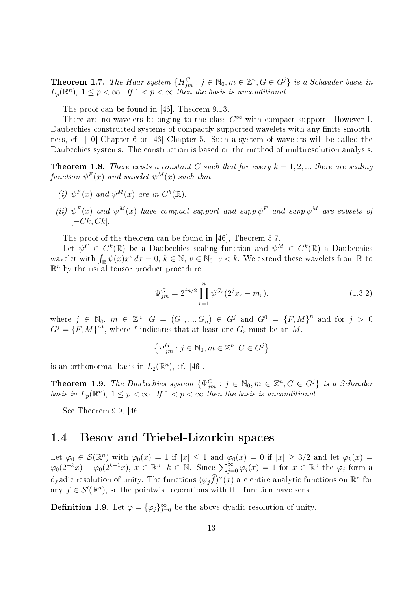**Theorem 1.7.** The Haar system  ${H}_{jm}^G : j \in \mathbb{N}_0, m \in \mathbb{Z}^n, G \in G^j$  is a Schauder basis in  $L_p(\mathbb{R}^n)$ ,  $1 \leq p < \infty$ . If  $1 < p < \infty$  then the basis is unconditional.

The proof can be found in [46], Theorem 9.13.

There are no wavelets belonging to the class  $C^{\infty}$  with compact support. However I. Daubechies constructed systems of compactly supported wavelets with any finite smoothness, cf. [10] Chapter 6 or [46] Chapter 5. Such a system of wavelets will be called the Daubechies systems. The construction is based on the method of multiresolution analysis.

**Theorem 1.8.** There exists a constant C such that for every  $k = 1, 2, ...$  there are scaling  $function \; \psi^F(x) \; \textit{and wavelet} \; \psi^M(x) \; \textit{such that}$ 

- (i)  $\psi^F(x)$  and  $\psi^M(x)$  are in  $C^k(\mathbb{R})$ .
- (ii)  $\psi^F(x)$  and  $\psi^M(x)$  have compact support and supp  $\psi^F$  and supp  $\psi^M$  are subsets of  $[-Ck, Ck]$ .

The proof of the theorem can be found in [46], Theorem 5.7.

Let  $\psi^F \in C^k(\mathbb{R})$  be a Daubechies scaling function and  $\psi^M \in C^k(\mathbb{R})$  a Daubechies wavelet with  $\int_{\mathbb{R}} \psi(x) x^v dx = 0, k \in \mathbb{N}, v \in \mathbb{N}_0, v < k$ . We extend these wavelets from  $\mathbb{R}$  to  $\mathbb{R}^n$  by the usual tensor product procedure

$$
\Psi_{jm}^{G} = 2^{jn/2} \prod_{r=1}^{n} \psi^{G_r} (2^j x_r - m_r), \qquad (1.3.2)
$$

where  $j \in \mathbb{N}_0$ ,  $m \in \mathbb{Z}^n$ ,  $G = (G_1, ..., G_n) \in G^j$  and  $G^0 = \{F, M\}^n$  and for  $j > 0$  $G^{j} = \{F, M\}^{n*}$ , where \* indicates that at least one  $G_{r}$  must be an M.

$$
\left\{\Psi_{jm}^G:j\in\mathbb{N}_0,m\in\mathbb{Z}^n,G\in G^j\right\}
$$

is an orthonormal basis in  $L_2(\mathbb{R}^n)$ , cf. [46].

**Theorem 1.9.** The Daubechies system  $\{\Psi_{jm}^G : j \in \mathbb{N}_0, m \in \mathbb{Z}^n, G \in G^j\}$  is a Schauder basis in  $L_p(\mathbb{R}^n)$ ,  $1 \leq p < \infty$ . If  $1 < p < \infty$  then the basis is unconditional.

See Theorem 9.9, [46].

#### 1.4 Besov and Triebel-Lizorkin spaces

Let  $\varphi_0 \in \mathcal{S}(\mathbb{R}^n)$  with  $\varphi_0(x) = 1$  if  $|x| \leq 1$  and  $\varphi_0(x) = 0$  if  $|x| \geq 3/2$  and let  $\varphi_k(x) =$  $\varphi_0(2^{-k}x) - \varphi_0(2^{k+1}x), x \in \mathbb{R}^n, k \in \mathbb{N}$ . Since  $\sum_{j=0}^{\infty} \varphi_j(x) = 1$  for  $x \in \mathbb{R}^n$  the  $\varphi_j$  form a dyadic resolution of unity. The functions  $(\varphi_j \widehat{f})^{\vee}(x)$  are entire analytic functions on  $\mathbb{R}^n$  for any  $f \in \mathcal{S}'(\mathbb{R}^n)$ , so the pointwise operations with the function have sense.

**Definition 1.9.** Let  $\varphi = {\{\varphi_j\}}_{j=0}^{\infty}$  be the above dyadic resolution of unity.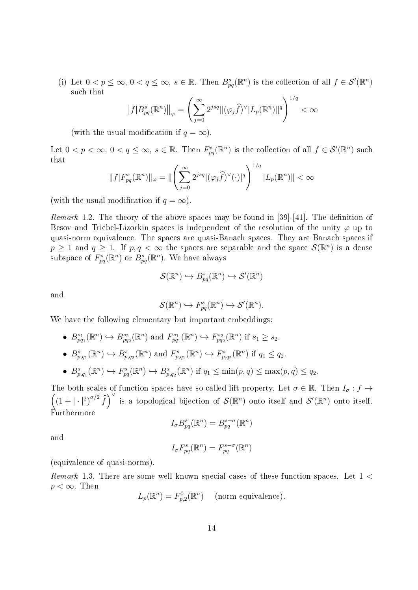(i) Let  $0 < p \leq \infty$ ,  $0 < q \leq \infty$ ,  $s \in \mathbb{R}$ . Then  $B_{pq}^s(\mathbb{R}^n)$  is the collection of all  $f \in \mathcal{S}'(\mathbb{R}^n)$ such that

$$
\left\|f|B_{pq}^s(\mathbb{R}^n)\right\|_{\varphi} = \left(\sum_{j=0}^{\infty} 2^{jsq} \|(\varphi_j \widehat{f})^{\vee}|L_p(\mathbb{R}^n)\|^q\right)^{1/q} < \infty
$$

(with the usual modification if  $q = \infty$ ).

Let  $0 < p < \infty$ ,  $0 < q \leq \infty$ ,  $s \in \mathbb{R}$ . Then  $F_{pq}^s(\mathbb{R}^n)$  is the collection of all  $f \in \mathcal{S}'(\mathbb{R}^n)$  such that

$$
||f|F_{pq}^{s}(\mathbb{R}^{n})||_{\varphi} = ||\left(\sum_{j=0}^{\infty} 2^{jsq} |(\varphi_{j}\widehat{f})^{\vee}(\cdot)|^{q}\right)^{1/q} |L_{p}(\mathbb{R}^{n})|| < \infty
$$

(with the usual modification if  $q = \infty$ ).

*Remark* 1.2. The theory of the above spaces may be found in  $[39]-[41]$ . The definition of Besov and Triebel-Lizorkin spaces is independent of the resolution of the unity  $\varphi$  up to quasi-norm equivalence. The spaces are quasi-Banach spaces. They are Banach spaces if  $p \geq 1$  and  $q \geq 1$ . If  $p, q < \infty$  the spaces are separable and the space  $\mathcal{S}(\mathbb{R}^n)$  is a dense subspace of  $F_{pq}^s(\mathbb{R}^n)$  or  $B_{pq}^s(\mathbb{R}^n)$ . We have always

$$
\mathcal{S}(\mathbb{R}^n) \hookrightarrow B_{pq}^s(\mathbb{R}^n) \hookrightarrow \mathcal{S}'(\mathbb{R}^n)
$$

and

$$
\mathcal{S}(\mathbb{R}^n) \hookrightarrow F_{pq}^s(\mathbb{R}^n) \hookrightarrow \mathcal{S}'(\mathbb{R}^n).
$$

We have the following elementary but important embeddings:

•  $B_{pq_1}^{s_1}(\mathbb{R}^n) \hookrightarrow B_{pq_2}^{s_2}(\mathbb{R}^n)$  and  $F_{pq_1}^{s_1}(\mathbb{R}^n) \hookrightarrow F_{pq_2}^{s_2}(\mathbb{R}^n)$  if  $s_1 \geq s_2$ .

• 
$$
B_{p,q_1}^s(\mathbb{R}^n) \hookrightarrow B_{p,q_2}^s(\mathbb{R}^n)
$$
 and  $F_{p,q_1}^s(\mathbb{R}^n) \hookrightarrow F_{p,q_2}^s(\mathbb{R}^n)$  if  $q_1 \leq q_2$ .

•  $B_{p,q_1}^s(\mathbb{R}^n) \hookrightarrow F_{pq}^s(\mathbb{R}^n) \hookrightarrow B_{p,q_2}^s(\mathbb{R}^n)$  if  $q_1 \leq \min(p,q) \leq \max(p,q) \leq q_2$ .

 $((1+|\cdot|^2)^{\sigma/2}\widehat{f})^{\vee}$  is a topological bijection of  $\mathcal{S}(\mathbb{R}^n)$  onto itself and  $\mathcal{S}'(\mathbb{R}^n)$  onto itself. The both scales of function spaces have so called lift property. Let  $\sigma \in \mathbb{R}$ . Then  $I_{\sigma}: f \mapsto$ Furthermore

$$
I_{\sigma} B_{pq}^{s}(\mathbb{R}^{n}) = B_{pq}^{s-\sigma}(\mathbb{R}^{n})
$$

and

$$
I_{\sigma} F_{pq}^{s}(\mathbb{R}^{n}) = F_{pq}^{s-\sigma}(\mathbb{R}^{n})
$$

(equivalence of quasi-norms).

Remark 1.3. There are some well known special cases of these function spaces. Let 1 <  $p < \infty$ . Then

$$
L_p(\mathbb{R}^n) = F_{p,2}^0(\mathbb{R}^n) \quad \text{(norm equivalence)}.
$$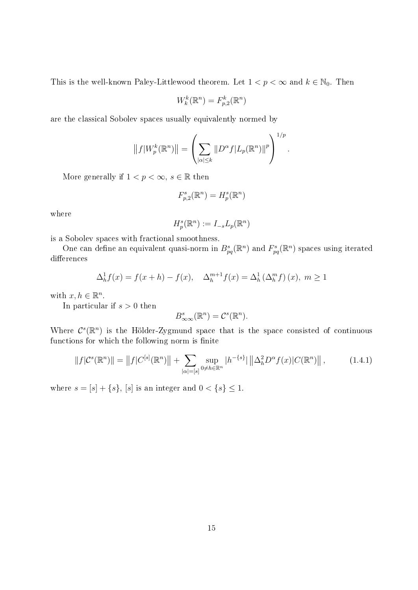This is the well-known Paley-Littlewood theorem. Let  $1 < p < \infty$  and  $k \in \mathbb{N}_0$ . Then

$$
W_k^k(\mathbb{R}^n) = F_{p,2}^k(\mathbb{R}^n)
$$

are the classical Sobolev spaces usually equivalently normed by

$$
||f|W_p^k(\mathbb{R}^n)|| = \left(\sum_{|\alpha| \le k} ||D^{\alpha}f| L_p(\mathbb{R}^n)||^p\right)^{1/p}
$$

.

More generally if  $1 < p < \infty$ ,  $s \in \mathbb{R}$  then

$$
F_{p,2}^s(\mathbb{R}^n) = H_p^s(\mathbb{R}^n)
$$

where

$$
H_p^s(\mathbb{R}^n) := I_{-s}L_p(\mathbb{R}^n)
$$

is a Sobolev spaces with fractional smoothness.

One can define an equivalent quasi-norm in  $B_{pq}^s(\mathbb{R}^n)$  and  $F_{pq}^s(\mathbb{R}^n)$  spaces using iterated differences

$$
\Delta_h^1 f(x) = f(x+h) - f(x), \quad \Delta_h^{m+1} f(x) = \Delta_h^1 \left(\Delta_h^m f\right)(x), \ m \ge 1
$$

with  $x, h \in \mathbb{R}^n$ .

In particular if  $s > 0$  then

$$
B^s_{\infty\infty}(\mathbb{R}^n)=\mathcal{C}^s(\mathbb{R}^n).
$$

Where  $\mathcal{C}^s(\mathbb{R}^n)$  is the Hölder-Zygmund space that is the space consisted of continuous functions for which the following norm is finite

$$
||f|C^{s}(\mathbb{R}^{n})|| = ||f|C^{[s]}(\mathbb{R}^{n})|| + \sum_{|\alpha|= [s]} \sup_{0 \neq h \in \mathbb{R}^{n}} |h^{-\{s\}}| ||\Delta_{h}^{2} D^{\alpha} f(x)| C(\mathbb{R}^{n})||,
$$
\n(1.4.1)

where  $s = [s] + \{s\}, [s]$  is an integer and  $0 < \{s\} \leq 1$ .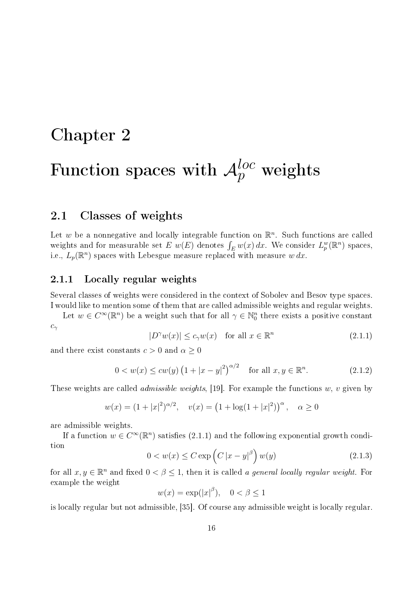### Chapter 2

# Function spaces with  ${\cal A}^{loc}_p$  weights

#### 2.1 Classes of weights

Let w be a nonnegative and locally integrable function on  $\mathbb{R}^n$ . Such functions are called weights and for measurable set E  $w(E)$  denotes  $\int_E w(x) dx$ . We consider  $L_p^w(\mathbb{R}^n)$  spaces, i.e.,  $L_p(\mathbb{R}^n)$  spaces with Lebesgue measure replaced with measure  $w\,dx$ .

#### 2.1.1 Locally regular weights

Several classes of weights were considered in the context of Sobolev and Besov type spaces. I would like to mention some of them that are called admissible weights and regular weights.

Let  $w \in C^{\infty}(\mathbb{R}^n)$  be a weight such that for all  $\gamma \in \mathbb{N}_0^n$  there exists a positive constant  $c_{\gamma}$ 

$$
|D^{\gamma}w(x)| \le c_{\gamma}w(x) \quad \text{for all } x \in \mathbb{R}^n
$$
\n(2.1.1)

and there exist constants  $c > 0$  and  $\alpha \geq 0$ 

$$
0 < w(x) \leq c w(y) \left(1 + |x - y|^2\right)^{\alpha/2} \quad \text{for all } x, y \in \mathbb{R}^n. \tag{2.1.2}
$$

These weights are called *admissible weights*, [19]. For example the functions  $w, v$  given by

$$
w(x) = (1 + |x|^2)^{\alpha/2}, \quad v(x) = (1 + \log(1 + |x|^2))^{\alpha}, \quad \alpha \ge 0
$$

are admissible weights.

If a function  $w \in C^{\infty}(\mathbb{R}^n)$  satisfies (2.1.1) and the following exponential growth condition

$$
0 < w(x) \le C \exp\left(C\left|x - y\right|^{\beta}\right)w(y) \tag{2.1.3}
$$

for all  $x, y \in \mathbb{R}^n$  and fixed  $0 < \beta \leq 1$ , then it is called a general locally regular weight. For example the weight

$$
w(x) = \exp(|x|^\beta), \quad 0 < \beta \le 1
$$

is locally regular but not admissible, [35]. Of course any admissible weight is locally regular.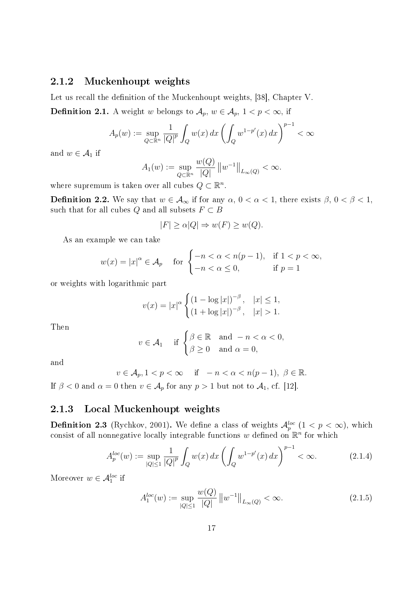#### 2.1.2 Muckenhoupt weights

Let us recall the definition of the Muckenhoupt weights, [38], Chapter V. **Definition 2.1.** A weight w belongs to  $\mathcal{A}_p$ ,  $w \in \mathcal{A}_p$ ,  $1 < p < \infty$ , if

$$
A_p(w) := \sup_{Q \subset \mathbb{R}^n} \frac{1}{|Q|^p} \int_Q w(x) \, dx \left( \int_Q w^{1-p'}(x) \, dx \right)^{p-1} < \infty
$$

and  $w \in \mathcal{A}_1$  if

$$
A_1(w) := \sup_{Q \subset \mathbb{R}^n} \frac{w(Q)}{|Q|} ||w^{-1}||_{L_{\infty}(Q)} < \infty.
$$

where supremum is taken over all cubes  $Q \subset \mathbb{R}^n$ .

**Definition 2.2.** We say that  $w \in A_{\infty}$  if for any  $\alpha, 0 < \alpha < 1$ , there exists  $\beta, 0 < \beta < 1$ , such that for all cubes Q and all subsets  $F \subset B$ 

$$
|F| \ge \alpha |Q| \Rightarrow w(F) \ge w(Q).
$$

As an example we can take

$$
w(x) = |x|^{\alpha} \in \mathcal{A}_p \quad \text{for } \begin{cases} -n < \alpha < n(p-1), & \text{if } 1 < p < \infty, \\ -n < \alpha \le 0, & \text{if } p = 1 \end{cases}
$$

or weights with logarithmic part

$$
v(x) = |x|^{\alpha} \begin{cases} (1 - \log |x|)^{-\beta}, & |x| \le 1, \\ (1 + \log |x|)^{-\beta}, & |x| > 1. \end{cases}
$$

Then

$$
v \in \mathcal{A}_1 \quad \text{if } \begin{cases} \beta \in \mathbb{R} & \text{and } -n < \alpha < 0, \\ \beta \ge 0 & \text{and } \alpha = 0, \end{cases}
$$

and

$$
v \in \mathcal{A}_p, 1 < p < \infty \quad \text{if} \quad -n < \alpha < n(p-1), \ \beta \in \mathbb{R}.
$$

If  $\beta < 0$  and  $\alpha = 0$  then  $v \in A_p$  for any  $p > 1$  but not to  $A_1$ , cf. [12].

#### 2.1.3 Local Muckenhoupt weights

**Definition 2.3** (Rychkov, 2001). We define a class of weights  $\mathcal{A}_p^{loc}$   $(1 < p < \infty)$ , which consist of all nonnegative locally integrable functions w defined on  $\mathbb{R}^n$  for which

$$
A_p^{loc}(w) := \sup_{|Q| \le 1} \frac{1}{|Q|^p} \int_Q w(x) \, dx \left( \int_Q w^{1-p'}(x) \, dx \right)^{p-1} < \infty. \tag{2.1.4}
$$

Moreover  $w \in \mathcal{A}_1^{loc}$  if

$$
A_1^{loc}(w) := \sup_{|Q| \le 1} \frac{w(Q)}{|Q|} \|w^{-1}\|_{L_\infty(Q)} < \infty. \tag{2.1.5}
$$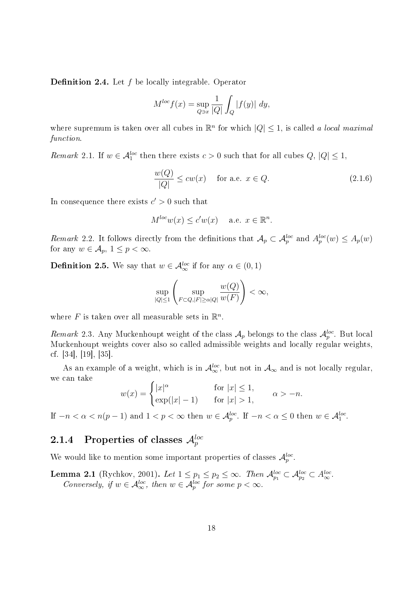**Definition 2.4.** Let  $f$  be locally integrable. Operator

$$
M^{loc} f(x) = \sup_{Q \ni x} \frac{1}{|Q|} \int_Q |f(y)| dy,
$$

where supremum is taken over all cubes in  $\mathbb{R}^n$  for which  $|Q| \leq 1$ , is called a local maximal function.

Remark 2.1. If  $w \in \mathcal{A}_1^{loc}$  then there exists  $c > 0$  such that for all cubes  $Q, |Q| \leq 1$ ,

$$
\frac{w(Q)}{|Q|} \le cw(x) \quad \text{ for a.e. } x \in Q. \tag{2.1.6}
$$

In consequence there exists  $c' > 0$  such that

$$
M^{loc}w(x) \le c'w(x) \quad \text{ a.e. } x \in \mathbb{R}^n.
$$

Remark 2.2. It follows directly from the definitions that  $\mathcal{A}_p \subset \mathcal{A}_p^{loc}$  and  $A_p^{loc}(w) \leq A_p(w)$ for any  $w \in A_p$ ,  $1 \leq p < \infty$ .

**Definition 2.5.** We say that  $w \in A^{loc}_{\infty}$  if for any  $\alpha \in (0,1)$ 

$$
\sup_{|Q|\leq 1}\left(\sup_{F\subset Q,|F|\geq\alpha|Q|}\frac{w(Q)}{w(F)}\right)<\infty,
$$

where  $F$  is taken over all measurable sets in  $\mathbb{R}^n$ .

Remark 2.3. Any Muckenhoupt weight of the class  $\mathcal{A}_p$  belongs to the class  $\mathcal{A}_p^{loc}$ . But local Muckenhoupt weights cover also so called admissible weights and locally regular weights, cf. [34], [19], [35].

As an example of a weight, which is in  $\mathcal{A}_{\infty}^{loc}$ , but not in  $\mathcal{A}_{\infty}$  and is not locally regular, we can take

$$
w(x) = \begin{cases} |x|^{\alpha} & \text{for } |x| \le 1, \\ \exp(|x| - 1) & \text{for } |x| > 1, \end{cases} \alpha > -n.
$$

If  $-n < \alpha < n(p-1)$  and  $1 < p < \infty$  then  $w \in \mathcal{A}_{p}^{loc}$ . If  $-n < \alpha \leq 0$  then  $w \in \mathcal{A}_{1}^{loc}$ .

#### $2.1.4$  Properties of classes  $\mathcal{A}_p^{loc}$

We would like to mention some important properties of classes  $\mathcal{A}_p^{loc}$ .

**Lemma 2.1** (Rychkov, 2001). Let  $1 \leq p_1 \leq p_2 \leq \infty$ . Then  $\mathcal{A}_{p_1}^{loc} \subset \mathcal{A}_{p_2}^{loc} \subset A_{\infty}^{loc}$ . Conversely, if  $w \in \mathcal{A}_{\infty}^{loc}$ , then  $w \in \mathcal{A}_{p}^{loc}$  for some  $p < \infty$ .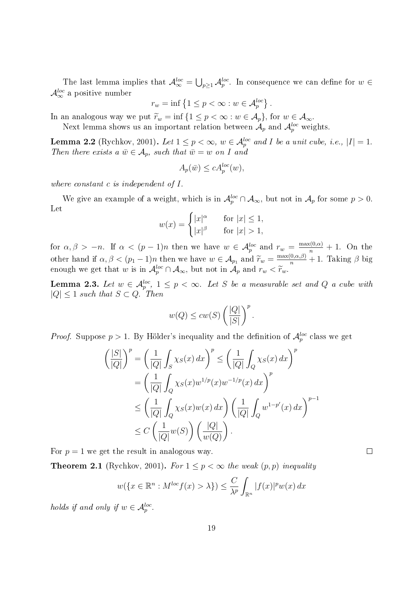The last lemma implies that  $\mathcal{A}_{\infty}^{loc} = \bigcup_{p\geq 1} \mathcal{A}_p^{loc}$ . In consequence we can define for  $w \in$  $\mathcal{A}_{\infty}^{loc}$  a positive number

$$
r_w = \inf \left\{ 1 \le p < \infty : w \in \mathcal{A}_p^{loc} \right\}.
$$

In an analogous way we put  $\widetilde{r}_w = \inf \{1 \leq p < \infty : w \in \mathcal{A}_p\}$ , for  $w \in \mathcal{A}_{\infty}$ .

Next lemma shows us an important relation between  $\mathcal{A}_p$  and  $\mathcal{A}_p^{loc}$  weights.

**Lemma 2.2** (Rychkov, 2001). Let  $1 \leq p < \infty$ ,  $w \in \mathcal{A}_{p}^{loc}$  and I be a unit cube, i.e.,  $|I| = 1$ . Then there exists a  $\bar{w} \in A_p$ , such that  $\bar{w} = w$  on I and

$$
A_p(\bar{w}) \le c A_p^{loc}(w),
$$

where constant c is independent of I.

We give an example of a weight, which is in  $\mathcal{A}_p^{loc} \cap \mathcal{A}_{\infty}$ , but not in  $\mathcal{A}_p$  for some  $p > 0$ . Let

$$
w(x) = \begin{cases} |x|^{\alpha} & \text{for } |x| \le 1, \\ |x|^{\beta} & \text{for } |x| > 1, \end{cases}
$$

for  $\alpha, \beta > -n$ . If  $\alpha < (p-1)n$  then we have  $w \in \mathcal{A}_p^{loc}$  and  $r_w = \frac{\max(0, \alpha)}{n} + 1$ . On the other hand if  $\alpha, \beta < (p_1 - 1)n$  then we have  $w \in A_{p_1}$  and  $\widetilde{r}_w = \frac{\max(0, \alpha, \beta)}{n} + 1$ . Taking  $\beta$  big enough we get that w is in  $\mathcal{A}_p^{loc} \cap \mathcal{A}_{\infty}$ , but not in  $\mathcal{A}_p$  and  $r_w < \widetilde{r}_w$ .

**Lemma 2.3.** Let  $w \in \mathcal{A}_{p}^{loc}$ ,  $1 \leq p < \infty$ . Let S be a measurable set and Q a cube with  $|Q| \leq 1$  such that  $S \subset Q$ . Then

$$
w(Q) \le cw(S) \left(\frac{|Q|}{|S|}\right)^p.
$$

*Proof.* Suppose  $p > 1$ . By Hölder's inequality and the definition of  $\mathcal{A}_p^{loc}$  class we get

$$
\left(\frac{|S|}{|Q|}\right)^p = \left(\frac{1}{|Q|}\int_S \chi_S(x) dx\right)^p \le \left(\frac{1}{|Q|}\int_Q \chi_S(x) dx\right)^p
$$
  
\n
$$
= \left(\frac{1}{|Q|}\int_Q \chi_S(x) w^{1/p}(x) w^{-1/p}(x) dx\right)^p
$$
  
\n
$$
\le \left(\frac{1}{|Q|}\int_Q \chi_S(x) w(x) dx\right) \left(\frac{1}{|Q|}\int_Q w^{1-p'}(x) dx\right)^{p-1}
$$
  
\n
$$
\le C \left(\frac{1}{|Q|} w(S)\right) \left(\frac{|Q|}{w(Q)}\right).
$$

For  $p = 1$  we get the result in analogous way.

**Theorem 2.1** (Rychkov, 2001). For  $1 \leq p < \infty$  the weak  $(p, p)$  inequality

$$
w(\lbrace x \in \mathbb{R}^n : M^{loc} f(x) > \lambda \rbrace) \leq \frac{C}{\lambda^p} \int_{\mathbb{R}^n} |f(x)|^p w(x) dx
$$

holds if and only if  $w \in \mathcal{A}_p^{loc}$ .

 $\Box$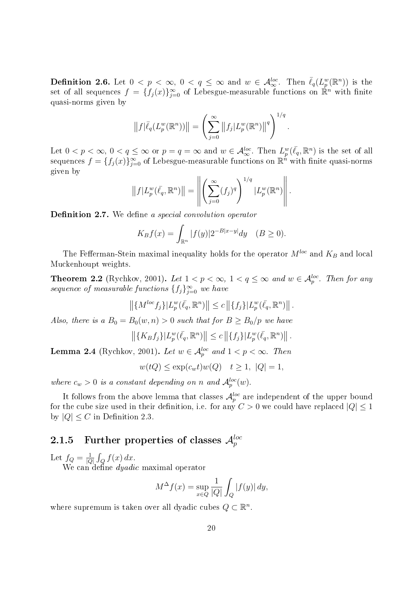**Definition 2.6.** Let  $0 < p < \infty$ ,  $0 < q \leq \infty$  and  $w \in \mathcal{A}_{\infty}^{loc}$ . Then  $\bar{\ell}_q(L_p^w(\mathbb{R}^n))$  is the set of all sequences  $f = \{f_j(x)\}_{j=0}^{\infty}$  of Lebesgue-measurable functions on  $\mathbb{R}^n$  with finite quasi-norms given by

$$
||f|\overline{\ell}_q(L_p^w(\mathbb{R}^n))|| = \left(\sum_{j=0}^{\infty} ||f_j|L_p^w(\mathbb{R}^n)||^q\right)^{1/q}
$$

.

Let  $0 < p < \infty$ ,  $0 < q \leq \infty$  or  $p = q = \infty$  and  $w \in \mathcal{A}_{\infty}^{loc}$ . Then  $L_p^w(\bar{\ell_q}, \mathbb{R}^n)$  is the set of all sequences  $f = \{f_j(x)\}_{j=0}^{\infty}$  of Lebesgue-measurable functions on  $\mathbb{R}^n$  with finite quasi-norms given by

$$
||f|L_p^w(\bar{\ell}_q, \mathbb{R}^n)|| = \left\| \left( \sum_{j=0}^{\infty} (f_j)^q \right)^{1/q} |L_p^w(\mathbb{R}^n)| \right\|.
$$

**Definition 2.7.** We define a special convolution operator

$$
K_B f(x) = \int_{\mathbb{R}^n} |f(y)| 2^{-B|x-y|} dy \quad (B \ge 0).
$$

The Fefferman-Stein maximal inequality holds for the operator  $M^{loc}$  and  $K_B$  and local Muckenhoupt weights.

**Theorem 2.2** (Rychkov, 2001). Let  $1 < p < \infty$ ,  $1 < q \le \infty$  and  $w \in A_p^{loc}$ . Then for any sequence of measurable functions  $\{f_j\}_{j=0}^{\infty}$  we have

$$
\left\| \{ M^{loc} f_j \} | L_p^w(\bar{\ell_q}, \mathbb{R}^n) \right\| \le c \left\| \{ f_j \} | L_p^w(\bar{\ell_q}, \mathbb{R}^n) \right\|.
$$

Also, there is a  $B_0 = B_0(w, n) > 0$  such that for  $B \ge B_0/p$  we have

$$
\left\| \{K_B f_j\} | L_p^w(\bar{\ell_q}, \mathbb{R}^n) \right\| \leq c \left\| \{f_j\} | L_p^w(\bar{\ell_q}, \mathbb{R}^n) \right\|.
$$

**Lemma 2.4** (Rychkov, 2001). Let  $w \in \mathcal{A}_p^{loc}$  and  $1 < p < \infty$ . Then

$$
w(tQ) \le \exp(c_w t)w(Q) \quad t \ge 1, \ |Q| = 1,
$$

where  $c_w > 0$  is a constant depending on n and  $\mathcal{A}_p^{loc}(w)$ .

It follows from the above lemma that classes  $\mathcal{A}_p^{loc}$  are independent of the upper bound for the cube size used in their definition, i.e. for any  $C > 0$  we could have replaced  $|Q| < 1$ by  $|Q| \leq C$  in Definition 2.3.

#### $2.1.5$   $\,$  Further properties of classes  $\mathcal{A}_{p}^{loc}$

Let  $f_Q = \frac{1}{|C|}$  $\frac{1}{|Q|}\int_Q f(x)\,dx.$ 

We can define *dyadic* maximal operator

$$
M^{\Delta}f(x) = \sup_{x \in Q} \frac{1}{|Q|} \int_{Q} |f(y)| dy,
$$

where supremum is taken over all dyadic cubes  $Q \subset \mathbb{R}^n$ .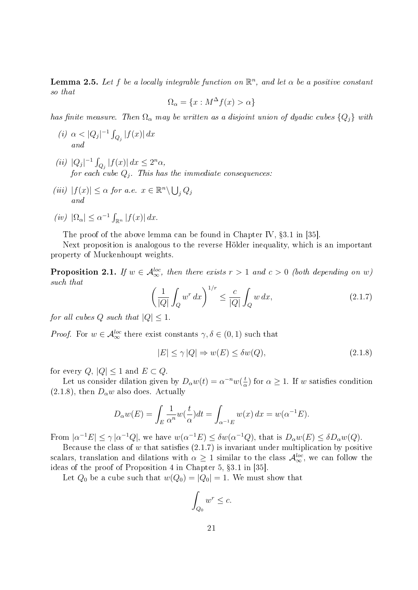**Lemma 2.5.** Let f be a locally integrable function on  $\mathbb{R}^n$ , and let  $\alpha$  be a positive constant so that

$$
\Omega_{\alpha} = \{x : M^{\Delta} f(x) > \alpha\}
$$

has finite measure. Then  $\Omega_{\alpha}$  may be written as a disjoint union of dyadic cubes  $\{Q_j\}$  with

- (i)  $\alpha < |Q_j|^{-1} \int_{Q_j} |f(x)| dx$ and
- (*ii*)  $|Q_j|^{-1} \int_{Q_j} |f(x)| dx \le 2^n \alpha$ , for each cube  $Q_j$ . This has the immediate consequences:
- (iii)  $|f(x)| \leq \alpha$  for a.e.  $x \in \mathbb{R}^n \backslash \bigcup_j Q_j$ and

$$
(iv) \ |\Omega_{\alpha}| \leq \alpha^{-1} \int_{\mathbb{R}^n} |f(x)| dx.
$$

The proof of the above lemma can be found in Chapter IV, §3.1 in [35].

Next proposition is analogous to the reverse Hölder inequality, which is an important property of Muckenhoupt weights.

**Proposition 2.1.** If  $w \in A^{loc}_{\infty}$ , then there exists  $r > 1$  and  $c > 0$  (both depending on  $w$ ) such that

$$
\left(\frac{1}{|Q|}\int_{Q} w^r dx\right)^{1/r} \le \frac{c}{|Q|}\int_{Q} w dx,\tag{2.1.7}
$$

for all cubes Q such that  $|Q| \leq 1$ .

*Proof.* For  $w \in \mathcal{A}_{\infty}^{loc}$  there exist constants  $\gamma, \delta \in (0, 1)$  such that

$$
|E| \le \gamma |Q| \Rightarrow w(E) \le \delta w(Q), \tag{2.1.8}
$$

for every  $Q, |Q| \leq 1$  and  $E \subset Q$ .

Let us consider dilation given by  $D_{\alpha}w(t) = \alpha^{-n}w(\frac{t}{\alpha})$  $\frac{t}{\alpha}$ ) for  $\alpha \geq 1$ . If w satisfies condition  $(2.1.8)$ , then  $D_{\alpha}w$  also does. Actually

$$
D_{\alpha}w(E) = \int_{E} \frac{1}{\alpha^{n}} w(\frac{t}{\alpha}) dt = \int_{\alpha^{-1}E} w(x) dx = w(\alpha^{-1}E).
$$

From  $|\alpha^{-1}E| \leq \gamma |\alpha^{-1}Q|$ , we have  $w(\alpha^{-1}E) \leq \delta w(\alpha^{-1}Q)$ , that is  $D_{\alpha}w(E) \leq \delta D_{\alpha}w(Q)$ .

Because the class of  $w$  that satisfies  $(2.1.7)$  is invariant under multiplication by positive scalars, translation and dilations with  $\alpha \geq 1$  similar to the class  $\mathcal{A}^{loc}_{\infty}$ , we can follow the ideas of the proof of Proposition 4 in Chapter 5, §3.1 in [35].

Let  $Q_0$  be a cube such that  $w(Q_0) = |Q_0| = 1$ . We must show that

$$
\int_{Q_0} w^r \leq c.
$$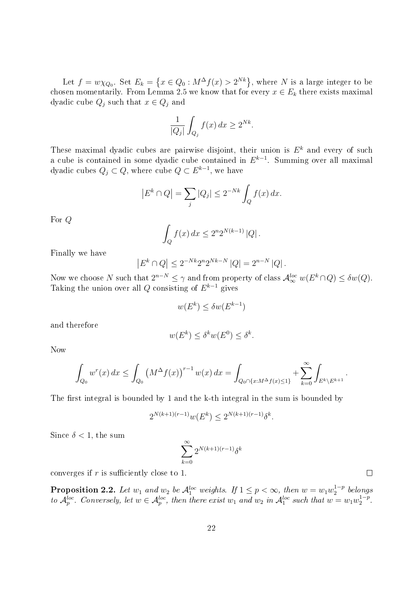Let  $f = w \chi_{Q_0}$ . Set  $E_k = \left\{ x \in Q_0 : M^\Delta f(x) > 2^{Nk} \right\}$ , where N is a large integer to be chosen momentarily. From Lemma 2.5 we know that for every  $x \in E_k$  there exists maximal dyadic cube  $Q_j$  such that  $x \in Q_j$  and

$$
\frac{1}{|Q_j|} \int_{Q_j} f(x) \, dx \ge 2^{Nk}.
$$

These maximal dyadic cubes are pairwise disjoint, their union is  $E<sup>k</sup>$  and every of such a cube is contained in some dyadic cube contained in  $E^{k-1}$ . Summing over all maximal dyadic cubes  $Q_j\subset Q,$  where cube  $Q\subset E^{k-1},$  we have

$$
\left| E^k \cap Q \right| = \sum_j |Q_j| \le 2^{-Nk} \int_Q f(x) \, dx.
$$

For Q

$$
\int_{Q} f(x) dx \le 2^{n} 2^{N(k-1)} |Q|.
$$

Finally we have

$$
|E^k \cap Q| \le 2^{-Nk} 2^{n} 2^{Nk-N} |Q| = 2^{n-N} |Q|.
$$

Now we choose N such that  $2^{n-N} \leq \gamma$  and from property of class  $\mathcal{A}_{\infty}^{loc} w(E^k \cap Q) \leq \delta w(Q)$ . Taking the union over all Q consisting of  $E^{k-1}$  gives

$$
w(E^k) \le \delta w(E^{k-1})
$$

and therefore

$$
w(E^k) \le \delta^k w(E^0) \le \delta^k.
$$

Now

$$
\int_{Q_0} w^r(x) dx \le \int_{Q_0} (M^{\Delta} f(x))^{r-1} w(x) dx = \int_{Q_0 \cap \{x : M^{\Delta} f(x) \le 1\}} + \sum_{k=0}^{\infty} \int_{E^k \setminus E^{k+1}}.
$$

The first integral is bounded by 1 and the k-th integral in the sum is bounded by

$$
2^{N(k+1)(r-1)}w(E^k) \le 2^{N(k+1)(r-1)}\delta^k.
$$

Since  $\delta$  < 1, the sum

$$
\sum_{k=0}^\infty 2^{N(k+1)(r-1)}\delta^k
$$

converges if  $r$  is sufficiently close to 1.

**Proposition 2.2.** Let  $w_1$  and  $w_2$  be  $\mathcal{A}_1^{loc}$  weights. If  $1 \leq p < \infty$ , then  $w = w_1 w_2^{1-p}$  $h_2^{1-p}$  belongs to  $\mathcal{A}_p^{loc}$ . Conversely, let  $w \in \mathcal{A}_p^{loc}$ , then there exist  $w_1$  and  $w_2$  in  $\mathcal{A}_1^{loc}$  such that  $w = w_1 w_2^{1-p}$  $\frac{1-p}{2}$ .

 $\Box$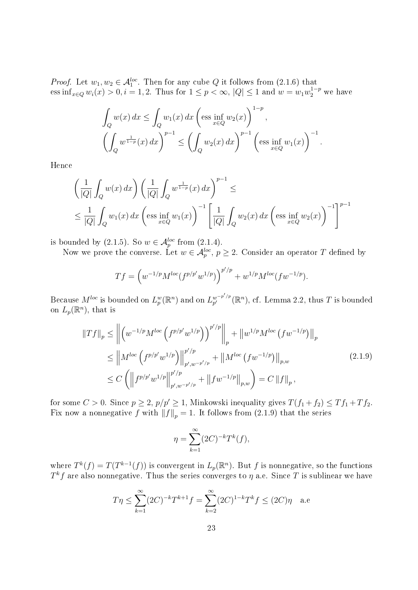*Proof.* Let  $w_1, w_2 \in \mathcal{A}_1^{loc}$ . Then for any cube Q it follows from (2.1.6) that ess inf<sub>x∈Q</sub>  $w_i(x) > 0, i = 1, 2$ . Thus for  $1 \le p < \infty$ , |Q|  $\le 1$  and  $w = w_1 w_2^{1-p}$  we have

$$
\int_{Q} w(x) dx \le \int_{Q} w_1(x) dx \left( \text{ess inf}_{x \in Q} w_2(x) \right)^{1-p},
$$
  

$$
\left( \int_{Q} w^{\frac{1}{1-p}}(x) dx \right)^{p-1} \le \left( \int_{Q} w_2(x) dx \right)^{p-1} \left( \text{ess inf}_{x \in Q} w_1(x) \right)^{-1}.
$$

Hence

$$
\left(\frac{1}{|Q|}\int_{Q} w(x) dx\right) \left(\frac{1}{|Q|}\int_{Q} w^{\frac{1}{1-p}}(x) dx\right)^{p-1} \le
$$
\n
$$
\leq \frac{1}{|Q|}\int_{Q} w_{1}(x) dx \left(\text{ess}\inf_{x \in Q} w_{1}(x)\right)^{-1} \left[\frac{1}{|Q|}\int_{Q} w_{2}(x) dx \left(\text{ess}\inf_{x \in Q} w_{2}(x)\right)^{-1}\right]^{p-1}
$$

is bounded by (2.1.5). So  $w \in \mathcal{A}_p^{loc}$  from (2.1.4).

Now we prove the converse. Let  $w \in \mathcal{A}_p^{loc}$ ,  $p \geq 2$ . Consider an operator T defined by

$$
Tf = \left(w^{-1/p}M^{loc}(f^{p/p'}w^{1/p})\right)^{p'/p} + w^{1/p}M^{loc}(fw^{-1/p}).
$$

Because  $M^{loc}$  is bounded on  $L_p^w(\mathbb{R}^n)$  and on  $L_{p'}^{w^{-p'/p}}$  $_{p'}^{w^{-p'/p}}(\mathbb{R}^n)$ , cf. Lemma 2.2, thus T is bounded on  $L_p(\mathbb{R}^n)$ , that is

$$
\|Tf\|_{p} \leq \left\| \left( w^{-1/p} M^{loc} \left( f^{p/p'} w^{1/p} \right) \right)^{p'/p} \right\|_{p} + \left\| w^{1/p} M^{loc} \left( f w^{-1/p} \right) \right\|_{p} \leq \left\| M^{loc} \left( f^{p/p'} w^{1/p} \right) \right\|_{p', w^{-p'/p}}^{p'/p} + \left\| M^{loc} \left( f w^{-1/p} \right) \right\|_{p,w} \leq C \left( \left\| f^{p/p'} w^{1/p} \right\|_{p', w^{-p'/p}}^{p'/p} + \left\| f w^{-1/p} \right\|_{p,w} \right) = C \left\| f \right\|_{p},
$$
\n(2.1.9)

for some  $C > 0$ . Since  $p \ge 2$ ,  $p/p' \ge 1$ , Minkowski inequality gives  $T(f_1 + f_2) \le Tf_1 + Tf_2$ . Fix now a nonnegative f with  $||f||_p = 1$ . It follows from (2.1.9) that the series

$$
\eta = \sum_{k=1}^{\infty} (2C)^{-k} T^k(f),
$$

where  $T^{k}(f) = T(T^{k-1}(f))$  is convergent in  $L_p(\mathbb{R}^n)$ . But f is nonnegative, so the functions  $T^k f$  are also nonnegative. Thus the series converges to  $\eta$  a.e. Since  $T$  is sublinear we have

$$
T\eta \le \sum_{k=1}^{\infty} (2C)^{-k} T^{k+1} f = \sum_{k=2}^{\infty} (2C)^{1-k} T^k f \le (2C)\eta
$$
 a.e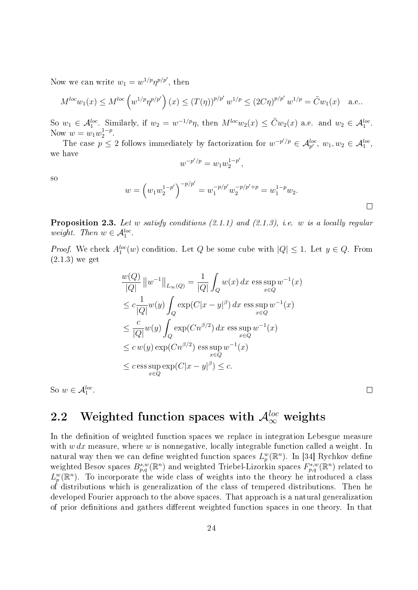Now we can write  $w_1 = w^{1/p} \eta^{p/p'}$ , then

$$
M^{loc}w_1(x) \le M^{loc} \left( w^{1/p} \eta^{p/p'} \right)(x) \le (T(\eta))^{p/p'} w^{1/p} \le (2C\eta)^{p/p'} w^{1/p} = \tilde{C}w_1(x) \quad \text{a.e..}
$$

So  $w_1 \in \mathcal{A}_1^{loc}$ . Similarly, if  $w_2 = w^{-1/p}\eta$ , then  $M^{loc}w_2(x) \leq \tilde{C}w_2(x)$  a.e. and  $w_2 \in \mathcal{A}_1^{loc}$ . Now  $w = w_1 w_2^{1-p}$  $\frac{1-p}{2}$ .

The case  $p \leq 2$  follows immediately by factorization for  $w^{-p'/p} \in \mathcal{A}_{p'}^{loc}$ ,  $w_1, w_2 \in \mathcal{A}_1^{loc}$ , we have

$$
w^{-p'/p} = w_1 w_2^{1-p'},
$$

so

$$
w = \left(w_1 w_2^{1-p'}\right)^{-p/p'} = w_1^{-p/p'} w_2^{-p/p'+p} = w_1^{1-p} w_2.
$$

**Proposition 2.3.** Let w satisfy conditions  $(2.1.1)$  and  $(2.1.3)$ , i.e. w is a locally regular weight. Then  $w \in \mathcal{A}_1^{loc}$ .

*Proof.* We check  $A_1^{loc}(w)$  condition. Let Q be some cube with  $|Q| \leq 1$ . Let  $y \in Q$ . From  $(2.1.3)$  we get

$$
\frac{w(Q)}{|Q|} ||w^{-1}||_{L_{\infty}(Q)} = \frac{1}{|Q|} \int_{Q} w(x) dx \operatorname{ess} \sup_{x \in Q} w^{-1}(x)
$$
  
\n
$$
\leq c \frac{1}{|Q|} w(y) \int_{Q} \exp(C|x - y|^{\beta}) dx \operatorname{ess} \sup_{x \in Q} w^{-1}(x)
$$
  
\n
$$
\leq \frac{c}{|Q|} w(y) \int_{Q} \exp(Cn^{\beta/2}) dx \operatorname{ess} \sup_{x \in Q} w^{-1}(x)
$$
  
\n
$$
\leq c w(y) \exp(Cn^{\beta/2}) \operatorname{ess} \sup_{x \in Q} w^{-1}(x)
$$
  
\n
$$
\leq c \operatorname{ess} \sup_{x \in Q} \exp(C|x - y|^{\beta}) \leq c.
$$

So  $w \in \mathcal{A}_1^{loc}$ .

 $\Box$ 

### 2.2 Weighted function spaces with  $\mathcal{A}_{\infty}^{loc}$  weights

In the definition of weighted function spaces we replace in integration Lebesgue measure with  $w dx$  measure, where  $w$  is nonnegative, locally integrable function called a weight. In natural way then we can define weighted function spaces  $L_p^w(\mathbb{R}^n)$ . In [34] Rychkov define weighted Besov spaces  $B^{s,w}_{p,q}(\mathbb{R}^n)$  and weighted Triebel-Lizorkin spaces  $F^{s,w}_{p,q}(\mathbb{R}^n)$  related to  $L_p^w(\mathbb{R}^n)$ . To incorporate the wide class of weights into the theory he introduced a class of distributions which is generalization of the class of tempered distributions. Then he developed Fourier approach to the above spaces. That approach is a natural generalization of prior definitions and gathers different weighted function spaces in one theory. In that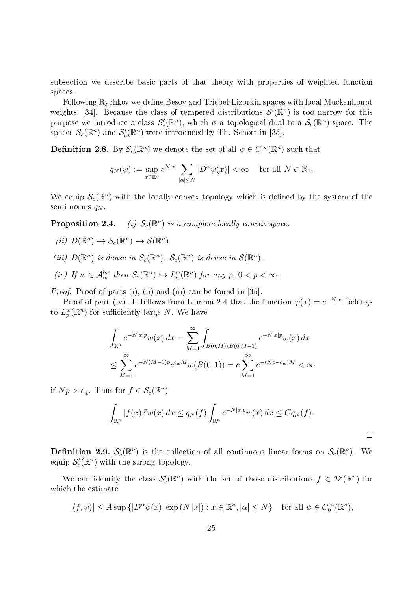subsection we describe basic parts of that theory with properties of weighted function spaces.

Following Rychkov we define Besov and Triebel-Lizorkin spaces with local Muckenhoupt weights, [34]. Because the class of tempered distributions  $\mathcal{S}'(\mathbb{R}^n)$  is too narrow for this purpose we introduce a class  $\mathcal{S}'_e(\mathbb{R}^n)$ , which is a topological dual to a  $\mathcal{S}_e(\mathbb{R}^n)$  space. The spaces  $\mathcal{S}_e(\mathbb{R}^n)$  and  $\mathcal{S}'_e(\mathbb{R}^n)$  were introduced by Th. Schott in [35].

**Definition 2.8.** By  $\mathcal{S}_e(\mathbb{R}^n)$  we denote the set of all  $\psi \in C^\infty(\mathbb{R}^n)$  such that

$$
q_N(\psi) := \sup_{x \in \mathbb{R}^n} e^{N|x|} \sum_{|\alpha| \le N} |D^{\alpha} \psi(x)| < \infty \quad \text{ for all } N \in \mathbb{N}_0.
$$

We equip  $\mathcal{S}_e(\mathbb{R}^n)$  with the locally convex topology which is defined by the system of the semi norms  $q_N$ .

Proposition 2.4. <sup>n</sup>) is a complete locally convex space.

$$
(ii) \ \mathcal{D}(\mathbb{R}^n) \hookrightarrow \mathcal{S}_e(\mathbb{R}^n) \hookrightarrow \mathcal{S}(\mathbb{R}^n).
$$

- (iii)  $\mathcal{D}(\mathbb{R}^n)$  is dense in  $\mathcal{S}_e(\mathbb{R}^n)$ .  $\mathcal{S}_e(\mathbb{R}^n)$  is dense in  $\mathcal{S}(\mathbb{R}^n)$ .
- (iv) If  $w \in \mathcal{A}_{\infty}^{loc}$  then  $\mathcal{S}_{e}(\mathbb{R}^{n}) \hookrightarrow L_{p}^{w}(\mathbb{R}^{n})$  for any  $p, 0 < p < \infty$ .

Proof. Proof of parts (i), (ii) and (iii) can be found in [35].

Proof of part (iv). It follows from Lemma 2.4 that the function  $\varphi(x) = e^{-N|x|}$  belongs to  $L_p^w(\mathbb{R}^n)$  for sufficiently large N. We have

$$
\int_{\mathbb{R}^n} e^{-N|x|p} w(x) dx = \sum_{M=1}^{\infty} \int_{B(0,M)\backslash B(0,M-1)} e^{-N|x|p} w(x) dx
$$
  

$$
\leq \sum_{M=1}^{\infty} e^{-N(M-1)p} e^{c_w M} w(B(0,1)) = c \sum_{M=1}^{\infty} e^{-(Np-c_w)M} < \infty
$$

if  $Np > c_w$ . Thus for  $f \in \mathcal{S}_e(\mathbb{R}^n)$ 

$$
\int_{\mathbb{R}^n} |f(x)|^p w(x) dx \le q_N(f) \int_{\mathbb{R}^n} e^{-N|x|} w(x) dx \le C q_N(f).
$$

 $\overline{\phantom{a}}$ 

**Definition 2.9.**  $\mathcal{S}'_e(\mathbb{R}^n)$  is the collection of all continuous linear forms on  $\mathcal{S}_e(\mathbb{R}^n)$ . We equip  $\mathcal{S}'_e(\mathbb{R}^n)$  with the strong topology.

We can identify the class  $\mathcal{S}'_e(\mathbb{R}^n)$  with the set of those distributions  $f \in \mathcal{D}'(\mathbb{R}^n)$  for which the estimate

$$
|\langle f, \psi \rangle| \le A \sup \{|D^{\alpha} \psi(x)| \exp(N|x|) : x \in \mathbb{R}^n, |\alpha| \le N\}
$$
 for all  $\psi \in C_0^{\infty}(\mathbb{R}^n)$ ,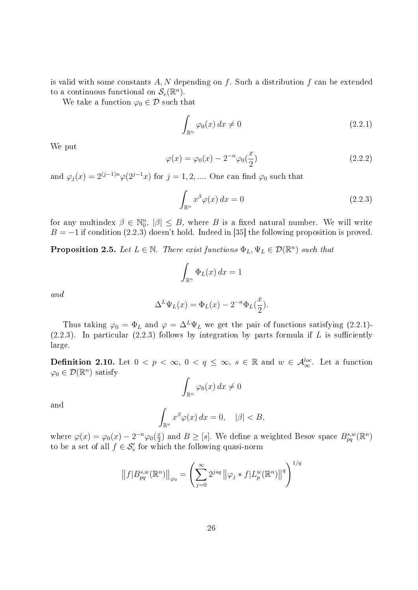is valid with some constants  $A, N$  depending on f. Such a distribution f can be extended to a continuous functional on  $\mathcal{S}_e(\mathbb{R}^n)$ .

We take a function  $\varphi_0 \in \mathcal{D}$  such that

$$
\int_{\mathbb{R}^n} \varphi_0(x) \, dx \neq 0 \tag{2.2.1}
$$

We put

$$
\varphi(x) = \varphi_0(x) - 2^{-n} \varphi_0(\frac{x}{2})
$$
\n(2.2.2)

and  $\varphi_j(x) = 2^{(j-1)n} \varphi(2^{j-1}x)$  for  $j = 1, 2, ...$  One can find  $\varphi_0$  such that

$$
\int_{\mathbb{R}^n} x^\beta \varphi(x) \, dx = 0 \tag{2.2.3}
$$

for any multindex  $\beta \in \mathbb{N}_0^n$ ,  $|\beta| \leq B$ , where B is a fixed natural number. We will write  $B = -1$  if condition (2.2.3) doesn't hold. Indeed in [35] the following proposition is proved.

**Proposition 2.5.** Let  $L \in \mathbb{N}$ . There exist functions  $\Phi_L, \Psi_L \in \mathcal{D}(\mathbb{R}^n)$  such that

$$
\int_{\mathbb{R}^n} \Phi_L(x) \, dx = 1
$$

and

$$
\Delta^L \Psi_L(x) = \Phi_L(x) - 2^{-n} \Phi_L(\frac{x}{2}).
$$

Thus taking  $\varphi_0 = \Phi_L$  and  $\varphi = \Delta^L \Psi_L$  we get the pair of functions satisfying (2.2.1)- $(2.2.3)$ . In particular  $(2.2.3)$  follows by integration by parts formula if L is sufficiently large.

**Definition 2.10.** Let  $0 < p < \infty$ ,  $0 < q \le \infty$ ,  $s \in \mathbb{R}$  and  $w \in \mathcal{A}_{\infty}^{loc}$ . Let a function  $\varphi_0 \in \mathcal{D}(\mathbb{R}^n)$  satisfy

$$
\int_{\mathbb{R}^n} \varphi_0(x) \, dx \neq 0
$$

and

$$
\int_{\mathbb{R}^n} x^{\beta} \varphi(x) \, dx = 0, \quad |\beta| < B,
$$

where  $\varphi(x) = \varphi_0(x) - 2^{-n} \varphi_0(\frac{x}{2})$  $\frac{x}{2}$ ) and  $B \geq [s]$ . We define a weighted Besov space  $B^{s,w}_{pq}(\mathbb{R}^n)$ to be a set of all  $f \in \mathcal{S}'_e$  for which the following quasi-norm

$$
||f|B_{pq}^{s,w}(\mathbb{R}^n)||_{\varphi_0} = \left(\sum_{j=0}^{\infty} 2^{jsq} ||\varphi_j * f| L_p^w(\mathbb{R}^n) ||^q\right)^{1/q}
$$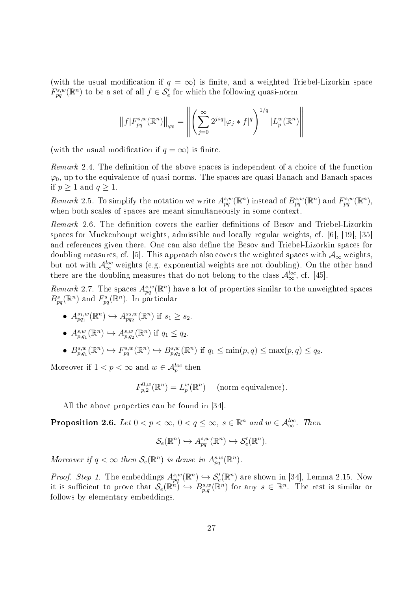(with the usual modification if  $q = \infty$ ) is finite, and a weighted Triebel-Lizorkin space  $F_{pq}^{s,w}(\mathbb{R}^n)$  to be a set of all  $f \in \mathcal{S}'_e$  for which the following quasi-norm

$$
\left\|f\big|F_{pq}^{s,w}(\mathbb{R}^n)\right\|_{\varphi_0} = \left\|\left(\sum_{j=0}^{\infty} 2^{jsq}|\varphi_j * f|^q\right)^{1/q} |L_p^w(\mathbb{R}^n)\right\|
$$

(with the usual modification if  $q = \infty$ ) is finite.

 $Remark\ 2.4.$  The definition of the above spaces is independent of a choice of the function  $\varphi_0$ , up to the equivalence of quasi-norms. The spaces are quasi-Banach and Banach spaces if  $p \geq 1$  and  $q \geq 1$ .

Remark 2.5. To simplify the notation we write  $A_{pq}^{s,w}(\mathbb{R}^n)$  instead of  $B_{pq}^{s,w}(\mathbb{R}^n)$  and  $F_{pq}^{s,w}(\mathbb{R}^n)$ , when both scales of spaces are meant simultaneously in some context.

Remark 2.6. The definition covers the earlier definitions of Besov and Triebel-Lizorkin spaces for Muckenhoupt weights, admissible and locally regular weights, cf. [6], [19], [35] and references given there. One can also define the Besov and Triebel-Lizorkin spaces for doubling measures, cf. [5]. This approach also covers the weighted spaces with  $\mathcal{A}_{\infty}$  weights, but not with  $\mathcal{A}_{\infty}^{loc}$  weights (e.g. exponential weights are not doubling). On the other hand there are the doubling measures that do not belong to the class  $\mathcal{A}_{\infty}^{loc}$ , cf. [45].

Remark 2.7. The spaces  $A_{pq}^{s,w}(\mathbb{R}^n)$  have a lot of properties similar to the unweighted spaces  $B_{pq}^s(\mathbb{R}^n)$  and  $F_{pq}^s(\mathbb{R}^n)$ . In particular

- $A_{pq_1}^{s_1,w}(\mathbb{R}^n) \hookrightarrow A_{pq_2}^{s_2,w}(\mathbb{R}^n)$  if  $s_1 \geq s_2$ .
- $A_{p,q_1}^{s,w}(\mathbb{R}^n) \hookrightarrow A_{p,q_2}^{s,w}(\mathbb{R}^n)$  if  $q_1 \leq q_2$ .
- $B_{p,q_1}^{s,w}(\mathbb{R}^n) \hookrightarrow F_{pq}^{s,w}(\mathbb{R}^n) \hookrightarrow B_{p,q_2}^{s,w}(\mathbb{R}^n)$  if  $q_1 \leq \min(p,q) \leq \max(p,q) \leq q_2$ .

Moreover if  $1 < p < \infty$  and  $w \in \mathcal{A}_p^{loc}$  then

$$
F_{p,2}^{0,w}(\mathbb{R}^n) = L_p^w(\mathbb{R}^n) \quad \text{(norm equivalence)}.
$$

All the above properties can be found in [34].

**Proposition 2.6.** Let  $0 < p < \infty$ ,  $0 < q \leq \infty$ ,  $s \in \mathbb{R}^n$  and  $w \in \mathcal{A}_{\infty}^{loc}$ . Then

$$
\mathcal{S}_e(\mathbb{R}^n) \hookrightarrow A_{pq}^{s,w}(\mathbb{R}^n) \hookrightarrow \mathcal{S}'_e(\mathbb{R}^n).
$$

Moreover if  $q < \infty$  then  $\mathcal{S}_e(\mathbb{R}^n)$  is dense in  $A_{pq}^{s,w}(\mathbb{R}^n)$ .

*Proof. Step 1*. The embeddings  $A_{pq}^{s,w}(\mathbb{R}^n) \hookrightarrow \mathcal{S}'_{e}(\mathbb{R}^n)$  are shown in [34], Lemma 2.15. Now it is sufficient to prove that  $\mathcal{S}_e(\mathbb{R}^n) \hookrightarrow B^{s,w}_{p,q}(\mathbb{R}^n)$  for any  $s \in \mathbb{R}^n$ . The rest is similar or follows by elementary embeddings.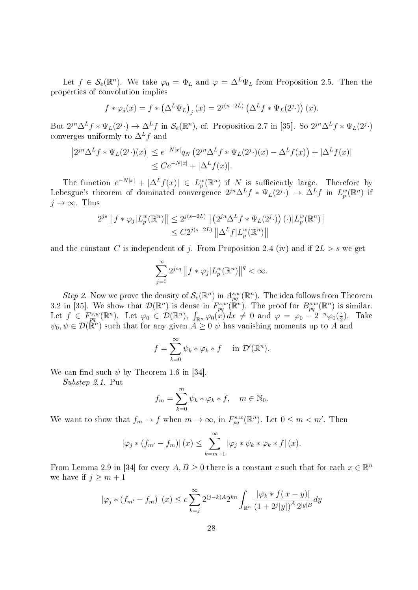Let  $f \in \mathcal{S}_e(\mathbb{R}^n)$ . We take  $\varphi_0 = \Phi_L$  and  $\varphi = \Delta^L \Psi_L$  from Proposition 2.5. Then the properties of convolution implies

$$
f * \varphi_j(x) = f * (\Delta^L \Psi_L)_j(x) = 2^{j(n-2L)} (\Delta^L f * \Psi_L(2^{j} \cdot)) (x).
$$

But  $2^{jn}\Delta^L f * \Psi_L(2^{j}.) \to \Delta^L f$  in  $\mathcal{S}_e(\mathbb{R}^n)$ , cf. Proposition 2.7 in [35]. So  $2^{jn}\Delta^L f * \Psi_L(2^{j}.)$ converges uniformly to  $\Delta^L f$  and

$$
\left| 2^{jn} \Delta^L f * \Psi_L(2^j \cdot)(x) \right| \le e^{-N|x|} q_N \left( 2^{jn} \Delta^L f * \Psi_L(2^j \cdot)(x) - \Delta^L f(x) \right) + |\Delta^L f(x)|
$$
  

$$
\le C e^{-N|x|} + |\Delta^L f(x)|.
$$

The function  $e^{-N|x|} + |\Delta^L f(x)| \in L_p^w(\mathbb{R}^n)$  if N is sufficiently large. Therefore by Lebesgue's theorem of dominated convergence  $2^{jn}\Delta^L f * \Psi_L(2^{j}.) \to \Delta^L f$  in  $L_p^w(\mathbb{R}^n)$  if  $j \to \infty$ . Thus

$$
2^{js} || f * \varphi_j | L_p^w(\mathbb{R}^n) || \leq 2^{j(s-2L)} || (2^{jn} \Delta^L f * \Psi_L(2^{j} \cdot)) (\cdot) | L_p^w(\mathbb{R}^n) ||
$$
  

$$
\leq C 2^{j(s-2L)} || \Delta^L f | L_p^w(\mathbb{R}^n) ||
$$

and the constant C is independent of j. From Proposition 2.4 (iv) and if  $2L > s$  we get

$$
\sum_{j=0}^{\infty}2^{jsq}\left\|f*\varphi_j|L_p^w(\mathbb{R}^n)\right\|^q<\infty.
$$

Step 2. Now we prove the density of  $\mathcal{S}_e(\mathbb{R}^n)$  in  $A_{pq}^{s,w}(\mathbb{R}^n)$ . The idea follows from Theorem 3.2 in [35]. We show that  $\mathcal{D}(\mathbb{R}^n)$  is dense in  $F^{s,w}_{pq}(\mathbb{R}^n)$ . The proof for  $B^{s,w}_{pq}(\mathbb{R}^n)$  is similar. Let  $f \in F^{s,w}_{pq}(\mathbb{R}^n)$ . Let  $\varphi_0 \in \mathcal{D}(\mathbb{R}^n)$ ,  $\int_{\mathbb{R}^n} \varphi_0(x) dx \neq 0$  and  $\varphi = \varphi_0 - 2^{-n} \varphi_0(\frac{\pi}{2})$  $\frac{1}{2}$ ). Take  $\psi_0, \psi \in \mathcal{D}(\mathbb{R}^n)$  such that for any given  $A \geq 0$   $\psi$  has vanishing moments up to A and

$$
f = \sum_{k=0}^{\infty} \psi_k * \varphi_k * f \quad \text{in } \mathcal{D}'(\mathbb{R}^n).
$$

We can find such  $\psi$  by Theorem 1.6 in [34].

Substep 2.1. Put

$$
f_m = \sum_{k=0}^m \psi_k * \varphi_k * f, \quad m \in \mathbb{N}_0.
$$

We want to show that  $f_m \to f$  when  $m \to \infty$ , in  $F_{pq}^{s,w}(\mathbb{R}^n)$ . Let  $0 \leq m < m'$ . Then

$$
\left|\varphi_j * (f_{m'} - f_m)\right|(x) \leq \sum_{k=m+1}^{\infty} \left|\varphi_j * \psi_k * \varphi_k * f\right|(x).
$$

From Lemma 2.9 in [34] for every  $A, B \ge 0$  there is a constant c such that for each  $x \in \mathbb{R}^n$ we have if  $j \geq m+1$ 

$$
|\varphi_j * (f_{m'} - f_m)| (x) \le c \sum_{k=j}^{\infty} 2^{(j-k)A} 2^{kn} \int_{\mathbb{R}^n} \frac{|\varphi_k * f(x - y)|}{(1 + 2^j |y|)^A 2^{|y|B}} dy
$$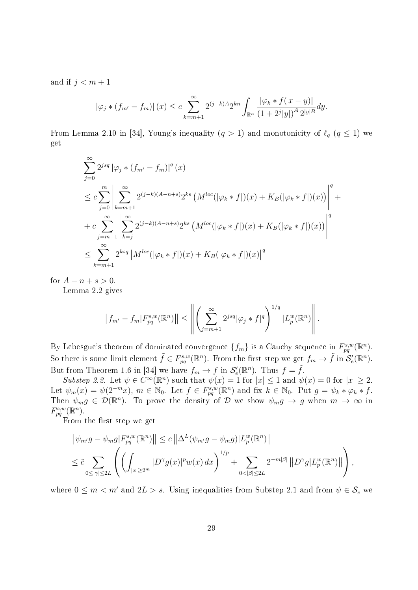and if  $j < m+1$ 

$$
|\varphi_j * (f_{m'} - f_m)| (x) \le c \sum_{k=m+1}^{\infty} 2^{(j-k)A} 2^{kn} \int_{\mathbb{R}^n} \frac{|\varphi_k * f(x - y)|}{(1 + 2^j |y|)^A 2^{|y|B}} dy.
$$

From Lemma 2.10 in [34], Young's inequality  $(q > 1)$  and monotonicity of  $\ell_q$   $(q \leq 1)$  we get

$$
\sum_{j=0}^{\infty} 2^{jsq} |\varphi_j * (f_{m'} - f_m)|^q (x)
$$
\n
$$
\leq c \sum_{j=0}^m \left| \sum_{k=m+1}^{\infty} 2^{(j-k)(A-n+s)} 2^{ks} \left( M^{loc} (|\varphi_k * f|)(x) + K_B (|\varphi_k * f|)(x) \right) \right|^q + c \sum_{j=m+1}^{\infty} \left| \sum_{k=j}^{\infty} 2^{(j-k)(A-n+s)} 2^{ks} \left( M^{loc} (|\varphi_k * f|)(x) + K_B (|\varphi_k * f|)(x) \right) \right|^q
$$
\n
$$
\leq \sum_{k=m+1}^{\infty} 2^{ksq} |M^{loc} (|\varphi_k * f|)(x) + K_B (|\varphi_k * f|)(x)|^q
$$

for  $A - n + s > 0$ .

Lemma 2.2 gives

$$
||f_{m'} - f_m|F_{pq}^{s,w}(\mathbb{R}^n)|| \le \left\| \left( \sum_{j=m+1}^{\infty} 2^{jsq} |\varphi_j * f|^q \right)^{1/q} |L_p^w(\mathbb{R}^n)| \right\|.
$$

By Lebesgue's theorem of dominated convergence  $\{f_m\}$  is a Cauchy sequence in  $F_{pq}^{s,w}(\mathbb{R}^n)$ . So there is some limit element  $\tilde{f} \in F^{s,w}_{pq}(\mathbb{R}^n)$ . From the first step we get  $f_m \to \tilde{f}$  in  $\mathcal{S}'_e(\mathbb{R}^n)$ . But from Theorem 1.6 in [34] we have  $f_m \to f$  in  $\mathcal{S}'_{e}(\mathbb{R}^n)$ . Thus  $f = \tilde{f}$ .

Substep 2.2. Let  $\psi \in C^{\infty}(\mathbb{R}^n)$  such that  $\psi(x) = 1$  for  $|x| \leq 1$  and  $\psi(x) = 0$  for  $|x| \geq 2$ . Let  $\psi_m(x) = \psi(2^{-m}x), m \in \mathbb{N}_0$ . Let  $f \in F_{pq}^{s,w}(\mathbb{R}^n)$  and fix  $k \in \mathbb{N}_0$ . Put  $g = \psi_k * \varphi_k * f$ . Then  $\psi_m g \in \mathcal{D}(\mathbb{R}^n)$ . To prove the density of D we show  $\psi_m g \to g$  when  $m \to \infty$  in  $F^{s,w}_{pq}(\mathbb{R}^n)$ .

From the first step we get

$$
\|\psi_{m'}g - \psi_m g|F_{pq}^{s,w}(\mathbb{R}^n)\| \le c \left\|\Delta^L(\psi_{m'}g - \psi_m g)|L_p^w(\mathbb{R}^n)\right\|
$$
  

$$
\le \tilde{c} \sum_{0 \le |\gamma| \le 2L} \left( \left( \int_{|x| \ge 2^m} |D^\gamma g(x)|^p w(x) dx \right)^{1/p} + \sum_{0 < |\beta| \le 2L} 2^{-m|\beta|} ||D^\gamma g| L_p^w(\mathbb{R}^n)|| \right),
$$

where  $0 \leq m < m'$  and  $2L > s$ . Using inequalities from Substep 2.1 and from  $\psi \in \mathcal{S}_e$  we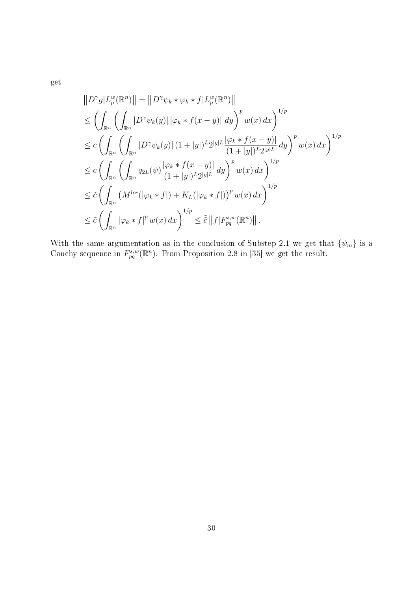get

$$
\|D^{\gamma}g|L_p^w(\mathbb{R}^n)\| = \|D^{\gamma}\psi_k * \varphi_k * f|L_p^w(\mathbb{R}^n)\|
$$
  
\n
$$
\leq \left(\int_{\mathbb{R}^n} \left(\int_{\mathbb{R}^n} |D^{\gamma}\psi_k(y)| |\varphi_k * f(x - y)| dy\right)^p w(x) dx\right)^{1/p}
$$
  
\n
$$
\leq c \left(\int_{\mathbb{R}^n} \left(\int_{\mathbb{R}^n} |D^{\gamma}\psi_k(y)| (1 + |y|)^L 2^{|y|L} \frac{|\varphi_k * f(x - y)|}{(1 + |y|)^L 2^{|y|L}} dy\right)^p w(x) dx\right)^{1/p}
$$
  
\n
$$
\leq c \left(\int_{\mathbb{R}^n} \left(\int_{\mathbb{R}^n} q_{2L}(\psi) \frac{|\varphi_k * f(x - y)|}{(1 + |y|)^L 2^{|y|L}} dy\right)^p w(x) dx\right)^{1/p}
$$
  
\n
$$
\leq \tilde{c} \left(\int_{\mathbb{R}^n} \left(M^{loc}(|\varphi_k * f|) + K_L(|\varphi_k * f|)\right)^p w(x) dx\right)^{1/p}
$$
  
\n
$$
\leq \tilde{c} \left(\int_{\mathbb{R}^n} |\varphi_k * f|^p w(x) dx\right)^{1/p} \leq \tilde{c} \|f|F_{pq}^{s,w}(\mathbb{R}^n)\|.
$$

With the same argumentation as in the conclusion of Substep 2.1 we get that  $\{\psi_m\}$  is a Cauchy sequence in  $F_{pq}^{s,w}(\mathbb{R}^n)$ . From Proposition 2.8 in [35] we get the result.

 $\Box$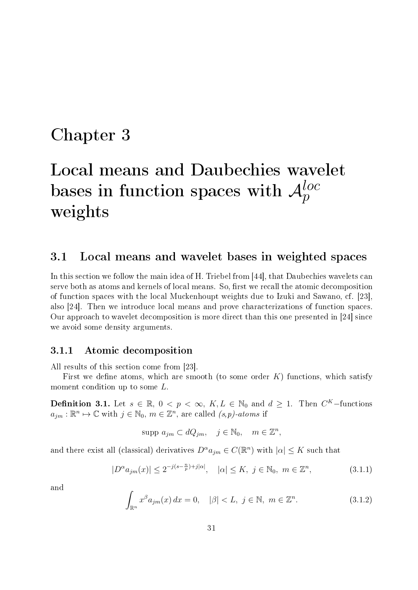### Chapter 3

# Local means and Daubechies wavelet bases in function spaces with  ${\cal A}_p^{loc}$ weights

#### 3.1 Local means and wavelet bases in weighted spaces

In this section we follow the main idea of H. Triebel from [44], that Daubechies wavelets can serve both as atoms and kernels of local means. So, first we recall the atomic decomposition of function spaces with the local Muckenhoupt weights due to Izuki and Sawano, cf. [23], also [24]. Then we introduce local means and prove characterizations of function spaces. Our approach to wavelet decomposition is more direct than this one presented in [24] since we avoid some density arguments.

#### 3.1.1 Atomic decomposition

All results of this section come from [23].

First we define atoms, which are smooth (to some order  $K$ ) functions, which satisfy moment condition up to some L.

**Definition 3.1.** Let  $s \in \mathbb{R}$ ,  $0 < p < \infty$ ,  $K, L \in \mathbb{N}_0$  and  $d \geq 1$ . Then  $C^K$ -functions  $a_{jm} : \mathbb{R}^n \mapsto \mathbb{C}$  with  $j \in \mathbb{N}_0$ ,  $m \in \mathbb{Z}^n$ , are called  $(s, p)$ -atoms if

$$
supp a_{jm} \subset dQ_{jm}, \quad j \in \mathbb{N}_0, \quad m \in \mathbb{Z}^n,
$$

and there exist all (classical) derivatives  $D^{\alpha} a_{jm} \in C(\mathbb{R}^n)$  with  $|\alpha| \leq K$  such that

$$
|D^{\alpha}a_{jm}(x)| \le 2^{-j(s-\frac{n}{p})+j|\alpha|}, \quad |\alpha| \le K, \ j \in \mathbb{N}_0, \ m \in \mathbb{Z}^n,
$$
 (3.1.1)

and

$$
\int_{\mathbb{R}^n} x^{\beta} a_{jm}(x) dx = 0, \quad |\beta| < L, \ j \in \mathbb{N}, \ m \in \mathbb{Z}^n. \tag{3.1.2}
$$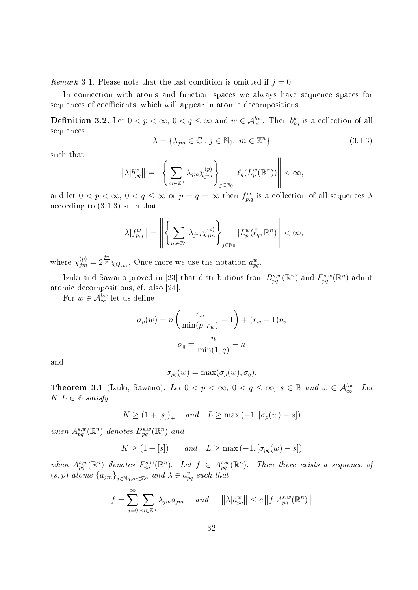Remark 3.1. Please note that the last condition is omitted if  $j = 0$ .

In connection with atoms and function spaces we always have sequence spaces for sequences of coefficients, which will appear in atomic decompositions.

**Definition 3.2.** Let  $0 < p < \infty$ ,  $0 < q \leq \infty$  and  $w \in \mathcal{A}_{\infty}^{loc}$ . Then  $b_{pq}^w$  is a collection of all sequences

$$
\lambda = \{\lambda_{jm} \in \mathbb{C} : j \in \mathbb{N}_0, m \in \mathbb{Z}^n\}
$$
\n(3.1.3)

such that

$$
\left\| \lambda |b^w_{pq} \right\| = \left\| \left\{ \sum_{m \in \mathbb{Z}^n} \lambda_{jm} \chi_{jm}^{(p)} \right\}_{j \in \mathbb{N}_0} | \bar{\ell}_q(L_p^w(\mathbb{R}^n)) \right\| < \infty,
$$

and let  $0 < p < \infty$ ,  $0 < q \le \infty$  or  $p = q = \infty$  then  $f_{p,q}^w$  is a collection of all sequences  $\lambda$ according to (3.1.3) such that

$$
||\lambda|f^w_{p,q}||=\left\|\left\{\sum_{m\in\mathbb{Z}^n}\lambda_{jm}\chi_{jm}^{(p)}\right\}_{j\in\mathbb{N}_0}|L_p^w(\bar{\ell}_q,\mathbb{R}^n)\right\|<\infty,
$$

where  $\chi_{jm}^{(p)} = 2^{\frac{jn}{p}} \chi_{Q_{jm}}$ . Once more we use the notation  $a_{pq}^w$ .

Izuki and Sawano proved in [23] that distributions from  $B^{s,w}_{pq}(\mathbb{R}^n)$  and  $F^{s,w}_{pq}(\mathbb{R}^n)$  admit atomic decompositions, cf. also [24].

For  $w \in \mathcal{A}_{\infty}^{loc}$  let us define

$$
\sigma_p(w) = n \left( \frac{r_w}{\min(p, r_w)} - 1 \right) + (r_w - 1)n,
$$

$$
\sigma_q = \frac{n}{\min(1, q)} - n
$$

and

$$
\sigma_{pq}(w) = \max(\sigma_p(w), \sigma_q).
$$

**Theorem 3.1** (Izuki, Sawano). Let  $0 < p < \infty$ ,  $0 < q \le \infty$ ,  $s \in \mathbb{R}$  and  $w \in \mathcal{A}_{\infty}^{loc}$ . Let  $K, L \in \mathbb{Z}$  satisfy

$$
K \ge (1 + [s])_+ \quad and \quad L \ge \max(-1, [\sigma_p(w) - s])
$$

when  $A_{pq}^{s,w}(\mathbb{R}^n)$  denotes  $B_{pq}^{s,w}(\mathbb{R}^n)$  and

$$
K \ge (1 + [s])_+ \quad and \quad L \ge \max(-1, [\sigma_{pq}(w) - s])
$$

when  $A_{pq}^{s,w}(\mathbb{R}^n)$  denotes  $F_{pq}^{s,w}(\mathbb{R}^n)$ . Let  $f \in A_{pq}^{s,w}(\mathbb{R}^n)$ . Then there exists a sequence of  $(s, p)$ -atoms  $\{a_{jm}\}_{j \in \mathbb{N}_0, m \in \mathbb{Z}^n}$  and  $\lambda \in a_{pq}^w$  such that

$$
f = \sum_{j=0}^{\infty} \sum_{m \in \mathbb{Z}^n} \lambda_{jm} a_{jm} \quad \text{and} \quad ||\lambda| a_{pq}^w || \le c ||f| A_{pq}^{s,w}(\mathbb{R}^n) ||
$$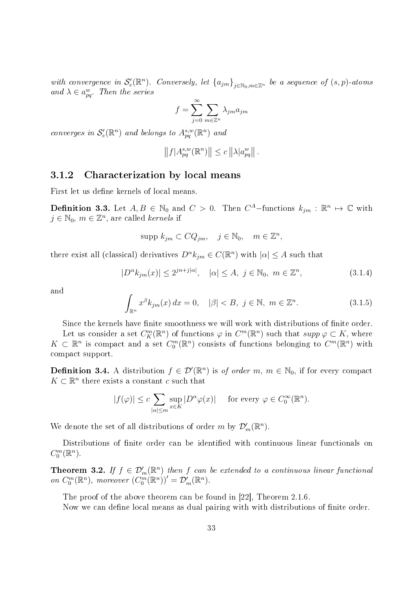with convergence in  $\mathcal{S}'_e(\mathbb{R}^n)$ . Conversely, let  $\{a_{jm}\}_{j\in\mathbb{N}_0,m\in\mathbb{Z}^n}$  be a sequence of  $(s, p)$ -atoms and  $\lambda \in a_{pq}^w$ . Then the series

$$
f=\sum_{j=0}^\infty\sum_{m\in\mathbb{Z}^n}\lambda_{jm}a_{jm}
$$

converges in  $\mathcal{S}'_e(\mathbb{R}^n)$  and belongs to  $A^{s,w}_{pq}(\mathbb{R}^n)$  and

$$
||f|A_{pq}^{s,w}(\mathbb{R}^n)|| \leq c ||\lambda|a_{pq}^w||.
$$

#### 3.1.2 Characterization by local means

First let us define kernels of local means.

**Definition 3.3.** Let  $A, B \in \mathbb{N}_0$  and  $C > 0$ . Then  $C^A$ -functions  $k_{jm} : \mathbb{R}^n \mapsto \mathbb{C}$  with  $j \in \mathbb{N}_0, m \in \mathbb{Z}^n$ , are called *kernels* if

$$
supp k_{jm} \subset CQ_{jm}, \quad j \in \mathbb{N}_0, \quad m \in \mathbb{Z}^n,
$$

there exist all (classical) derivatives  $D^{\alpha} k_{jm} \in C(\mathbb{R}^n)$  with  $|\alpha| \leq A$  such that

$$
|D^{\alpha}k_{jm}(x)| \le 2^{jn+j|\alpha|}, \quad |\alpha| \le A, \ j \in \mathbb{N}_0, \ m \in \mathbb{Z}^n,
$$
 (3.1.4)

and

$$
\int_{\mathbb{R}^n} x^{\beta} k_{jm}(x) dx = 0, \quad |\beta| < B, \ j \in \mathbb{N}, \ m \in \mathbb{Z}^n. \tag{3.1.5}
$$

Since the kernels have finite smoothness we will work with distributions of finite order.

Let us consider a set  $C_K^m(\mathbb{R}^n)$  of functions  $\varphi$  in  $C^m(\mathbb{R}^n)$  such that  $supp \varphi \subset K$ , where  $K\subset\mathbb{R}^n$  is compact and a set  $C_0^m(\mathbb{R}^n)$  consists of functions belonging to  $C^m(\mathbb{R}^n)$  with compact support.

**Definition 3.4.** A distribution  $f \in \mathcal{D}'(\mathbb{R}^n)$  is of order  $m, m \in \mathbb{N}_0$ , if for every compact  $K \subset \mathbb{R}^n$  there exists a constant c such that

$$
|f(\varphi)| \leq c \sum_{|\alpha| \leq m} \sup_{x \in K} |D^{\alpha} \varphi(x)| \quad \text{ for every } \varphi \in C_0^{\infty}(\mathbb{R}^n).
$$

We denote the set of all distributions of order m by  $\mathcal{D}'_m(\mathbb{R}^n)$ .

Distributions of finite order can be identified with continuous linear functionals on  $C_0^m(\mathbb{R}^n)$ .

**Theorem 3.2.** If  $f \in \mathcal{D}'_m(\mathbb{R}^n)$  then f can be extended to a continuous linear functional on  $C_0^m(\mathbb{R}^n)$ , moreover  $(C_0^m(\mathbb{R}^n))' = \mathcal{D}'_m(\mathbb{R}^n)$ .

The proof of the above theorem can be found in [22], Theorem 2.1.6.

Now we can define local means as dual pairing with with distributions of finite order.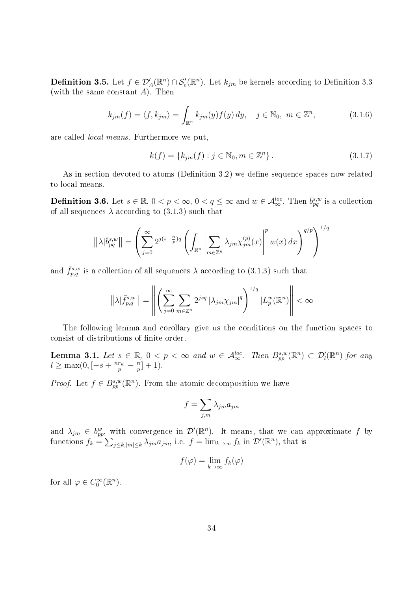**Definition 3.5.** Let  $f \in \mathcal{D}'_A(\mathbb{R}^n) \cap \mathcal{S}'_e(\mathbb{R}^n)$ . Let  $k_{jm}$  be kernels according to Definition 3.3 (with the same constant  $A$ ). Then

$$
k_{jm}(f) = \langle f, k_{jm} \rangle = \int_{\mathbb{R}^n} k_{jm}(y) f(y) dy, \quad j \in \mathbb{N}_0, \ m \in \mathbb{Z}^n,
$$
 (3.1.6)

are called local means. Furthermore we put,

$$
k(f) = \{k_{jm}(f) : j \in \mathbb{N}_0, m \in \mathbb{Z}^n\}.
$$
\n(3.1.7)

As in section devoted to atoms (Definition 3.2) we define sequence spaces now related to local means.

**Definition 3.6.** Let  $s \in \mathbb{R}$ ,  $0 < p < \infty$ ,  $0 < q \leq \infty$  and  $w \in \mathcal{A}_{\infty}^{loc}$ . Then  $\bar{b}_{pq}^{s,w}$  is a collection of all sequences  $\lambda$  according to (3.1.3) such that

$$
\left\| \lambda |\bar{b}_{pq}^{s,w} \right\| = \left( \sum_{j=0}^{\infty} 2^{j(s-\frac{n}{p})q} \left( \int_{\mathbb{R}^n} \left| \sum_{m \in \mathbb{Z}^n} \lambda_{jm} \chi_{jm}^{(p)}(x) \right|^p w(x) \, dx \right)^{q/p} \right)^{1/q}
$$

and  $\bar{f}_{p,q}^{s,w}$  is a collection of all sequences  $\lambda$  according to (3.1.3) such that

$$
\left\|\lambda|\bar{f}_{p,q}^{s,w}\right\| = \left\|\left(\sum_{j=0}^{\infty}\sum_{m\in\mathbb{Z}^n}2^{jsq}\left|\lambda_{jm}\chi_{jm}\right|^{q}\right)^{1/q}|L_p^w(\mathbb{R}^n)\right\| < \infty
$$

The following lemma and corollary give us the conditions on the function spaces to consist of distributions of finite order.

**Lemma 3.1.** Let  $s \in \mathbb{R}$ ,  $0 < p < \infty$  and  $w \in \mathcal{A}_{\infty}^{loc}$ . Then  $B_{pp}^{s,w}(\mathbb{R}^n) \subset \mathcal{D}'_l(\mathbb{R}^n)$  for any  $l \geq \max(0, \left[-s + \frac{nr_w}{p} - \frac{n}{p}\right])$  $\frac{n}{p}]+1$ ).

*Proof.* Let  $f \in B_{pp}^{s,w}(\mathbb{R}^n)$ . From the atomic decomposition we have

$$
f = \sum_{j,m} \lambda_{jm} a_{jm}
$$

and  $\lambda_{jm} \in b^w_{pp}$ , with convergence in  $\mathcal{D}'(\mathbb{R}^n)$ . It means, that we can approximate f by functions  $f_k = \sum_{j \le k, |m| \le k} \lambda_{jm} a_{jm}$ , i.e.  $f = \lim_{k \to \infty} f_k$  in  $\mathcal{D}'(\mathbb{R}^n)$ , that is

$$
f(\varphi) = \lim_{k \to \infty} f_k(\varphi)
$$

for all  $\varphi \in C_0^{\infty}(\mathbb{R}^n)$ .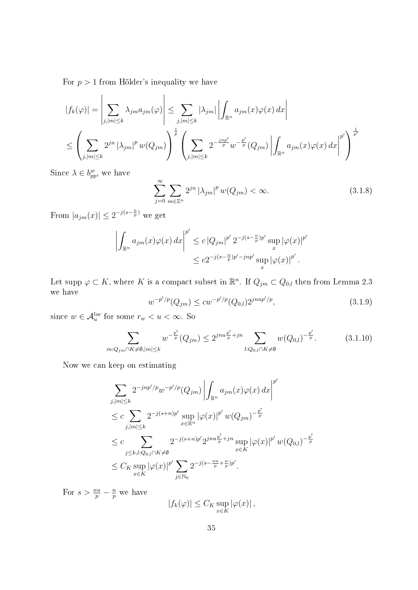For  $p > 1$  from Hölder's inequality we have

$$
|f_k(\varphi)| = \left| \sum_{j, |m| \le k} \lambda_{jm} a_{jm}(\varphi) \right| \le \sum_{j, |m| \le k} |\lambda_{jm}| \left| \int_{\mathbb{R}^n} a_{jm}(x) \varphi(x) dx \right|
$$
  

$$
\le \left( \sum_{j, |m| \le k} 2^{jn} |\lambda_{jm}|^p w(Q_{jm}) \right)^{\frac{1}{p}} \left( \sum_{j, |m| \le k} 2^{-\frac{inp'}{p}} w^{-\frac{p'}{p}} (Q_{jm}) \left| \int_{\mathbb{R}^n} a_{jm}(x) \varphi(x) dx \right|^{p'} \right)^{\frac{1}{p'}}
$$

Since  $\lambda \in b_{pp}^w$ , we have

$$
\sum_{j=0}^{\infty} \sum_{m \in \mathbb{Z}^n} 2^{jn} |\lambda_{jm}|^p w(Q_{jm}) < \infty.
$$
 (3.1.8)

From  $|a_{jm}(x)| \leq 2^{-j(s-\frac{n}{p})}$  we get

$$
\left| \int_{\mathbb{R}^n} a_{jm}(x) \varphi(x) \, dx \right|^{p'} \leq c \left| Q_{jm} \right|^{p'} 2^{-j(s-\frac{n}{p})p'} \sup_x |\varphi(x)|^{p'} \leq c 2^{-j(s-\frac{n}{p})p'-jnp'} \sup_x |\varphi(x)|^{p'}.
$$

Let supp  $\varphi \subset K$ , where K is a compact subset in  $\mathbb{R}^n$ . If  $Q_{jm} \subset Q_{0,l}$  then from Lemma 2.3 we have

$$
w^{-p'/p}(Q_{jm}) \le cw^{-p'/p}(Q_{0,l})2^{j n u p'/p}, \qquad (3.1.9)
$$

since  $w \in \mathcal{A}_u^{loc}$  for some  $r_w < u < \infty$ . So

$$
\sum_{m:Q_{jm}\cap K\neq\emptyset,|m|\leq k} w^{-\frac{p'}{p}}(Q_{jm}) \leq 2^{jnu\frac{p'}{p}+jn} \sum_{l:Q_{0,l}\cap K\neq\emptyset} w(Q_{0,l})^{-\frac{p'}{p}}.
$$
 (3.1.10)

Now we can keep on estimating

$$
\sum_{j,|m| \leq k} 2^{-jnp'/p} w^{-p'/p} (Q_{jm}) \left| \int_{\mathbb{R}^n} a_{jm}(x) \varphi(x) dx \right|^{p'} \n\leq c \sum_{j,|m| \leq k} 2^{-j(s+n)p'} \sup_{x \in \mathbb{R}^n} |\varphi(x)|^{p'} w (Q_{jm})^{-\frac{p'}{p}} \n\leq c \sum_{j \leq k,l: Q_{0,l} \cap K \neq \emptyset} 2^{-j(s+n)p'} 2^{jnu \frac{p'}{p} + jn} \sup_{x \in K} |\varphi(x)|^{p'} w (Q_{0,l})^{-\frac{p'}{p}} \n\leq C_K \sup_{x \in K} |\varphi(x)|^{p'} \sum_{j \in \mathbb{N}_0} 2^{-j(s-\frac{nu}{p} + \frac{n}{p})p'}.
$$

For  $s > \frac{nu}{p} - \frac{n}{p}$  $\frac{n}{p}$  we have

$$
|f_k(\varphi)| \leq C_K \sup_{x \in K} |\varphi(x)|,
$$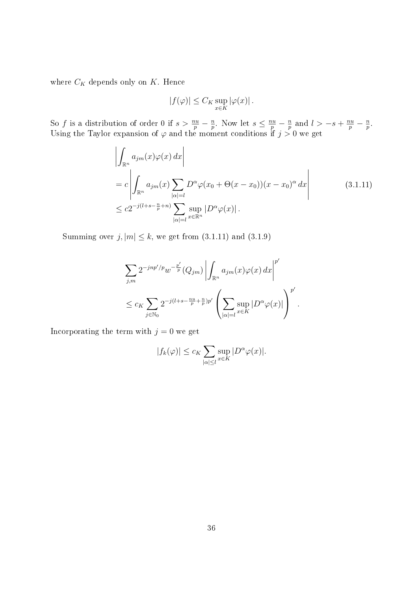where  $C_K$  depends only on  $K.$  Hence

$$
|f(\varphi)| \leq C_K \sup_{x \in K} |\varphi(x)|.
$$

So f is a distribution of order 0 if  $s > \frac{nu}{p} - \frac{n}{p}$  $\frac{n}{p}$ . Now let  $s \leq \frac{nu}{p} - \frac{n}{p}$  $\frac{n}{p}$  and  $l > -s + \frac{nu}{p} - \frac{n}{p}$  $\frac{n}{p}$  . Using the Taylor expansion of  $\varphi$  and the moment conditions if  $j > 0$  we get

$$
\left| \int_{\mathbb{R}^n} a_{jm}(x) \varphi(x) dx \right|
$$
  
=  $c \left| \int_{\mathbb{R}^n} a_{jm}(x) \sum_{|\alpha|=l} D^{\alpha} \varphi(x_0 + \Theta(x - x_0))(x - x_0)^{\alpha} dx \right|$  (3.1.11)  
 $\leq c 2^{-j(l+s-\frac{n}{p}+n)} \sum_{|\alpha|=l} \sup_{x \in \mathbb{R}^n} |D^{\alpha} \varphi(x)|.$ 

Summing over  $j, |m| \leq k$ , we get from  $(3.1.11)$  and  $(3.1.9)$ 

$$
\sum_{j,m} 2^{-jnp'/p} w^{-\frac{p'}{p}} (Q_{jm}) \left| \int_{\mathbb{R}^n} a_{jm}(x) \varphi(x) dx \right|^{p'}
$$
  

$$
\leq c_K \sum_{j \in \mathbb{N}_0} 2^{-j(l+s-\frac{nu}{p}+\frac{n}{p})p'} \left( \sum_{|\alpha|=l} \sup_{x \in K} |D^{\alpha} \varphi(x)| \right)^{p'}.
$$

Incorporating the term with  $j = 0$  we get

$$
|f_k(\varphi)| \le c_K \sum_{|\alpha| \le l} \sup_{x \in K} |D^{\alpha} \varphi(x)|.
$$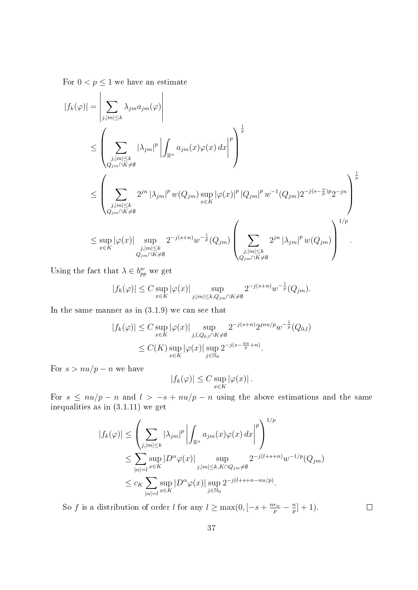For  $0 < p \leq 1$  we have an estimate

$$
\begin{split} |f_k(\varphi)|&=\left|\sum_{j,|m|\leq k}\lambda_{jm}a_{jm}(\varphi)\right|\\ &\leq \left(\sum_{\substack{j,|m|\leq k\\ Q_{jm}\cap K\neq \emptyset}}|\lambda_{jm}|^p\left|\int_{\mathbb{R}^n}a_{jm}(x)\varphi(x)\,dx\right|^p\right)^{\frac{1}{p}}\\ &\leq \left(\sum_{\substack{j,|m|\leq k\\ Q_{jm}\cap K\neq \emptyset}}2^{jn}|\lambda_{jm}|^pw(Q_{jm})\sup_{x\in K}|\varphi(x)|^p\left|Q_{jm}|^pw^{-1}(Q_{jm})2^{-j(s-\frac{n}{p})p}2^{-jn}\right|^{\frac{1}{p}}\\ &\leq \sup_{x\in K}|\varphi(x)|\sup_{\substack{j,|m|\leq k\\ Q_{jm}\cap K\neq \emptyset}}2^{-j(s+n)}w^{-\frac{1}{p}}(Q_{jm})\left(\sum_{\substack{j,|m|\leq k\\ Q_{jm}\cap K\neq \emptyset}}2^{jn}|\lambda_{jm}|^pw(Q_{jm})\right)^{1/p}. \end{split}
$$

Using the fact that  $\lambda \in b_{pp}^w$  we get

$$
|f_k(\varphi)| \le C \sup_{x \in K} |\varphi(x)| \sup_{j, |m| \le k, Q_{jm} \cap K \ne \emptyset} 2^{-j(s+n)} w^{-\frac{1}{p}}(Q_{jm}).
$$

In the same manner as in  $(3.1.9)$  we can see that

$$
|f_k(\varphi)| \le C \sup_{x \in K} |\varphi(x)| \sup_{j,l,Q_{0,l} \cap K \neq \emptyset} 2^{-j(s+n)} 2^{jnu/p} w^{-\frac{1}{p}}(Q_{0,l})
$$
  

$$
\le C(K) \sup_{x \in K} |\varphi(x)| \sup_{j \in \mathbb{N}_0} 2^{-j(s-\frac{nu}{p}+n)}.
$$

For  $s > nu/p - n$  we have

$$
|f_k(\varphi)| \leq C \sup_{x \in K} |\varphi(x)|.
$$

For  $s \leq nu/p - n$  and  $l > -s + nu/p - n$  using the above estimations and the same inequalities as in (3.1.11) we get

$$
|f_k(\varphi)| \leq \left(\sum_{j,|m| \leq k} |\lambda_{jm}|^p \left| \int_{\mathbb{R}^n} a_{jm}(x)\varphi(x) dx \right|^p \right)^{1/p}
$$
  

$$
\leq \sum_{|\alpha|=l} \sup_{x \in K} |D^{\alpha}\varphi(x)| \sup_{j,|m| \leq k, K \cap Q_{jm} \neq \emptyset} 2^{-j(l+s+n)} w^{-1/p} (Q_{jm})
$$
  

$$
\leq c_K \sum_{|\alpha|=l} \sup_{x \in K} |D^{\alpha}\varphi(x)| \sup_{j \in \mathbb{N}_0} 2^{-j(l+s+n-nu/p)}.
$$

So f is a distribution of order l for any  $l \ge \max(0, \left[-s + \frac{nr_w}{p} - \frac{n}{p}\right])$  $\frac{n}{p}]+1$ ).

 $\Box$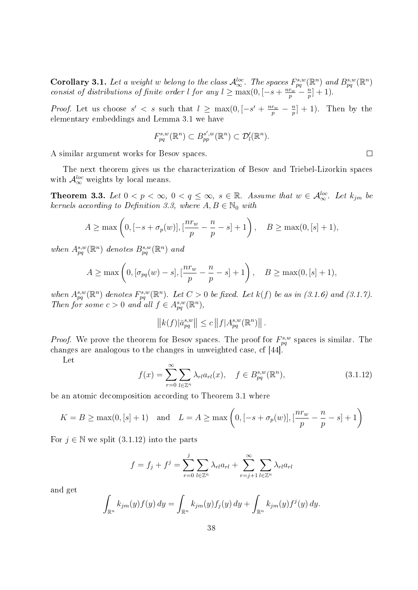**Corollary 3.1.** Let a weight w belong to the class  $\mathcal{A}_{\infty}^{loc}$ . The spaces  $F_{pq}^{s,w}(\mathbb{R}^n)$  and  $B_{pq}^{s,w}(\mathbb{R}^n)$ consist of distributions of finite order l for any  $l \geq \max(0, \left[-s + \frac{nr_w}{p} - \frac{n}{p}\right])$  $\frac{n}{p}]+1$ ).

*Proof.* Let us choose  $s' < s$  such that  $l \ge \max(0, \left[-s' + \frac{nr_w}{p} - \frac{n}{p}\right])$  $\frac{n}{p}]+1$ ). Then by the elementary embeddings and Lemma 3.1 we have

$$
F_{pq}^{s,w}(\mathbb{R}^n) \subset B_{pp}^{s',w}(\mathbb{R}^n) \subset \mathcal{D}'_l(\mathbb{R}^n).
$$

A similar argument works for Besov spaces.

The next theorem gives us the characterization of Besov and Triebel-Lizorkin spaces with  $\mathcal{A}_{\infty}^{loc}$  weights by local means.

**Theorem 3.3.** Let  $0 < p < \infty$ ,  $0 < q \leq \infty$ ,  $s \in \mathbb{R}$ . Assume that  $w \in \mathcal{A}_{\infty}^{loc}$ . Let  $k_{jm}$  be kernels according to Definition 3.3, where  $A, B \in \mathbb{N}_0$  with

$$
A \ge \max\left(0, [-s + \sigma_p(w)], [\frac{nr_w}{p} - \frac{n}{p} - s] + 1\right), \quad B \ge \max(0, [s] + 1),
$$

when  $A^{s,w}_{pq}(\mathbb{R}^n)$  denotes  $B^{s,w}_{pq}(\mathbb{R}^n)$  and

$$
A \ge \max\left(0, [\sigma_{pq}(w) - s], [\frac{nr_w}{p} - \frac{n}{p} - s] + 1\right), \quad B \ge \max(0, [s] + 1),
$$

when  $A_{pq}^{s,w}(\mathbb{R}^n)$  denotes  $F_{pq}^{s,w}(\mathbb{R}^n)$ . Let  $C>0$  be fixed. Let  $k(f)$  be as in (3.1.6) and (3.1.7). Then for some  $c > 0$  and all  $f \in A_{pq}^{s,w}(\mathbb{R}^n)$ ,

$$
||k(f)|\bar{a}_{pq}^{s,w}|| \leq c ||f|A_{pq}^{s,w}(\mathbb{R}^n)||.
$$

*Proof.* We prove the theorem for Besov spaces. The proof for  $F_{pq}^{s,w}$  spaces is similar. The changes are analogous to the changes in unweighted case, cf [44].

Let

$$
f(x) = \sum_{r=0}^{\infty} \sum_{l \in \mathbb{Z}^n} \lambda_{rl} a_{rl}(x), \quad f \in B_{pq}^{s,w}(\mathbb{R}^n),
$$
 (3.1.12)

be an atomic decomposition according to Theorem 3.1 where

$$
K = B \ge \max(0, [s] + 1)
$$
 and  $L = A \ge \max\left(0, [-s + \sigma_p(w)], \left[\frac{nr_w}{p} - \frac{n}{p} - s\right] + 1\right)$ 

For  $j \in \mathbb{N}$  we split  $(3.1.12)$  into the parts

$$
f = f_j + f^j = \sum_{r=0}^j \sum_{l \in \mathbb{Z}^n} \lambda_{rl} a_{rl} + \sum_{r=j+1}^\infty \sum_{l \in \mathbb{Z}^n} \lambda_{rl} a_{rl}
$$

and get

$$
\int_{\mathbb{R}^n} k_{jm}(y) f(y) dy = \int_{\mathbb{R}^n} k_{jm}(y) f_j(y) dy + \int_{\mathbb{R}^n} k_{jm}(y) f^j(y) dy.
$$

 $\Box$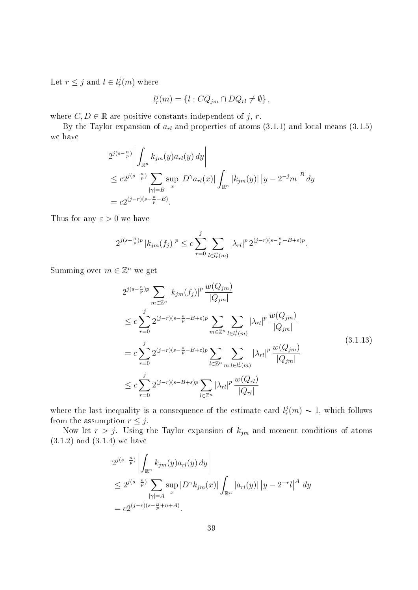Let  $r \leq j$  and  $l \in l_r^j(m)$  where

$$
l_r^j(m) = \{l : CQ_{jm} \cap DQ_{rl} \neq \emptyset\},\,
$$

where  $C, D \in \mathbb{R}$  are positive constants independent of j, r.

By the Taylor expansion of  $a_{rl}$  and properties of atoms (3.1.1) and local means (3.1.5) we have

$$
2^{j(s-\frac{n}{p})}\left|\int_{\mathbb{R}^n} k_{jm}(y)a_{rl}(y) dy\right|
$$
  
\n
$$
\leq c2^{j(s-\frac{n}{p})}\sum_{|\gamma|=B} \sup_x |D^{\gamma}a_{rl}(x)| \int_{\mathbb{R}^n} |k_{jm}(y)| |y - 2^{-j}m|^{B} dy
$$
  
\n
$$
= c2^{(j-r)(s-\frac{n}{p}-B)}.
$$

Thus for any  $\varepsilon > 0$  we have

$$
2^{j(s-\frac{n}{p})p} |k_{jm}(f_j)|^p \le c \sum_{r=0}^j \sum_{l \in l_r^j(m)} |\lambda_{rl}|^p 2^{(j-r)(s-\frac{n}{p}-B+\varepsilon)p}.
$$

Summing over  $m \in \mathbb{Z}^n$  we get

$$
2^{j(s-\frac{n}{p})p} \sum_{m \in \mathbb{Z}^n} |k_{jm}(f_j)|^p \frac{w(Q_{jm})}{|Q_{jm}|} \n\leq c \sum_{r=0}^j 2^{(j-r)(s-\frac{n}{p}-B+\varepsilon)p} \sum_{m \in \mathbb{Z}^n} \sum_{l \in l_r^j(m)} |\lambda_{rl}|^p \frac{w(Q_{jm})}{|Q_{jm}|} \n= c \sum_{r=0}^j 2^{(j-r)(s-\frac{n}{p}-B+\varepsilon)p} \sum_{l \in \mathbb{Z}^n} \sum_{m:l \in l_r^j(m)} |\lambda_{rl}|^p \frac{w(Q_{jm})}{|Q_{jm}|} \n\leq c \sum_{r=0}^j 2^{(j-r)(s-B+\varepsilon)p} \sum_{l \in \mathbb{Z}^n} |\lambda_{rl}|^p \frac{w(Q_{rl})}{|Q_{rl}|}
$$
\n(3.1.13)

where the last inequality is a consequence of the estimate card  $l_r^j(m) \sim 1$ , which follows from the assumption  $r \leq j$ .

Now let  $r > j$ . Using the Taylor expansion of  $k_{jm}$  and moment conditions of atoms (3.1.2) and (3.1.4) we have

$$
2^{j(s-\frac{n}{p})} \left| \int_{\mathbb{R}^n} k_{jm}(y) a_{rl}(y) dy \right|
$$
  
\n
$$
\leq 2^{j(s-\frac{n}{p})} \sum_{|\gamma|=A} \sup_x |D^{\gamma}k_{jm}(x)| \int_{\mathbb{R}^n} |a_{rl}(y)| |y - 2^{-r}l|^{A} dy
$$
  
\n
$$
= c2^{(j-r)(s-\frac{n}{p}+n+A)}.
$$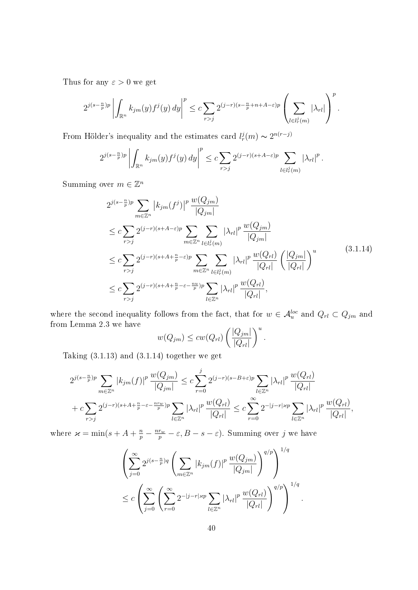Thus for any  $\varepsilon > 0$  we get

$$
2^{j(s-\frac{n}{p})p}\left|\int_{\mathbb{R}^n}k_{jm}(y)f^j(y)\,dy\right|^p\leq c\sum_{r>j}2^{(j-r)(s-\frac{n}{p}+n+A-\varepsilon)p}\left(\sum_{l\in l_r^j(m)}|\lambda_{rl}|\right)^p.
$$

From Hölder's inequality and the estimates card  $l_r^j(m) \sim 2^{n(r-j)}$ 

$$
2^{j(s-\frac{n}{p})p}\left|\int_{\mathbb{R}^n}k_{jm}(y)f^j(y)\,dy\right|^p\leq c\sum_{r>j}2^{(j-r)(s+A-\varepsilon)p}\sum_{l\in l_r^j(m)}|\lambda_{rl}|^p.
$$

Summing over  $m \in \mathbb{Z}^n$ 

$$
2^{j(s-\frac{n}{p})p} \sum_{m \in \mathbb{Z}^n} |k_{jm}(f^j)|^p \frac{w(Q_{jm})}{|Q_{jm}|} \n\leq c \sum_{r>j} 2^{(j-r)(s+A-\varepsilon)p} \sum_{m \in \mathbb{Z}^n} \sum_{l \in l_r^j(m)} |\lambda_{rl}|^p \frac{w(Q_{jm})}{|Q_{jm}|} \n\leq c \sum_{r>j} 2^{(j-r)(s+A+\frac{n}{p}-\varepsilon)p} \sum_{m \in \mathbb{Z}^n} \sum_{l \in l_r^j(m)} |\lambda_{rl}|^p \frac{w(Q_{rl})}{|Q_{rl}|} \left(\frac{|Q_{jm}|}{|Q_{rl}|}\right)^u \n\leq c \sum_{r>j} 2^{(j-r)(s+A+\frac{n}{p}-\varepsilon-\frac{nu}{p})p} \sum_{l \in \mathbb{Z}^n} |\lambda_{rl}|^p \frac{w(Q_{rl})}{|Q_{rl}|},
$$
\n(3.1.14)

where the second inequality follows from the fact, that for  $w \in \mathcal{A}_u^{loc}$  and  $Q_{rl} \subset Q_{jm}$  and from Lemma 2.3 we have

$$
w(Q_{jm}) \leq cw(Q_{rl}) \left(\frac{|Q_{jm}|}{|Q_{rl}|}\right)^u.
$$

Taking  $(3.1.13)$  and  $(3.1.14)$  together we get

$$
2^{j(s-\frac{n}{p})p} \sum_{m \in \mathbb{Z}^n} |k_{jm}(f)|^p \frac{w(Q_{jm})}{|Q_{jm}|} \leq c \sum_{r=0}^j 2^{(j-r)(s-B+\varepsilon)p} \sum_{l \in \mathbb{Z}^n} |\lambda_{rl}|^p \frac{w(Q_{rl})}{|Q_{rl}|} + c \sum_{r>j} 2^{(j-r)(s+A+\frac{n}{p}-\varepsilon-\frac{nrw}{p})p} \sum_{l \in \mathbb{Z}^n} |\lambda_{rl}|^p \frac{w(Q_{rl})}{|Q_{rl}|} \leq c \sum_{r=0}^\infty 2^{-|j-r| \times p} \sum_{l \in \mathbb{Z}^n} |\lambda_{rl}|^p \frac{w(Q_{rl})}{|Q_{rl}|},
$$

where  $\varkappa = \min(s + A + \frac{n}{p} - \frac{nr_w}{p} - \varepsilon, B - s - \varepsilon)$ . Summing over j we have

$$
\left(\sum_{j=0}^{\infty} 2^{j(s-\frac{n}{p})q} \left(\sum_{m\in\mathbb{Z}^n} |k_{jm}(f)|^p \frac{w(Q_{jm})}{|Q_{jm}|}\right)^{q/p}\right)^{1/q}
$$
  

$$
\leq c \left(\sum_{j=0}^{\infty} \left(\sum_{r=0}^{\infty} 2^{-|j-r|zp} \sum_{l\in\mathbb{Z}^n} |\lambda_{rl}|^p \frac{w(Q_{rl})}{|Q_{rl}|}\right)^{q/p}\right)^{1/q}.
$$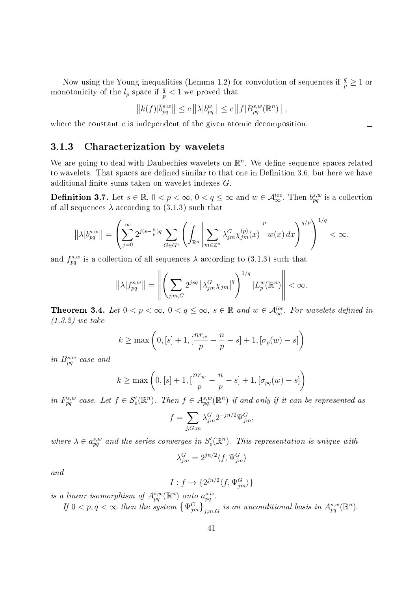Now using the Young inequalities (Lemma 1.2) for convolution of sequences if  $\frac{q}{p} \ge 1$  or monotonicity of the  $l_p$  space if  $\frac{q}{p} < 1$  we proved that

$$
\left\|k(f)|\bar b^{s,w}_{pq}\right\|\le c\left\|\lambda|b^w_{pq}\right\|\le c\left\|f|B^{s,w}_{pq}(\mathbb R^n)\right\|,
$$

where the constant c is independent of the given atomic decomposition.

#### 3.1.3 Characterization by wavelets

We are going to deal with Daubechies wavelets on  $\mathbb{R}^n$ . We define sequence spaces related to wavelets. That spaces are defined similar to that one in Definition 3.6, but here we have additional finite sums taken on wavelet indexes  $G$ .

**Definition 3.7.** Let  $s \in \mathbb{R}$ ,  $0 < p < \infty$ ,  $0 < q \leq \infty$  and  $w \in \mathcal{A}_{\infty}^{loc}$ . Then  $b_{pq}^{s,w}$  is a collection of all sequences  $\lambda$  according to (3.1.3) such that

$$
\left\|\lambda|b_{pq}^{s,w}\right\| = \left(\sum_{j=0}^{\infty} 2^{j(s-\frac{n}{p})q} \sum_{G \in G^j} \left(\int_{\mathbb{R}^n} \left|\sum_{m \in \mathbb{Z}^n} \lambda_{jm}^G \chi_{jm}^{(p)}(x)\right|^p w(x) \, dx\right)^{q/p}\right)^{1/q} < \infty.
$$

and  $f_{pq}^{s,w}$  is a collection of all sequences  $\lambda$  according to (3.1.3) such that

$$
\left\|\lambda|f_{pq}^{s,w}\right\| = \left\|\left(\sum_{j,m,G} 2^{jsq} \left|\lambda_{jm}^G \chi_{jm}\right|^q\right)^{1/q} |L_p^w(\mathbb{R}^n)\right\| < \infty.
$$

**Theorem 3.4.** Let  $0 < p < \infty$ ,  $0 < q \leq \infty$ ,  $s \in \mathbb{R}$  and  $w \in \mathcal{A}_{\infty}^{loc}$ . For wavelets defined in (1.3.2) we take

$$
k \ge \max\left(0, [s] + 1, \left[\frac{nr_w}{p} - \frac{n}{p} - s\right] + 1, \left[\sigma_p(w) - s\right]\right)
$$

in  $B_{pq}^{s,w}$  case and

$$
k \ge \max\left(0, [s] + 1, \left[\frac{nr_w}{p} - \frac{n}{p} - s\right] + 1, \left[\sigma_{pq}(w) - s\right]\right)
$$

in  $F_{pq}^{s,w}$  case. Let  $f \in \mathcal{S}'_{e}(\mathbb{R}^{n})$ . Then  $f \in A_{pq}^{s,w}(\mathbb{R}^{n})$  if and only if it can be represented as

$$
f = \sum_{j,G,m} \lambda_{jm}^G 2^{-jn/2} \Psi_{jm}^G,
$$

where  $\lambda \in a_{pq}^{s,w}$  and the series converges in  $S'_{e}(\mathbb{R}^{n})$ . This representation is unique with

$$
\lambda^G_{jm}=2^{jn/2}\langle f,\Psi^G_{jm}\rangle
$$

and

$$
I: f \mapsto \{2^{jn/2}\langle f, \Psi_{jm}^G \rangle\}
$$

is a linear isomorphism of  $A_{pq}^{s,w}(\mathbb{R}^n)$  onto  $a_{pq}^{s,w}$ .

If  $0 < p, q < \infty$  then the system  $\left\{\Psi_{jm}^G\right\}_{j,m,G}$  is an unconditional basis in  $A_{pq}^{s,w}(\mathbb{R}^n)$ .

 $\Box$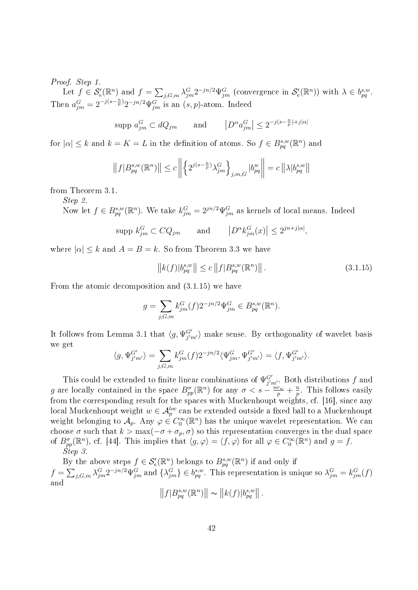#### Proof. Step 1.

Let  $f \in \mathcal{S}'_e(\mathbb{R}^n)$  and  $f = \sum_{j,G,m} \lambda_{jm}^G 2^{-jn/2} \Psi_{jm}^G$  (convergence in  $\mathcal{S}'_e(\mathbb{R}^n)$ ) with  $\lambda \in b_{pq}^{s,w}$ . Then  $a_{jm}^G = 2^{-j(s-\frac{n}{p})} 2^{-jn/2} \Psi_{jm}^G$  is an  $(s, p)$ -atom. Indeed

$$
\text{supp } a_{jm}^G \subset dQ_{jm} \qquad \text{and} \qquad \left| D^{\alpha} a_{jm}^G \right| \le 2^{-j(s-\frac{n}{p})+j|\alpha|}
$$

for  $|\alpha| \leq k$  and  $k = K = L$  in the definition of atoms. So  $f \in B_{pq}^{s,w}(\mathbb{R}^n)$  and

$$
||f|B_{pq}^{s,w}(\mathbb{R}^n)|| \leq c \left\| \left\{ 2^{j(s-\frac{n}{p})} \lambda_{jm}^G \right\}_{j,m,G} |b_{pq}^w \right\| = c \left\| \lambda |b_{pq}^{s,w} \right\|
$$

from Theorem 3.1.

Step 2.

Now let  $f \in B_{pq}^{s,w}(\mathbb{R}^n)$ . We take  $k_{jm}^G = 2^{jn/2} \Psi_{jm}^G$  as kernels of local means. Indeed

$$
\text{supp } k_{jm}^G \subset CQ_{jm} \qquad \text{and} \qquad \left| D^{\alpha} k_{jm}^G(x) \right| \le 2^{jn+j|\alpha|},
$$

where  $|\alpha| \leq k$  and  $A = B = k$ . So from Theorem 3.3 we have

$$
||k(f)|b_{pq}^{s,w}|| \le c ||f|B_{pq}^{s,w}(\mathbb{R}^n)||.
$$
\n(3.1.15)

From the atomic decomposition and (3.1.15) we have

$$
g = \sum_{j,G,m} k_{jm}^G(f) 2^{-jn/2} \Psi_{jm}^G \in B_{pq}^{s,w}(\mathbb{R}^n).
$$

It follows from Lemma 3.1 that  $\langle g, \Psi_{j'm'}^{G'} \rangle$  make sense. By orthogonality of wavelet basis we get

$$
\langle g, \Psi_{j'm'}^{G'} \rangle = \sum_{j,G,m} k_{jm}^G(f) 2^{-jn/2} \langle \Psi_{jm}^G, \Psi_{j'm'}^{G'} \rangle = \langle f, \Psi_{j'm'}^{G'} \rangle.
$$

This could be extended to finite linear combinations of  $\Psi_{j'm'}^{G'}$ . Both distributions f and g are locally contained in the space  $B_{pp}^{\sigma}(\mathbb{R}^n)$  for any  $\sigma < s - \frac{n r_w}{p} + \frac{n}{p}$  $\frac{n}{p}$ . This follows easily from the corresponding result for the spaces with Muckenhoupt weights, cf. [16], since any local Muckenhoupt weight  $w \in \mathcal{A}_p^{loc}$  can be extended outside a fixed ball to a Muckenhoupt weight belonging to  $\mathcal{A}_p$ . Any  $\varphi \in C_0^{\infty}(\mathbb{R}^n)$  has the unique wavelet representation. We can choose  $\sigma$  such that  $k > \max(-\sigma + \sigma_p, \sigma)$  so this representation converges in the dual space of  $B_{pp}^{\sigma}(\mathbb{R}^n)$ , cf. [44]. This implies that  $\langle g, \varphi \rangle = \langle f, \varphi \rangle$  for all  $\varphi \in C_0^{\infty}(\mathbb{R}^n)$  and  $g = f$ . Step 3.

By the above steps  $f \in \mathcal{S}'_e(\mathbb{R}^n)$  belongs to  $B^{s,w}_{pq}(\mathbb{R}^n)$  if and only if  $f = \sum_{j,G,m} \lambda_{jm}^G 2^{-jn/2} \Psi_{jm}^G$  and  $\{\lambda_{jm}^G\} \in b_{pq}^{s,w}$ . This representation is unique so  $\lambda_{jm}^G = k_{jm}^G(f)$ and

$$
||f|B_{pq}^{s,w}(\mathbb{R}^n)|| \sim ||k(f)|b_{pq}^{s,w}||.
$$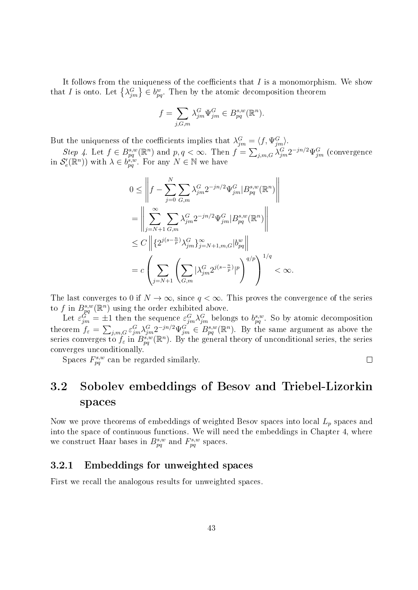It follows from the uniqueness of the coefficients that  $I$  is a monomorphism. We show that I is onto. Let  $\{\lambda_{jm}^G\} \in b_{pq}^w$ . Then by the atomic decomposition theorem

$$
f=\sum_{j,G,m}\lambda^G_{jm}\Psi^G_{jm}\in B^{s,w}_{pq}(\mathbb{R}^n).
$$

But the uniqueness of the coefficients implies that  $\lambda_{jm}^G = \langle f, \Psi_{jm}^G \rangle$ .

Step 4. Let  $f \in B_{pq}^{s,w}(\mathbb{R}^n)$  and  $p, q < \infty$ . Then  $f = \sum_{j,m,G} \lambda_{jm}^G 2^{-jn/2} \Psi_{jm}^G$  (convergence in  $\mathcal{S}'_e(\mathbb{R}^n)$  with  $\lambda \in b_{pq}^{\mathfrak{s},w}$ . For any  $N \in \mathbb{N}$  we have

$$
0 \leq \left\| f - \sum_{j=0}^{N} \sum_{G,m} \lambda_{jm}^{G} 2^{-jn/2} \Psi_{jm}^{G} | B_{pq}^{s,w}(\mathbb{R}^{n}) \right\|
$$
  
\n
$$
= \left\| \sum_{j=N+1}^{\infty} \sum_{G,m} \lambda_{jm}^{G} 2^{-jn/2} \Psi_{jm}^{G} | B_{pq}^{s,w}(\mathbb{R}^{n}) \right\|
$$
  
\n
$$
\leq C \left\| \{ 2^{j(s-\frac{n}{p})} \lambda_{jm}^{G} \}_{j=N+1,m,G}^{\infty} | b_{pq}^{w} \right\|
$$
  
\n
$$
= c \left( \sum_{j=N+1}^{\infty} \left( \sum_{G,m} | \lambda_{jm}^{G} 2^{j(s-\frac{n}{p})} |^{p} \right)^{q/p} \right)^{1/q} < \infty.
$$

The last converges to 0 if  $N \to \infty$ , since  $q < \infty$ . This proves the convergence of the series to f in  $B_{pq}^{s,w}(\mathbb{R}^n)$  using the order exhibited above.

Let  $\varepsilon_{jm}^G = \pm 1$  then the sequence  $\varepsilon_{jm}^G \lambda_{jm}^G$  belongs to  $b_{pq}^{s,w}$ . So by atomic decomposition theorem  $f_{\varepsilon} = \sum_{j,m,G} \varepsilon_{jm}^G \lambda_{jm}^G 2^{-jn/2} \Psi_{jm}^G \in B_{pq}^{s,w}(\mathbb{R}^n)$ . By the same argument as above the series converges to  $f_{\varepsilon}$  in  $B_{pq}^{s,w}(\mathbb{R}^n)$ . By the general theory of unconditional series, the series converges unconditionally.

Spaces  $F_{pq}^{s,w}$  can be regarded similarly.

 $\Box$ 

# 3.2 Sobolev embeddings of Besov and Triebel-Lizorkin spaces

Now we prove theorems of embeddings of weighted Besov spaces into local  $L_p$  spaces and into the space of continuous functions. We will need the embeddings in Chapter 4, where we construct Haar bases in  $B_{pq}^{s,w}$  and  $F_{pq}^{s,w}$  spaces.

## 3.2.1 Embeddings for unweighted spaces

First we recall the analogous results for unweighted spaces.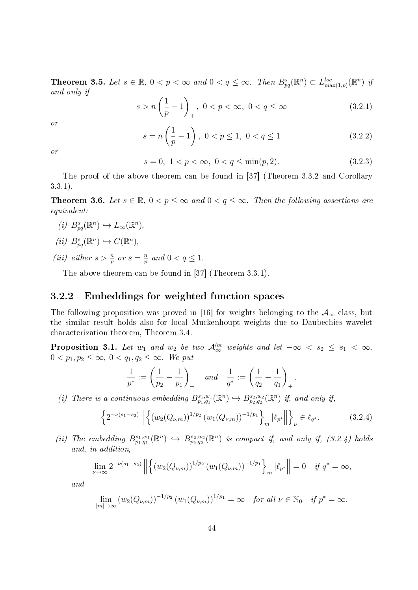**Theorem 3.5.** Let  $s \in \mathbb{R}$ ,  $0 < p < \infty$  and  $0 < q \leq \infty$ . Then  $B_{pq}^s(\mathbb{R}^n) \subset L_{\max(1,p)}^{loc}(\mathbb{R}^n)$  if and only if

$$
s > n\left(\frac{1}{p} - 1\right)_+, \ 0 < p < \infty, \ 0 < q \le \infty \tag{3.2.1}
$$

or

$$
s = n\left(\frac{1}{p} - 1\right), \ 0 < p \le 1, \ 0 < q \le 1 \tag{3.2.2}
$$

or

$$
s = 0, \ 1 < p < \infty, \ 0 < q \le \min(p, 2). \tag{3.2.3}
$$

The proof of the above theorem can be found in [37] (Theorem 3.3.2 and Corollary 3.3.1).

**Theorem 3.6.** Let  $s \in \mathbb{R}$ ,  $0 < p \leq \infty$  and  $0 < q \leq \infty$ . Then the following assertions are equivalent:

- (i)  $B_{pq}^s(\mathbb{R}^n) \hookrightarrow L_\infty(\mathbb{R}^n)$ ,
- (ii)  $B_{pq}^{s}(\mathbb{R}^n) \hookrightarrow C(\mathbb{R}^n)$ ,
- (*iii*) either  $s > \frac{n}{p}$  or  $s = \frac{n}{p}$  $\frac{n}{p}$  and  $0 < q \leq 1$ .

The above theorem can be found in [37] (Theorem 3.3.1).

#### 3.2.2 Embeddings for weighted function spaces

The following proposition was proved in [16] for weights belonging to the  $A_{\infty}$  class, but the similar result holds also for local Muckenhoupt weights due to Daubechies wavelet characterization theorem, Theorem 3.4.

**Proposition 3.1.** Let  $w_1$  and  $w_2$  be two  $\mathcal{A}_{\infty}^{loc}$  weights and let  $-\infty < s_2 \leq s_1 < \infty$ ,  $0 < p_1, p_2 \leq \infty, 0 < q_1, q_2 \leq \infty$ . We put

$$
\frac{1}{p^*} := \left(\frac{1}{p_2} - \frac{1}{p_1}\right)_+ \quad and \quad \frac{1}{q^*} := \left(\frac{1}{q_2} - \frac{1}{q_1}\right)_+.
$$

(i) There is a continuous embedding  $B_{p_1,q_1}^{s_1,w_1}(\mathbb{R}^n) \hookrightarrow B_{p_2,q_2}^{s_2,w_2}(\mathbb{R}^n)$  if, and only if,

$$
\left\{2^{-\nu(s_1-s_2)} \left\| \left\{ \left( w_2(Q_{\nu,m}) \right)^{1/p_2} \left( w_1(Q_{\nu,m}) \right)^{-1/p_1} \right\}_m |\ell_{p^*}| \right\}_\nu \in \ell_{q^*}.
$$
 (3.2.4)

(ii) The embedding  $B^{s_1,w_1}_{p_1,q_1}(\mathbb{R}^n) \hookrightarrow B^{s_2,w_2}_{p_2,q_2}(\mathbb{R}^n)$  is compact if, and only if, (3.2.4) holds and, in addition,

$$
\lim_{\nu \to \infty} 2^{-\nu(s_1 - s_2)} \left\| \left\{ \left( w_2(Q_{\nu,m}) \right)^{1/p_2} \left( w_1(Q_{\nu,m}) \right)^{-1/p_1} \right\}_m |\ell_{p^*} \right\| = 0 \quad \text{if } q^* = \infty,
$$

and

$$
\lim_{|m| \to \infty} \left( w_2(Q_{\nu,m}) \right)^{-1/p_2} \left( w_1(Q_{\nu,m}) \right)^{1/p_1} = \infty \quad \text{for all } \nu \in \mathbb{N}_0 \quad \text{if } p^* = \infty.
$$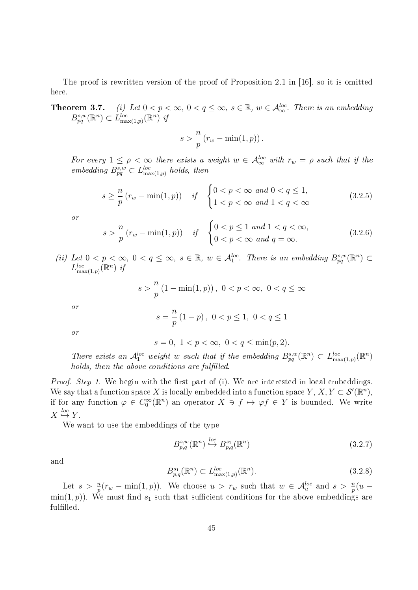The proof is rewritten version of the proof of Proposition 2.1 in [16], so it is omitted here.

**Theorem 3.7.** (i) Let  $0 < p < \infty$ ,  $0 < q \le \infty$ ,  $s \in \mathbb{R}$ ,  $w \in \mathcal{A}_{\infty}^{loc}$ . There is an embedding  $B_{pq}^{s,w}(\mathbb{R}^n) \subset L_{\max(1,p)}^{loc}(\mathbb{R}^n)$  if

$$
s > \frac{n}{p} (r_w - \min(1, p)).
$$

For every  $1 \leq \rho < \infty$  there exists a weight  $w \in \mathcal{A}_{\infty}^{loc}$  with  $r_w = \rho$  such that if the embedding  $B_{pq}^{s,w} \subset L_{\max(1,p)}^{loc}$  holds, then

$$
s \geq \frac{n}{p} (r_w - \min(1, p)) \quad \text{if} \quad \begin{cases} 0 < p < \infty \text{ and } 0 < q \leq 1, \\ 1 < p < \infty \text{ and } 1 < q < \infty \end{cases} \tag{3.2.5}
$$

or

$$
s > \frac{n}{p} (r_w - \min(1, p)) \quad \text{if} \quad \begin{cases} 0 < p \le 1 \text{ and } 1 < q < \infty, \\ 0 < p < \infty \text{ and } q = \infty. \end{cases} \tag{3.2.6}
$$

(ii) Let  $0 < p < \infty$ ,  $0 < q \leq \infty$ ,  $s \in \mathbb{R}$ ,  $w \in \mathcal{A}_1^{loc}$ . There is an embedding  $B_{pq}^{s,w}(\mathbb{R}^n)$  $L_{\max(1,p)}^{loc}(\mathbb{R}^n)$  if

$$
s > \frac{n}{p} (1 - \min(1, p)), \ 0 < p < \infty, \ 0 < q \le \infty
$$

$$
s = \frac{n}{p} (1 - p), \ 0 < p \le 1, \ 0 < q \le 1
$$

p

or

or

$$
s = 0, \ 1 < p < \infty, \ 0 < q \le \min(p, 2).
$$

There exists an  $\mathcal{A}_1^{loc}$  weight w such that if the embedding  $B_{pq}^{s,w}(\mathbb{R}^n) \subset L_{\max(1,p)}^{loc}(\mathbb{R}^n)$ holds, then the above conditions are fulfilled.

*Proof. Step 1.* We begin with the first part of (i). We are interested in local embeddings. We say that a function space X is locally embedded into a function space  $Y, X, Y \subset \mathcal{S}'(\mathbb{R}^n)$ , if for any function  $\varphi \in C_0^{\infty}(\mathbb{R}^n)$  an operator  $X \ni f \mapsto \varphi f \in Y$  is bounded. We write  $X \stackrel{loc}{\hookrightarrow} Y$ .

We want to use the embeddings of the type

$$
B_{p,q}^{s,w}(\mathbb{R}^n) \stackrel{loc}{\hookrightarrow} B_{p,q}^{s_1}(\mathbb{R}^n)
$$
\n(3.2.7)

and

$$
B_{p,q}^{s_1}(\mathbb{R}^n) \subset L_{\max(1,p)}^{loc}(\mathbb{R}^n). \tag{3.2.8}
$$

Let  $s > \frac{n}{p}(r_w - \min(1, p))$ . We choose  $u > r_w$  such that  $w \in \mathcal{A}_u^{loc}$  and  $s > \frac{n}{p}(u$ min(1, p)). We must find  $s_1$  such that sufficient conditions for the above embeddings are fulfilled.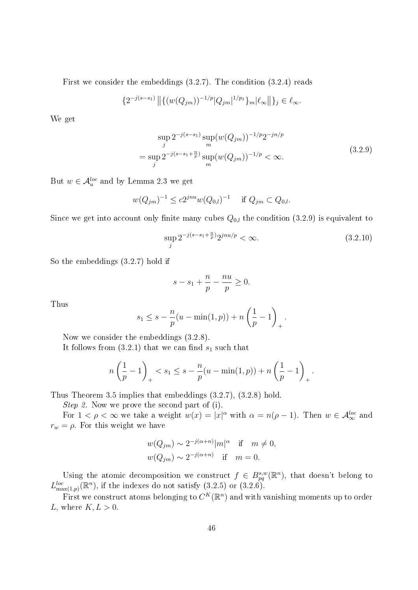First we consider the embeddings (3.2.7). The condition (3.2.4) reads

$$
\{2^{-j(s-s_1)}\|\{(w(Q_{jm}))^{-1/p}|Q_{jm}|^{1/p_1}\}_m|\ell_\infty\|\}_j\in\ell_\infty.
$$

We get

$$
\sup_{j} 2^{-j(s-s_1)} \sup_{m} (w(Q_{jm}))^{-1/p} 2^{-jn/p}
$$
  
= 
$$
\sup_{j} 2^{-j(s-s_1+\frac{n}{p})} \sup_{m} (w(Q_{jm}))^{-1/p} < \infty.
$$
 (3.2.9)

But  $w \in \mathcal{A}_u^{loc}$  and by Lemma 2.3 we get

$$
w(Q_{jm})^{-1} \le c2^{jnu}w(Q_{0,l})^{-1}
$$
 if  $Q_{jm} \subset Q_{0,l}$ .

Since we get into account only finite many cubes  $Q_{0,l}$  the condition (3.2.9) is equivalent to

$$
\sup_{j} 2^{-j(s-s_1+\frac{n}{p})} 2^{jnu/p} < \infty. \tag{3.2.10}
$$

So the embeddings (3.2.7) hold if

$$
s - s_1 + \frac{n}{p} - \frac{nu}{p} \ge 0.
$$

Thus

$$
s_1 \leq s - \frac{n}{p}(u - \min(1, p)) + n\left(\frac{1}{p} - 1\right)_+.
$$

Now we consider the embeddings (3.2.8).

It follows from  $(3.2.1)$  that we can find  $s_1$  such that

$$
n\left(\frac{1}{p} - 1\right)_{+} < s_1 \le s - \frac{n}{p}(u - \min(1, p)) + n\left(\frac{1}{p} - 1\right)_{+}.
$$

Thus Theorem 3.5 implies that embeddings (3.2.7), (3.2.8) hold.

Step 2. Now we prove the second part of (i).

For  $1 < \rho < \infty$  we take a weight  $w(x) = |x|^{\alpha}$  with  $\alpha = n(\rho - 1)$ . Then  $w \in \mathcal{A}_{\infty}^{loc}$  and  $r_w = \rho$ . For this weight we have

$$
w(Q_{jm}) \sim 2^{-j(\alpha+n)} |m|^{\alpha} \quad \text{if} \quad m \neq 0,
$$
  

$$
w(Q_{jm}) \sim 2^{-j(\alpha+n)} \quad \text{if} \quad m = 0.
$$

Using the atomic decomposition we construct  $f \in B_{pq}^{s,w}(\mathbb{R}^n)$ , that doesn't belong to  $L_{\max(1,p)}^{loc}(\mathbb{R}^n)$ , if the indexes do not satisfy  $(3.2.5)$  or  $(3.2.6)$ .

First we construct atoms belonging to  $C^K(\mathbb{R}^n)$  and with vanishing moments up to order L, where  $K, L > 0$ .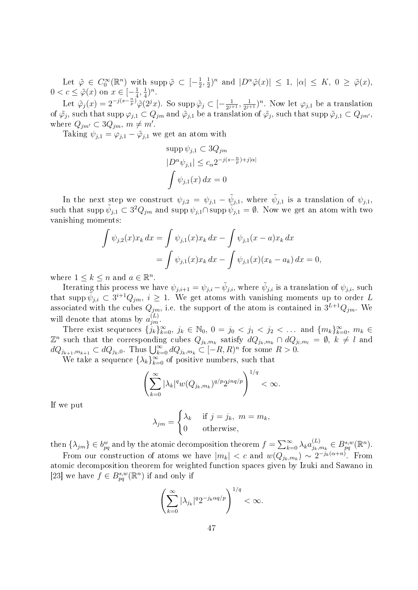Let  $\tilde{\varphi} \in C_0^{\infty}(\mathbb{R}^n)$  with  $\text{supp }\tilde{\varphi} \subset [-\frac{1}{2}]$  $\frac{1}{2}, \frac{1}{2}$  $\frac{1}{2}$ )<sup>n</sup> and  $|D^{\alpha}\tilde{\varphi}(x)| \leq 1$ ,  $|\alpha| \leq K$ ,  $0 \geq \tilde{\varphi}(x)$ ,  $0 < c \leq \tilde{\varphi}(x)$  on  $x \in \left[-\frac{1}{4}\right]$  $\frac{1}{4}, \frac{1}{4}$  $(\frac{1}{4})^n$ .

Let  $\tilde{\varphi}_j(x) = 2^{-j(s-\frac{n}{p})} \tilde{\varphi}(2^j x)$ . So supp  $\tilde{\varphi}_j \subset [-\frac{1}{2^{j+1}}]$  $\frac{1}{2^{j+1}}, \frac{1}{2^j}$  $\frac{1}{2^{j+1}}$ <sup>n</sup>. Now let  $\varphi_{j,1}$  be a translation of  $\tilde{\varphi}_j$ , such that supp  $\varphi_{j,1} \subset Q_{jm}$  and  $\tilde{\varphi}_{j,1}$  be a translation of  $\tilde{\varphi}_j$ , such that supp  $\tilde{\varphi}_{j,1} \subset Q_{jm'}$ , where  $Q_{jm'} \subset 3Q_{jm}$ ,  $m \neq m'$ .

Taking  $\psi_{j,1} = \varphi_{j,1} - \tilde{\varphi}_{j,1}$  we get an atom with

$$
\sup p \psi_{j,1} \subset 3Q_{jm}
$$
  
\n
$$
|D^{\alpha}\psi_{j,1}| \le c_{\alpha} 2^{-j(s-\frac{n}{p})+j|\alpha|}
$$
  
\n
$$
\int \psi_{j,1}(x) dx = 0
$$

In the next step we construct  $\psi_{j,2} = \psi_{j,1} - \tilde{\psi}_{j,1}$ , where  $\tilde{\psi}_{j,1}$  is a translation of  $\psi_{j,1}$ , such that supp  $\tilde{\psi}_{j,1} \subset 3^2 Q_{jm}$  and supp  $\tilde{\psi}_{j,1} \cap \text{supp } \tilde{\psi}_{j,1} = \emptyset$ . Now we get an atom with two vanishing moments:

$$
\int \psi_{j,2}(x)x_k dx = \int \psi_{j,1}(x)x_k dx - \int \psi_{j,1}(x-a)x_k dx
$$
  
= 
$$
\int \psi_{j,1}(x)x_k dx - \int \psi_{j,1}(x)(x_k - a_k) dx = 0,
$$

where  $1 \leq k \leq n$  and  $a \in \mathbb{R}^n$ .

Iterating this process we have  $\psi_{j,i+1}=\psi_{j,i}-\tilde{\psi}_{j,i},$  where  $\tilde{\psi}_{j,i}$  is a translation of  $\psi_{j,i},$  such that supp  $\tilde{\psi}_{j,i} \subset 3^{i+1}Q_{jm}$ ,  $i \geq 1$ . We get atoms with vanishing moments up to order L associated with the cubes  $Q_{jm}$ , i.e. the support of the atom is contained in  $3^{L+1}Q_{jm}$ . We will denote that atoms by  $a_{jm}^{(L)}$ .

There exist sequences  $\{j_k\}_{k=0}^{\infty}$ ,  $j_k \in \mathbb{N}_0$ ,  $0 = j_0 < j_1 < j_2 < \dots$  and  $\{m_k\}_{k=0}^{\infty}$ ,  $m_k \in$  $\mathbb{Z}^n$  such that the corresponding cubes  $Q_{j_k,m_k}$  satisfy  $dQ_{j_k,m_k} \cap dQ_{j_l,m_l} = \emptyset$ ,  $k \neq l$  and  $dQ_{j_{k+1},m_{k+1}} \subset dQ_{j_k,0}$ . Thus  $\bigcup_{k=0}^{\infty} dQ_{j_k,m_k} \subset [-R,R)^n$  for some  $R > 0$ .

We take a sequence  $\{\lambda_k\}_{k=0}^{\infty}$  of positive numbers, such that

$$
\left(\sum_{k=0}^{\infty} |\lambda_k|^q w(Q_{j_k,m_k})^{q/p} 2^{j n q/p}\right)^{1/q} < \infty.
$$

If we put

$$
\lambda_{jm} = \begin{cases} \lambda_k & \text{if } j = j_k, \ m = m_k, \\ 0 & \text{otherwise,} \end{cases}
$$

then  $\{\lambda_{jm}\}\in b_{pq}^w$  and by the atomic decomposition theorem  $f=\sum_{k=0}^{\infty}\lambda_k a_{j_k,i}^{(L)}$  $_{j_{k},m_{k}}^{(L)} \in B_{pq}^{s,w}(\mathbb{R}^{n}).$ 

From our construction of atoms we have  $|m_k| < c$  and  $w(Q_{j_k,m_k}) \sim 2^{-j_k(\alpha+n)}$ . From atomic decomposition theorem for weighted function spaces given by Izuki and Sawano in [23] we have  $f \in B_{pq}^{s,w}(\mathbb{R}^n)$  if and only if

$$
\left(\sum_{k=0}^{\infty} |\lambda_{j_k}|^q 2^{-j_k \alpha q/p}\right)^{1/q} < \infty.
$$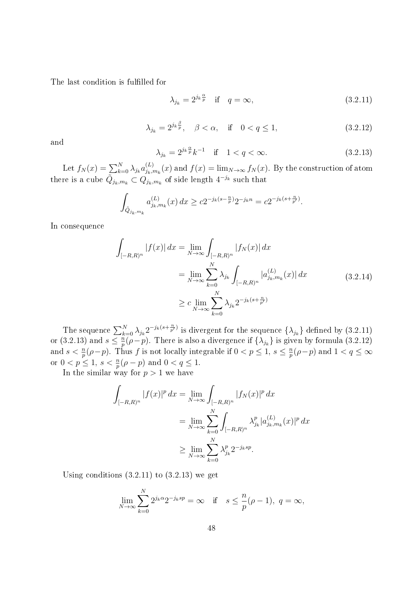The last condition is fulfilled for

$$
\lambda_{j_k} = 2^{j_k \frac{\alpha}{p}} \quad \text{if} \quad q = \infty,\tag{3.2.11}
$$

$$
\lambda_{j_k} = 2^{j_k \frac{\beta}{p}}, \quad \beta < \alpha, \quad \text{if} \quad 0 < q \le 1,
$$
\n(3.2.12)

and

$$
\lambda_{j_k} = 2^{j_k \frac{\alpha}{p}} k^{-1} \quad \text{if} \quad 1 < q < \infty. \tag{3.2.13}
$$

Let  $f_N(x) = \sum_{k=0}^{N} \lambda_{j_k} a_{j_k,i}^{(L)}$  $j_{k,m_k}(x)$  and  $f(x) = \lim_{N \to \infty} f_N(x)$ . By the construction of atom there is a cube  $\tilde{Q}_{j_k,m_k} \subset \tilde{Q}_{j_k,m_k}$  of side length  $4^{-j_k}$  such that

$$
\int_{\tilde{Q}_{j_k,m_k}} a_{j_k,m_k}^{(L)}(x) dx \ge c2^{-j_k(s-\frac{n}{p})} 2^{-j_k n} = c2^{-j_k(s+\frac{n}{p'})}.
$$

In consequence

$$
\int_{[-R,R)^n} |f(x)| dx = \lim_{N \to \infty} \int_{[-R,R)^n} |f_N(x)| dx
$$
\n
$$
= \lim_{N \to \infty} \sum_{k=0}^N \lambda_{j_k} \int_{[-R,R)^n} |a_{j_k,m_k}^{(L)}(x)| dx
$$
\n
$$
\geq c \lim_{N \to \infty} \sum_{k=0}^N \lambda_{j_k} 2^{-j_k(s + \frac{n}{p'})}
$$
\n(3.2.14)

The sequence  $\sum_{k=0}^N \lambda_{j_k} 2^{-j_k(s+\frac{n}{p'})}$  is divergent for the sequence  $\{\lambda_{j_k}\}$  defined by  $(3.2.11)$ or (3.2.13) and  $s \leq \frac{n}{n}$  $\frac{n}{p}(\rho-p).$  There is also a divergence if  $\{\lambda_{j_k}\}$  is given by formula  $(3.2.12)$ and  $s < \frac{n}{p}(\rho - p)$ . Thus f is not locally integrable if  $0 < p \leq 1$ ,  $s \leq \frac{n}{p}$  $\frac{n}{p}(\rho - p)$  and  $1 < q \leq \infty$ or  $0 < p \le 1$ ,  $s < \frac{n}{p}(\rho - p)$  and  $0 < q \le 1$ .

In the similar way for  $p > 1$  we have

$$
\int_{[-R,R)^n} |f(x)|^p dx = \lim_{N \to \infty} \int_{[-R,R)^n} |f_N(x)|^p dx
$$
  
= 
$$
\lim_{N \to \infty} \sum_{k=0}^N \int_{[-R,R)^n} \lambda_{j_k}^p |a_{j_k,m_k}^{(L)}(x)|^p dx
$$
  

$$
\geq \lim_{N \to \infty} \sum_{k=0}^N \lambda_{j_k}^p 2^{-j_k sp}.
$$

Using conditions  $(3.2.11)$  to  $(3.2.13)$  we get

$$
\lim_{N \to \infty} \sum_{k=0}^{N} 2^{j_k \alpha} 2^{-j_k s p} = \infty \quad \text{if} \quad s \le \frac{n}{p} (\rho - 1), \ q = \infty,
$$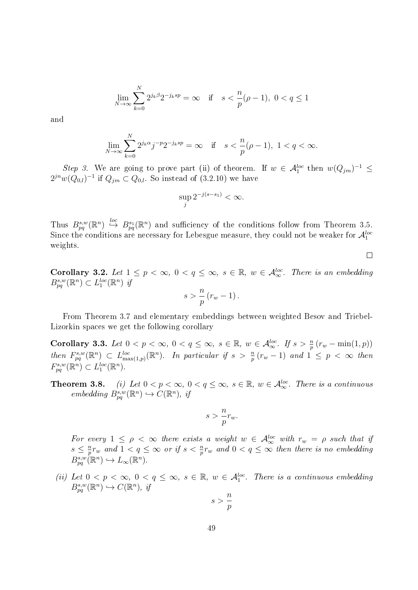$$
\lim_{N \to \infty} \sum_{k=0}^{N} 2^{j_k \beta} 2^{-j_k s p} = \infty \quad \text{if} \quad s < \frac{n}{p} (\rho - 1), \ 0 < q \le 1
$$

and

$$
\lim_{N \to \infty} \sum_{k=0}^{N} 2^{j_k \alpha} j^{-p} 2^{-j_k sp} = \infty \quad \text{if} \quad s < \frac{n}{p} (\rho - 1), \ 1 < q < \infty.
$$

Step 3. We are going to prove part (ii) of theorem. If  $w \in \mathcal{A}_1^{loc}$  then  $w(Q_{jm})^{-1} \leq$  $2^{jn}w(Q_{0,l})^{-1}$  if  $Q_{jm} \subset Q_{0,l}$ . So instead of  $(3.2.10)$  we have

$$
\sup_j 2^{-j(s-s_1)} < \infty.
$$

Thus  $B_{pq}^{s,w}(\mathbb{R}^n) \stackrel{loc}{\hookrightarrow} B_{pq}^{s_1}(\mathbb{R}^n)$  and sufficiency of the conditions follow from Theorem 3.5. Since the conditions are necessary for Lebesgue measure, they could not be weaker for  $\mathcal{A}_1^{loc}$ weights.

 $\Box$ 

Corollary 3.2. Let  $1 \leq p < \infty$ ,  $0 < q \leq \infty$ ,  $s \in \mathbb{R}$ ,  $w \in \mathcal{A}_{\infty}^{loc}$ . There is an embedding  $B_{pq}^{s,w}(\mathbb{R}^n) \subset L_1^{loc}(\mathbb{R}^n)$  if n

$$
s > \frac{n}{p}(r_w - 1).
$$

From Theorem 3.7 and elementary embeddings between weighted Besov and Triebel-Lizorkin spaces we get the following corollary

Corollary 3.3. Let  $0 < p < \infty$ ,  $0 < q \leq \infty$ ,  $s \in \mathbb{R}$ ,  $w \in \mathcal{A}_{\infty}^{loc}$ . If  $s > \frac{n}{p}(r_w - \min(1, p))$ then  $F_{pq}^{s,w}(\mathbb{R}^n) \subset L_{\max(1,p)}^{loc}(\mathbb{R}^n)$ . In particular if  $s > \frac{n}{p}(r_w-1)$  and  $1 \leq p < \infty$  then  $F_{pq}^{s,w}(\mathbb{R}^n) \subset L_1^{loc}(\mathbb{R}^n).$ 

**Theorem 3.8.** (i) Let  $0 < p < \infty$ ,  $0 < q \leq \infty$ ,  $s \in \mathbb{R}$ ,  $w \in \mathcal{A}_{\infty}^{loc}$ . There is a continuous embedding  $B_{pq}^{s,w}(\mathbb{R}^n) \hookrightarrow C(\mathbb{R}^n)$ , if

$$
s > \frac{n}{p} r_w.
$$

For every  $1 \leq \rho \leq \infty$  there exists a weight  $w \in \mathcal{A}_{\infty}^{loc}$  with  $r_w = \rho$  such that if  $s \leq \frac{n}{n}$  $\frac{n}{p}r_w$  and  $1 < q \leq \infty$  or if  $s < \frac{n}{p}r_w$  and  $0 < q \leq \infty$  then there is no embedding  $B_{pq}^{s,w}(\mathbb{R}^n) \hookrightarrow L_{\infty}(\mathbb{R}^n).$ 

(ii) Let  $0 < p < \infty$ ,  $0 < q \le \infty$ ,  $s \in \mathbb{R}$ ,  $w \in \mathcal{A}_1^{loc}$ . There is a continuous embedding  $B_{pq}^{s,w}(\mathbb{R}^n) \hookrightarrow C(\mathbb{R}^n)$ , if

$$
s>\frac{n}{p}
$$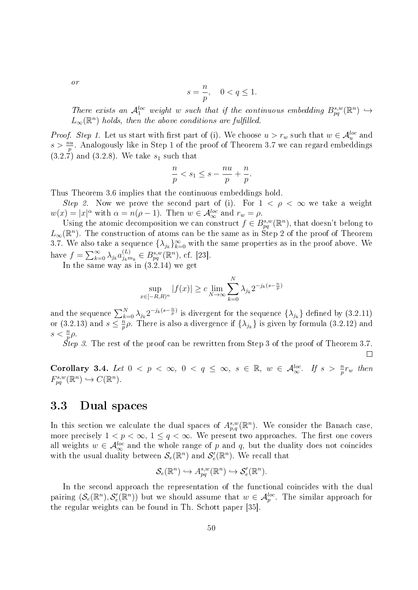or

$$
s = \frac{n}{p}, \quad 0 < q \le 1.
$$

There exists an  $\mathcal{A}_1^{loc}$  weight w such that if the continuous embedding  $B_{pq}^{s,w}(\mathbb{R}^n) \hookrightarrow$  $L_\infty(\mathbb{R}^n)$  holds, then the above conditions are fulfilled.

*Proof.* Step 1. Let us start with first part of (i). We choose  $u > r_w$  such that  $w \in A_u^{loc}$  and  $s > \frac{nu}{p}$ . Analogously like in Step 1 of the proof of Theorem 3.7 we can regard embeddings  $(3.2.\overline{7})$  and  $(3.2.8)$ . We take  $s_1$  such that

$$
\frac{n}{p} < s_1 \le s - \frac{nu}{p} + \frac{n}{p}.
$$

Thus Theorem 3.6 implies that the continuous embeddings hold.

Step 2. Now we prove the second part of (i). For  $1 < \rho < \infty$  we take a weight  $w(x) = |x|^{\alpha}$  with  $\alpha = n(\rho - 1)$ . Then  $w \in \mathcal{A}_{\infty}^{loc}$  and  $r_w = \rho$ .

Using the atomic decomposition we can construct  $f \in B_{pq}^{s,w}(\mathbb{R}^n)$ , that doesn't belong to  $L_{\infty}(\mathbb{R}^n)$ . The construction of atoms can be the same as in Step 2 of the proof of Theorem 3.7. We also take a sequence  $\{\lambda_{j_k}\}_{k=0}^{\infty}$  with the same properties as in the proof above. We have  $f = \sum_{k=0}^{\infty} \lambda_{j_k} a_{j_k n}^{(L)}$  $_{j_{k}m_{k}}^{(L)} \in B_{pq}^{s,w}(\mathbb{R}^{n}),$  cf. [23].

In the same way as in (3.2.14) we get

$$
\sup_{x \in [-R,R)^n} |f(x)| \ge c \lim_{N \to \infty} \sum_{k=0}^N \lambda_{j_k} 2^{-j_k(s - \frac{n}{p})}
$$

and the sequence  $\sum_{k=0}^{N} \lambda_{j_k} 2^{-j_k(s-\frac{n}{p})}$  is divergent for the sequence  $\{\lambda_{j_k}\}$  defined by  $(3.2.11)$ or  $(3.2.13)$  and  $s \leq \frac{n}{n}$  $\frac{n}{p}\rho$ . There is also a divergence if  $\{\lambda_{j_k}\}$  is given by formula (3.2.12) and  $s < \frac{n}{p}\rho$ .

*Step 3.* The rest of the proof can be rewritten from Step 3 of the proof of Theorem 3.7.

Corollary 3.4. Let  $0 < p < \infty$ ,  $0 < q \le \infty$ ,  $s \in \mathbb{R}$ ,  $w \in \mathcal{A}_{\infty}^{loc}$ . If  $s > \frac{n}{p}r_w$  then  $F_{pq}^{s,w}(\mathbb{R}^n) \hookrightarrow C(\mathbb{R}^n).$ 

## 3.3 Dual spaces

In this section we calculate the dual spaces of  $A_{p,q}^{s,w}(\mathbb{R}^n)$ . We consider the Banach case, more precisely  $1 < p < \infty$ ,  $1 \le q < \infty$ . We present two approaches. The first one covers all weights  $w \in \mathcal{A}_{\infty}^{loc}$  and the whole range of p and q, but the duality does not coincides with the usual duality between  $\mathcal{S}_e(\mathbb{R}^n)$  and  $\mathcal{S}'_e(\mathbb{R}^n)$ . We recall that

$$
\mathcal{S}_e(\mathbb{R}^n) \hookrightarrow A_{pq}^{s,w}(\mathbb{R}^n) \hookrightarrow \mathcal{S}'_e(\mathbb{R}^n).
$$

In the second approach the representation of the functional coincides with the dual pairing  $(S_e(\mathbb{R}^n), S'_e(\mathbb{R}^n))$  but we should assume that  $w \in \mathcal{A}_p^{loc}$ . The similar approach for the regular weights can be found in Th. Schott paper [35].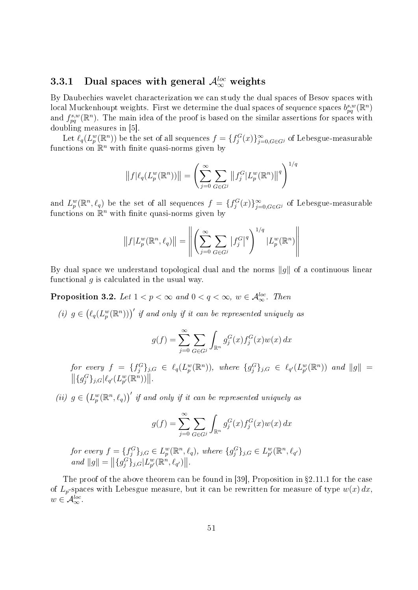# 3.3.1 Dual spaces with general  $\mathcal{A}_{\infty}^{loc}$  weights

By Daubechies wavelet characterization we can study the dual spaces of Besov spaces with  $\text{local Muckenhoupt weights.}$  First we determine the dual spaces of sequence spaces  $b_{pq}^{s,w}(\mathbb{R}^n)$ and  $f_{pq}^{s,w}(\mathbb{R}^n)$ . The main idea of the proof is based on the similar assertions for spaces with doubling measures in [5].

Let  $\ell_q(L_p^w(\mathbb{R}^n))$  be the set of all sequences  $f=\{f_j^G(x)\}_{j=0,G\in G^j}^\infty$  of Lebesgue-measurable functions on  $\mathbb{R}^n$  with finite quasi-norms given by

$$
||f|\ell_q(L_p^w(\mathbb{R}^n))|| = \left(\sum_{j=0}^{\infty} \sum_{G \in G^j} ||f_j^G| L_p^w(\mathbb{R}^n)||^q\right)^{1/q}
$$

and  $L_p^w(\mathbb{R}^n, \ell_q)$  be the set of all sequences  $f = \{f_j^G(x)\}_{j=0, G \in G^j}^{\infty}$  of Lebesgue-measurable functions on  $\mathbb{R}^n$  with finite quasi-norms given by

$$
||f|L_p^w(\mathbb{R}^n, \ell_q)|| = \left\| \left( \sum_{j=0}^{\infty} \sum_{G \in G^j} |f_j^G|^q \right)^{1/q} |L_p^w(\mathbb{R}^n)| \right\|
$$

By dual space we understand topological dual and the norms  $\|g\|$  of a continuous linear functional  $q$  is calculated in the usual way.

**Proposition 3.2.** Let  $1 < p < \infty$  and  $0 < q < \infty$ ,  $w \in \mathcal{A}_{\infty}^{loc}$ . Then

(i)  $g \in (\ell_q(L_p^w(\mathbb{R}^n)))'$  if and only if it can be represented uniquely as

$$
g(f) = \sum_{j=0}^{\infty} \sum_{G \in G^j} \int_{\mathbb{R}^n} g_j^G(x) f_j^G(x) w(x) dx
$$

for every  $f = \{f_j^G\}_{j,G} \in \ell_q(L_p^w(\mathbb{R}^n))$ , where  $\{g_j^G\}_{j,G} \in \ell_{q'}(L_{p'}^w(\mathbb{R}^n))$  and  $||g|| =$  $||\{g_j^G\}_{j,G}|\ell_{q'}(L_{p'}^w(\mathbb{R}^n))||.$ 

(ii)  $g \in (L_p^w(\mathbb{R}^n, \ell_q))^t$  if and only if it can be represented uniquely as

$$
g(f) = \sum_{j=0}^{\infty} \sum_{G \in G^j} \int_{\mathbb{R}^n} g_j^G(x) f_j^G(x) w(x) dx
$$

for every  $f = \{f_j^G\}_{j,G} \in L_p^w(\mathbb{R}^n, \ell_q)$ , where  $\{g_j^G\}_{j,G} \in L_{p'}^w(\mathbb{R}^n, \ell_{q'})$ and  $||g|| = ||\{g_j^G\}_{j,G}|L_{p'}^w(\mathbb{R}^n, \ell_{q'})||.$ 

The proof of the above theorem can be found in [39], Proposition in  $\S 2.11.1$  for the case of  $L_p$ -spaces with Lebesgue measure, but it can be rewritten for measure of type  $w(x) dx$ .  $w \in \mathcal{A}_{\infty}^{loc}.$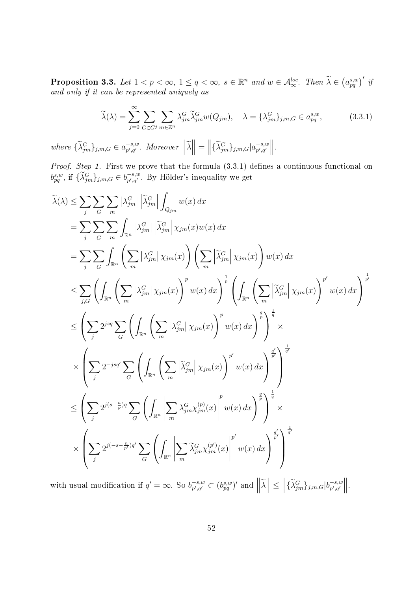**Proposition 3.3.** Let  $1 < p < \infty$ ,  $1 \leq q < \infty$ ,  $s \in \mathbb{R}^n$  and  $w \in \mathcal{A}_{\infty}^{loc}$ . Then  $\widetilde{\lambda} \in (a_{pq}^{s,w})'$  if and only if it can be represented uniquely as

$$
\widetilde{\lambda}(\lambda) = \sum_{j=0}^{\infty} \sum_{G \in G^j} \sum_{m \in \mathbb{Z}^n} \lambda_{jm}^G \widetilde{\lambda}_{jm}^G w(Q_{jm}), \quad \lambda = \{\lambda_{jm}^G\}_{j,m,G} \in a_{pq}^{s,w},\tag{3.3.1}
$$

where  $\{\widetilde{\lambda}_{jm}^G\}_{j,m,G} \in a_{p',q'}^{-s,w}$  $\begin{aligned} \mathcal{L}_{p',q'}^{-s,w} \text{. Moreover } \left\| \widetilde{\lambda} \right\| = \left\| \{\widetilde{\lambda}_{jm}^{G}\}_{j,m,G} | a_{p',q'}^{-s,w} \right\| \end{aligned}$  $\begin{vmatrix} -s,w \\ p',q' \end{vmatrix}$ .

*Proof. Step 1.* First we prove that the formula  $(3.3.1)$  defines a continuous functional on  $b_{pq}^{s,w}$ , if  $\{\widetilde{\lambda}_{jm}^{G}\}_{j,m,G} \in b_{p',q'}^{-s,w}$  $_{p',q'}^{-s,w}$ . By Hölder's inequality we get

$$
\tilde{\lambda}(\lambda) \leq \sum_{j} \sum_{G} \sum_{m} |\lambda_{jm}^{G}| \left| \tilde{\lambda}_{jm}^{G} \right| \int_{Q_{jm}} w(x) dx \n= \sum_{j} \sum_{G} \sum_{m} \int_{\mathbb{R}^{n}} |\lambda_{jm}^{G}| \left| \tilde{\lambda}_{jm}^{G} \right| \chi_{jm}(x) w(x) dx \n= \sum_{j} \sum_{G} \int_{\mathbb{R}^{n}} \left( \sum_{m} |\lambda_{jm}^{G}| \chi_{jm}(x) \right) \left( \sum_{m} |\tilde{\lambda}_{jm}^{G}| \chi_{jm}(x) \right) w(x) dx \n\leq \sum_{j,G} \left( \int_{\mathbb{R}^{n}} \left( \sum_{m} |\lambda_{jm}^{G}| \chi_{jm}(x) \right)^{p} w(x) dx \right)^{\frac{1}{p}} \left( \int_{\mathbb{R}^{n}} \left( \sum_{m} |\tilde{\lambda}_{jm}^{G}| \chi_{jm}(x) \right)^{p'} w(x) dx \right)^{\frac{1}{p'}} \n\leq \left( \sum_{j} 2^{jsq} \sum_{G} \left( \int_{\mathbb{R}^{n}} \left( \sum_{m} |\lambda_{jm}^{G}| \chi_{jm}(x) \right)^{p} w(x) dx \right)^{\frac{q}{p}} \right)^{\frac{1}{q}} \times \n\times \left( \sum_{j} 2^{-jsq'} \sum_{G} \left( \int_{\mathbb{R}^{n}} \left( \sum_{m} |\tilde{\lambda}_{jm}^{G}| \chi_{jm}(x) \right)^{p'} w(x) dx \right)^{\frac{q}{p'}} \right)^{\frac{1}{q'}} \n\leq \left( \sum_{j} 2^{js(s-\frac{n}{p})q} \sum_{G} \left( \int_{\mathbb{R}^{n}} \left| \sum_{m} \lambda_{jm}^{G} \chi_{jm}(x) \right|^{p'} w(x) dx \right)^{\frac{q}{p}} \right)^{\frac{1}{q}} \times \n\times \left( \sum_{j} 2^{j(s-\frac{n}{p})q'} \sum_{G} \left( \int_{\mathbb{R}^{n}} \left| \sum_{m} \tilde{\lambda}_{jm}^{G} \chi_{jm}^{(p)}(x) \right|^{p'} w(x) dx \right)^{\frac{q}{p'}} \right)^{\frac{1}{q'}}
$$

with usual modification if  $q' = \infty$ . So  $b_{n',q'}^{-s,w}$  $\left|\widetilde{p}_{p',q'}^{s,w}\subset (b_{pq}^{s,w})' \text{ and } \left|\left|\widetilde{\lambda}\right|\right| \leq \left\|\{\widetilde{\lambda}_{jm}^{G}\}_{j,m,G}|b_{p',q'}^{-s,w}\right\|$  $\begin{vmatrix} -s,w \\ p',q' \end{vmatrix}$ .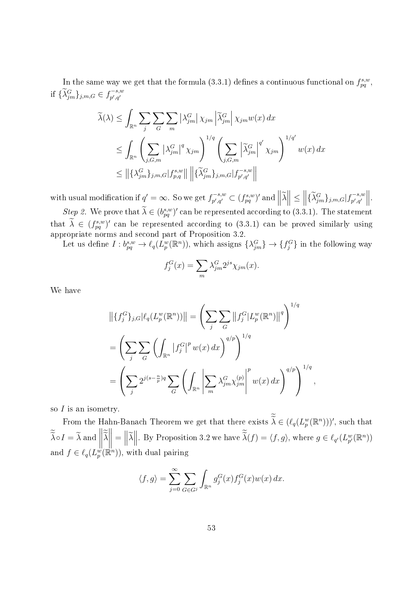In the same way we get that the formula (3.3.1) defines a continuous functional on  $f_{pq}^{s,w}$ , if  $\{\widetilde{\lambda}_{jm}^{G}\}_{j,m,G} \in f_{p',q'}^{-s,w}$  $p', q'$ 

$$
\widetilde{\lambda}(\lambda) \leq \int_{\mathbb{R}^n} \sum_{j} \sum_{G} \sum_{m} \left| \lambda_{jm}^G \right| \chi_{jm} \left| \widetilde{\lambda}_{jm}^G \right| \chi_{jm} w(x) dx
$$
\n
$$
\leq \int_{\mathbb{R}^n} \left( \sum_{j,G,m} \left| \lambda_{jm}^G \right|^q \chi_{jm} \right)^{1/q} \left( \sum_{j,G,m} \left| \widetilde{\lambda}_{jm}^G \right|^q' \chi_{jm} \right)^{1/q'} w(x) dx
$$
\n
$$
\leq \left\| \{\lambda_{jm}^G\}_{j,m,G} |f_{p,q}^{s,w} \right\| \left\| \{\widetilde{\lambda}_{jm}^G\}_{j,m,G} |f_{p',q'}^{-s,w} \right\|
$$

with usual modification if  $q' = \infty$ . So we get  $f_{n',q'}^{-s,w}$  $\mathcal{L}_{p',q'}^{(r-s,w)} \subset (f_{pq}^{s,w})'$  and  $\left\|\widetilde{\lambda}\right\| \leq \left\|\{\widetilde{\lambda}_{jm}^G\}_{j,m,G}| f_{p',q'}^{-s,w} \right\|$  $\begin{vmatrix} -s,w \\ p',q' \end{vmatrix}$ . Step 2. We prove that  $\tilde{\lambda} \in (b_{pq}^{s,w})'$  can be represented according to (3.3.1). The statement that  $\lambda \in (f_{pq}^{s,w})'$  can be represented according to (3.3.1) can be proved similarly using appropriate norms and second part of Proposition 3.2.

Let us define  $I: b_{pq}^{s,w} \to \ell_q(L_p^w(\mathbb{R}^n))$ , which assigns  $\{\lambda_{jm}^G\} \to \{f_j^G\}$  in the following way

$$
f_j^G(x) = \sum_m \lambda_{jm}^G 2^{js} \chi_{jm}(x).
$$

We have

$$
\left\| \{ f_j^G \}_{j,G} \left| \ell_q(L_p^w(\mathbb{R}^n)) \right| \right\| = \left( \sum_j \sum_G \left\| f_j^G | L_p^w(\mathbb{R}^n) \right\|^q \right)^{1/q}
$$

$$
= \left( \sum_j \sum_G \left( \int_{\mathbb{R}^n} \left| f_j^G \right|^p w(x) \, dx \right)^{q/p} \right)^{1/q}
$$

$$
= \left( \sum_j 2^{j(s - \frac{n}{p})q} \sum_G \left( \int_{\mathbb{R}^n} \left| \sum_m \lambda_{jm}^G \chi_{jm}^{(p)} \right|^p w(x) \, dx \right)^{q/p} \right)^{1/q}
$$

,

so  $I$  is an isometry.

From the Hahn-Banach Theorem we get that there exists  $\widetilde{\lambda} \in (\ell_q(L_p^w(\mathbb{R}^n)))'$ , such that  $\lambda \circ I = \lambda$  and  $\begin{array}{c} \hline \end{array}$  $\lambda$  $\mathbb{R}$  =  $\|\tilde{\lambda}\|$ . By Proposition 3.2 we have  $\tilde{\lambda}(f) = \langle f, g \rangle$ , where  $g \in \ell_{q'}(L_{p'}^w(\mathbb{R}^n))$ and  $f \in \ell_q(L_p^{\omega}(\mathbb{R}^n))$ , with dual pairing

$$
\langle f, g \rangle = \sum_{j=0}^{\infty} \sum_{G \in G^j} \int_{\mathbb{R}^n} g_j^G(x) f_j^G(x) w(x) dx.
$$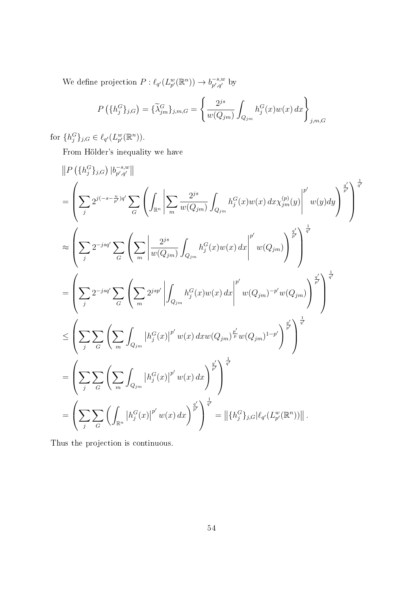We define projection  $P: \ell_{q'}(L_{p'}^w(\mathbb{R}^n)) \to b_{p',q'}^{-s,w}$  $\mathcal{L}_{p',q'}^{-s,w}$  by

$$
P\left(\{h_j^G\}_{j,G}\right) = \{\widetilde{\lambda}_{jm}^G\}_{j,m,G} = \left\{\frac{2^{js}}{w(Q_{jm})} \int_{Q_{jm}} h_j^G(x)w(x) \, dx\right\}_{j,m,G}
$$

for  $\{h_j^G\}_{j,G} \in \ell_{q'}(L_{p'}^w(\mathbb{R}^n))$ .

From Hölder's inequality we have

$$
\begin{split} &\left\| P\left(\{h_{j}^{G}\}_{j,G}\right) |b_{p',q'}^{-s,w} \right\| \\ &= \left( \sum_{j} 2^{j(-s-\frac{n}{p})q'} \sum_{G} \left( \int_{\mathbb{R}^{n}} \left| \sum_{m} \frac{2^{js}}{w(Q_{jm})} \int_{Q_{jm}} h_{j}^{G}(x) w(x) \, dx x_{jm}^{(p)}(y) \right|^{p'} w(y) dy \right)^{\frac{q'}{p'}} \right)^{\frac{1}{q'}} \\ &\approx \left( \sum_{j} 2^{-jsq'} \sum_{G} \left( \sum_{m} \left| \frac{2^{js}}{w(Q_{jm})} \int_{Q_{jm}} h_{j}^{G}(x) w(x) \, dx \right|^{p'} w(Q_{jm}) \right)^{\frac{q'}{p'}} \right)^{\frac{1}{q'}} \\ &= \left( \sum_{j} 2^{-jsq'} \sum_{G} \left( \sum_{m} 2^{jsp'} \left| \int_{Q_{jm}} h_{j}^{G}(x) w(x) \, dx \right|^{p'} w(Q_{jm})^{-p'} w(Q_{jm}) \right)^{\frac{q'}{p'}} \right)^{\frac{1}{q'}} \\ &\leq \left( \sum_{j} \sum_{G} \left( \sum_{m} \int_{Q_{jm}} |h_{j}^{G}(x)|^{p'} w(x) \, dx w(Q_{jm})^{\frac{p'}{p}} w(Q_{jm})^{1-p'} \right)^{\frac{q'}{p'}} \right)^{\frac{1}{q'}} \\ &= \left( \sum_{j} \sum_{G} \left( \sum_{m} \int_{Q_{jm}} |h_{j}^{G}(x)|^{p'} w(x) \, dx \right)^{\frac{q'}{p'}} \right)^{\frac{1}{q'}} \\ &= \left( \sum_{j} \sum_{G} \left( \int_{\mathbb{R}^{n}} |h_{j}^{G}(x)|^{p'} w(x) \, dx \right)^{\frac{q'}{p'}} \right)^{\frac{1}{q'}} = \left\| \{h_{j}^{G}\}_{j,G} | \ell_{q'}(L_{p}^{w}(\mathbb{R}^{n})) \right\|. \end{split}
$$

Thus the projection is continuous.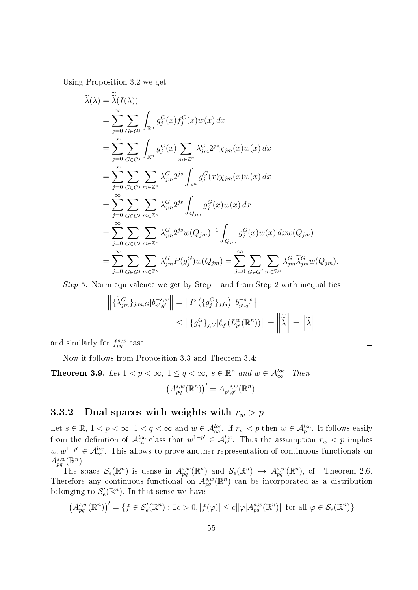Using Proposition 3.2 we get

$$
\tilde{\lambda}(\lambda) = \tilde{\lambda}(I(\lambda))
$$
\n
$$
= \sum_{j=0}^{\infty} \sum_{G \in G^j} \int_{\mathbb{R}^n} g_j^G(x) f_j^G(x) w(x) dx
$$
\n
$$
= \sum_{j=0}^{\infty} \sum_{G \in G^j} \int_{\mathbb{R}^n} g_j^G(x) \sum_{m \in \mathbb{Z}^n} \lambda_{jm}^G 2^{js} \chi_{jm}(x) w(x) dx
$$
\n
$$
= \sum_{j=0}^{\infty} \sum_{G \in G^j} \sum_{m \in \mathbb{Z}^n} \lambda_{jm}^G 2^{js} \int_{\mathbb{R}^n} g_j^G(x) \chi_{jm}(x) w(x) dx
$$
\n
$$
= \sum_{j=0}^{\infty} \sum_{G \in G^j} \sum_{m \in \mathbb{Z}^n} \lambda_{jm}^G 2^{js} \int_{Q_{jm}} g_j^G(x) w(x) dx
$$
\n
$$
= \sum_{j=0}^{\infty} \sum_{G \in G^j} \sum_{m \in \mathbb{Z}^n} \lambda_{jm}^G 2^{js} w(Q_{jm})^{-1} \int_{Q_{jm}} g_j^G(x) w(x) dx w(Q_{jm})
$$
\n
$$
= \sum_{j=0}^{\infty} \sum_{G \in G^j} \sum_{m \in \mathbb{Z}^n} \lambda_{jm}^G P(g_j^G) w(Q_{jm}) = \sum_{j=0}^{\infty} \sum_{G \in G^j} \sum_{m \in \mathbb{Z}^n} \lambda_{jm}^G \tilde{\lambda}_{jm}^G w(Q_{jm}).
$$

Step 3. Norm equivalence we get by Step 1 and from Step 2 with inequalities

$$
\left\| \{\widetilde{\lambda}_{jm}^{G}\}_{j,m,G} | b_{p',q'}^{-s,w} \right\| = \left\| P\left( \{g_j^{G}\}_{j,G} \right) | b_{p',q'}^{-s,w} \right\|
$$
  

$$
\leq \left\| \{g_j^{G}\}_{j,G} | \ell_{q'}(L_{p'}^w(\mathbb{R}^n)) \right\| = \left\| \widetilde{\widetilde{\lambda}} \right\| = \left\| \widetilde{\lambda} \right\|
$$

 $\Box$ 

and similarly for  $f_{pq}^{s,w}$  case.

Now it follows from Proposition 3.3 and Theorem 3.4:

**Theorem 3.9.** Let  $1 < p < \infty$ ,  $1 \leq q < \infty$ ,  $s \in \mathbb{R}^n$  and  $w \in \mathcal{A}_{\infty}^{loc}$ . Then  $(A^{s,w}_{pq}(\mathbb{R}^n))' = A^{-s,w}_{p',q'}$  $_{p',q'}^{-s,w}(\mathbb{R}^n)$ .

### 3.3.2 Dual spaces with weights with  $r_w > p$

Let  $s \in \mathbb{R}$ ,  $1 < p < \infty$ ,  $1 < q < \infty$  and  $w \in \mathcal{A}_{\infty}^{loc}$ . If  $r_w < p$  then  $w \in \mathcal{A}_{p}^{loc}$ . It follows easily from the definition of  $\mathcal{A}^{loc}_{\infty}$  class that  $w^{1-p'} \in \mathcal{A}^{loc}_{p'}$ . Thus the assumption  $r_w < p$  implies  $w, w^{1-p'} \in \mathcal{A}_{\infty}^{loc}$ . This allows to prove another representation of continuous functionals on  $A^{s,w}_{pq}(\mathbb{R}^n)$ .

The space  $\mathcal{S}_e(\mathbb{R}^n)$  is dense in  $A_{pq}^{s,w}(\mathbb{R}^n)$  and  $\mathcal{S}_e(\mathbb{R}^n) \hookrightarrow A_{pq}^{s,w}(\mathbb{R}^n)$ , cf. Theorem 2.6. Therefore any continuous functional on  $A_{pq}^{s,w}(\mathbb{R}^n)$  can be incorporated as a distribution belonging to  $\mathcal{S}'_e(\mathbb{R}^n)$ . In that sense we have  $\sqrt{m}$ 

$$
(A_{pq}^{s,w}(\mathbb{R}^n))' = \{ f \in \mathcal{S}'_e(\mathbb{R}^n) : \exists c > 0, |f(\varphi)| \le c ||\varphi| A_{pq}^{s,w}(\mathbb{R}^n) || \text{ for all } \varphi \in \mathcal{S}_e(\mathbb{R}^n) \}
$$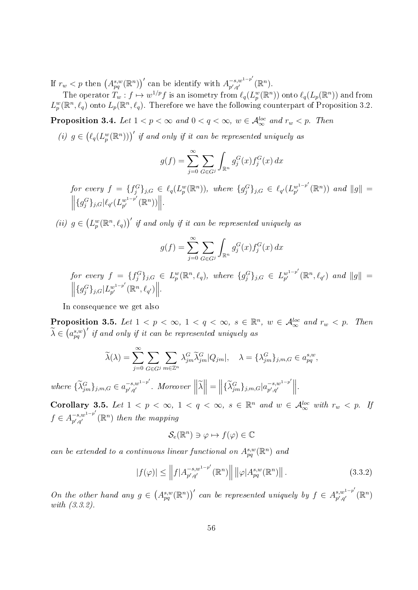If  $r_w < p$  then  $(A_{pq}^{s,w}(\mathbb{R}^n))'$  can be identify with  $A_{p',q'}^{-s,w^{1-p'}}$  $_{p^{\prime },q^{\prime }}^{-s,w^{1-p^{\prime }}}(\mathbb{R}^{n}).$ 

The operator  $T_w: f \mapsto w^{1/p}f$  is an isometry from  $\ell_q(L_p^w(\mathbb{R}^n))$  onto  $\ell_q(L_p(\mathbb{R}^n))$  and from  $L_p^w(\mathbb{R}^n, \ell_q)$  onto  $L_p(\mathbb{R}^n, \ell_q)$ . Therefore we have the following counterpart of Proposition 3.2.

**Proposition 3.4.** Let  $1 < p < \infty$  and  $0 < q < \infty$ ,  $w \in \mathcal{A}_{\infty}^{loc}$  and  $r_w < p$ . Then

(i)  $g \in (\ell_q(L_p^w(\mathbb{R}^n)))'$  if and only if it can be represented uniquely as

$$
g(f) = \sum_{j=0}^{\infty} \sum_{G \in G^j} \int_{\mathbb{R}^n} g_j^G(x) f_j^G(x) dx
$$

for every  $f = \{f_j^G\}_{j,G} \in \ell_q(L_p^w(\mathbb{R}^n))$ , where  $\{g_j^G\}_{j,G} \in \ell_{q'}(L_{p'}^{w^{1-p'}})$  $\int_{p'}^{w^{1-p'}} (\mathbb{R}^n) )$  and  $||g|| =$  $\left\| \{g_j^G\}_{j,G} | \ell_{q'}(L_{p'}^{w^{1-p'}}) \right\|$  $w^{1-p'}(\mathbb{R}^n))\Big\|.$ 

(ii)  $g \in (L_p^w(\mathbb{R}^n, \ell_q))^t$  if and only if it can be represented uniquely as

$$
g(f) = \sum_{j=0}^{\infty} \sum_{G \in G^j} \int_{\mathbb{R}^n} g_j^G(x) f_j^G(x) dx
$$

for every  $f = \{f_j^G\}_{j,G} \in L_p^w(\mathbb{R}^n, \ell_q)$ , where  $\{g_j^G\}_{j,G} \in L_{p'}^{w^{1-p'}}$  $\int_{p'}^{w^{1-p'}}(\mathbb{R}^n, \ell_{q'})$  and  $\|g\| =$  $\left\| \{g_j^G\}_{j,G} | L_{p'}^{w^{1-p'}} \right\|$  $w^{1-p'}_{p'}(\mathbb{R}^n,\ell_{q'})\Big\|.$ 

In consequence we get also

**Proposition 3.5.** Let  $1 < p < \infty$ ,  $1 < q < \infty$ ,  $s \in \mathbb{R}^n$ ,  $w \in \mathcal{A}_{\infty}^{loc}$  and  $r_w < p$ . Then  $\widetilde{\lambda}\in \left( a_{pq}^{s,w}\right)'$  if and only if it can be represented uniquely as

$$
\widetilde{\lambda}(\lambda) = \sum_{j=0}^{\infty} \sum_{G \in G^j} \sum_{m \in \mathbb{Z}^n} \lambda_{jm}^G \widetilde{\lambda}_{jm}^G |Q_{jm}|, \quad \lambda = {\lambda_{jm}^G}_{j,m} \}_{j,m,G} \in a_{pq}^{s,w},
$$

where  $\{\widetilde{\lambda}_{jm}^G\}_{j,m,G} \in a_{p',q'}^{-s,w^{1-p'}}$  $\begin{aligned} \left\Vert \sum_{j=1}^{N-1} \mathcal{N}_{j} \right\Vert_{\mathcal{A}} &= \left\Vert \left\lbrace \widetilde{\lambda}_{jm}^{G} \right\rbrace_{j,m,G} \right\Vert_{\mathcal{D}^{'},q'} \\ &= \left\Vert \left\lbrace \widetilde{\lambda}_{jm}^{G} \right\rbrace_{j,m,G} \right\Vert_{\mathcal{D}^{'},q'} \end{aligned}$  $\begin{vmatrix} -s,w^{1-p'} \\ p',q' \end{vmatrix}$ .

Corollary 3.5. Let  $1 < p < \infty$ ,  $1 < q < \infty$ ,  $s \in \mathbb{R}^n$  and  $w \in \mathcal{A}_{\infty}^{loc}$  with  $r_w < p$ . If  $f \in A_{n',a'}^{-s,w^{1-p'}}$  $\bar{p}^{-(s,w^{1-p^{\prime}})}_{p^{\prime},q^{\prime}}(\mathbb{R}^{n})$  then the mapping

$$
\mathcal{S}_e(\mathbb{R}^n) \ni \varphi \mapsto f(\varphi) \in \mathbb{C}
$$

can be extended to a continuous linear functional on  $A_{pq}^{s,w}(\mathbb{R}^n)$  and

$$
|f(\varphi)| \le \left\| f| A_{p',q'}^{-s,w^{1-p'}}(\mathbb{R}^n) \right\| \left\| \varphi| A_{pq}^{s,w}(\mathbb{R}^n) \right\|.
$$
 (3.3.2)

On the other hand any  $g \in (A_{pq}^{s,w}(\mathbb{R}^n))'$  can be represented uniquely by  $f \in A_{p',q'}^{s,w^{1-p'}}$  $_{p^{\prime },q^{\prime }}^{s,w^{1-p^{\prime }}}\left( \mathbb{R}^{n}\right)$ with (3.3.2).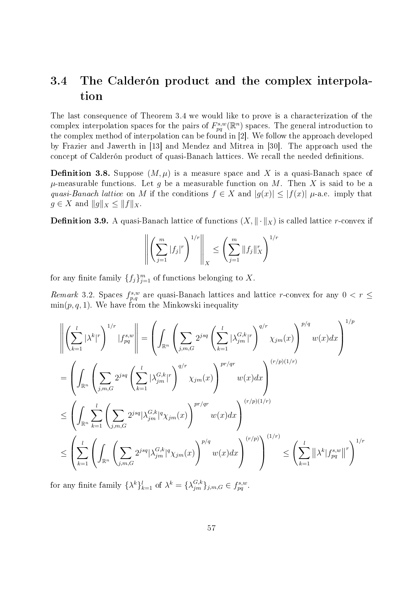# 3.4 The Calderón product and the complex interpolation

The last consequence of Theorem 3.4 we would like to prove is a characterization of the complex interpolation spaces for the pairs of  $F_{pq}^{s,w}(\mathbb{R}^n)$  spaces. The general introduction to the complex method of interpolation can be found in [2]. We follow the approach developed by Frazier and Jawerth in [13] and Mendez and Mitrea in [30]. The approach used the concept of Calderón product of quasi-Banach lattices. We recall the needed definitions.

**Definition 3.8.** Suppose  $(M, \mu)$  is a measure space and X is a quasi-Banach space of  $\mu$ -measurable functions. Let g be a measurable function on M. Then X is said to be a quasi-Banach lattice on M if the conditions  $f \in X$  and  $|g(x)| \leq |f(x)| \mu$ -a.e. imply that  $g \in X$  and  $||g||_X \leq ||f||_X$ .

**Definition 3.9.** A quasi-Banach lattice of functions  $(X, \|\cdot\|_X)$  is called lattice r-convex if

$$
\left\| \left( \sum_{j=1}^m |f_j|^r \right)^{1/r} \right\|_X \le \left( \sum_{j=1}^m \|f_j\|_X^r \right)^{1/r}
$$

for any finite family  $\{f_j\}_{j=1}^m$  of functions belonging to X.

Remark 3.2. Spaces  $f_{p,q}^{s,w}$  are quasi-Banach lattices and lattice r-convex for any  $0 < r \leq$  $\min(p, q, 1)$ . We have from the Minkowski inequality

$$
\left\| \left( \sum_{k=1}^{l} |\lambda^{k}|^{r} \right)^{1/r} |f_{pq}^{s,w} \right\| = \left( \int_{\mathbb{R}^{n}} \left( \sum_{j,m,G} 2^{jsq} \left( \sum_{k=1}^{l} |\lambda_{jm}^{G,k}|^{r} \right)^{q/r} \chi_{jm}(x) \right)^{p/q} w(x) dx \right)^{1/p}
$$
  
\n
$$
= \left( \int_{\mathbb{R}^{n}} \left( \sum_{j,m,G} 2^{jsq} \left( \sum_{k=1}^{l} |\lambda_{jm}^{G,k}|^{r} \right)^{q/r} \chi_{jm}(x) \right)^{pr/qr} w(x) dx \right)^{(r/p)(1/r)}
$$
  
\n
$$
\leq \left( \int_{\mathbb{R}^{n}} \sum_{k=1}^{l} \left( \sum_{j,m,G} 2^{jsq} |\lambda_{jm}^{G,k}|^{q} \chi_{jm}(x) \right)^{pr/qr} w(x) dx \right)^{(r/p)(1/r)}
$$
  
\n
$$
\leq \left( \sum_{k=1}^{l} \left( \int_{\mathbb{R}^{n}} \left( \sum_{j,m,G} 2^{jsq} |\lambda_{jm}^{G,k}|^{q} \chi_{jm}(x) \right)^{p/q} w(x) dx \right)^{(r/p)} \right)^{(1/r)} \leq \left( \sum_{k=1}^{l} ||\lambda^{k}| f_{pq}^{s,w}||^{r} \right)^{1/r}
$$

for any finite family  $\{\lambda^k\}_{k=1}^l$  of  $\lambda^k = \{\lambda^{G,k}_{jm}\}_{j,m,G} \in f^{s,w}_{pq}$ .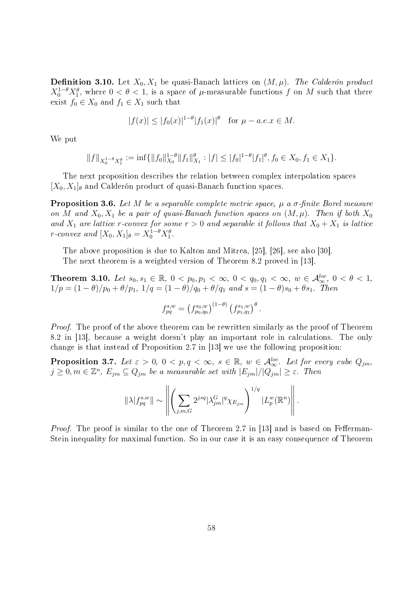**Definition 3.10.** Let  $X_0, X_1$  be quasi-Banach lattices on  $(M, \mu)$ . The Calderón product  $X_0^{1-\theta}X_1^{\theta}$ , where  $0 < \theta < 1$ , is a space of  $\mu$ -measurable functions f on M such that there exist  $f_0 \in X_0$  and  $f_1 \in X_1$  such that

$$
|f(x)| \le |f_0(x)|^{1-\theta} |f_1(x)|^{\theta}
$$
 for  $\mu - a.e. x \in M$ .

We put

$$
||f||_{X_0^{1-\theta}X_1^{\theta}} := \inf \{ ||f_0||_{X_0}^{1-\theta} ||f_1||_{X_1}^{\theta} : |f| \le |f_0|^{1-\theta} |f_1|^{\theta}, f_0 \in X_0, f_1 \in X_1 \}.
$$

The next proposition describes the relation between complex interpolation spaces  $[X_0, X_1]_\theta$  and Calderón product of quasi-Banach function spaces.

**Proposition 3.6.** Let M be a separable complete metric space,  $\mu$  a  $\sigma$ -finite Borel measure on M and  $X_0, X_1$  be a pair of quasi-Banach function spaces on  $(M, \mu)$ . Then if both  $X_0$ and  $X_1$  are lattice r-convex for some  $r > 0$  and separable it follows that  $X_0 + X_1$  is lattice r-convex and  $[X_0, X_1]_\theta = X_0^{1-\theta} X_1^{\theta}$ .

The above proposition is due to Kalton and Mitrea, [25], [26], see also [30]. The next theorem is a weighted version of Theorem 8.2 proved in [13].

Theorem 3.10. Let  $s_0, s_1 \in \mathbb{R}$ ,  $0 < p_0, p_1 < \infty$ ,  $0 < q_0, q_1 < \infty$ ,  $w \in \mathcal{A}_{\infty}^{loc}$ ,  $0 < \theta < 1$ ,  $1/p = (1 - \theta)/p_0 + \theta/p_1$ ,  $1/q = (1 - \theta)/q_0 + \theta/q_1$  and  $s = (1 - \theta)s_0 + \theta s_1$ . Then

$$
f_{pq}^{s,w} = (f_{p_0,q_0}^{s_0,w})^{(1-\theta)} (f_{p_1,q_1}^{s_1,w})^{\theta}.
$$

*Proof.* The proof of the above theorem can be rewritten similarly as the proof of Theorem 8.2 in [13], because a weight doesn't play an important role in calculations. The only change is that instead of Proposition 2.7 in [13] we use the following proposition:

**Proposition 3.7.** Let  $\varepsilon > 0$ ,  $0 < p, q < \infty$ ,  $s \in \mathbb{R}$ ,  $w \in \mathcal{A}_{\infty}^{loc}$ . Let for every cube  $Q_{jm}$ ,  $j\geq 0, m\in \mathbb{Z}^n, \, E_{jm}\subseteq Q_{jm}$  be a measurable set with  $|E_{jm}|/|Q_{jm}|\geq \varepsilon.$  Then

$$
\|\lambda|f_{pq}^{s,w}\| \sim \left\|\left(\sum_{j,m,G} 2^{jsq} |\lambda_{jm}^G|^q \chi_{E_{jm}}\right)^{1/q} |L_p^w(\mathbb{R}^n)\right\|.
$$

*Proof.* The proof is similar to the one of Theorem 2.7 in [13] and is based on Fefferman-Stein inequality for maximal function. So in our case it is an easy consequence of Theorem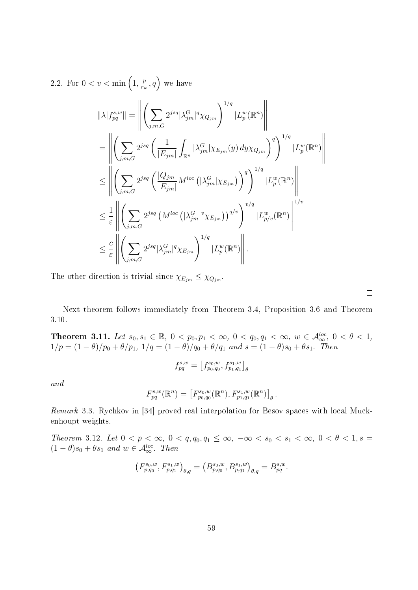2.2. For 
$$
0 < v < \min\left(1, \frac{p}{r_w}, q\right)
$$
 we have  
\n
$$
\|\lambda|f_{pq}^{s,w}\| = \left\| \left( \sum_{j,m,G} 2^{jsq} |\lambda_{jm}^G|^q \chi_{Q_{jm}} \right)^{1/q} |L_p^w(\mathbb{R}^n) \right\|
$$
\n
$$
= \left\| \left( \sum_{j,m,G} 2^{jsq} \left( \frac{1}{|E_{jm}|} \int_{\mathbb{R}^n} |\lambda_{jm}^G| \chi_{E_{jm}}(y) dy \chi_{Q_{jm}} \right)^q \right)^{1/q} |L_p^w(\mathbb{R}^n) \right\|
$$
\n
$$
\leq \left\| \left( \sum_{j,m,G} 2^{jsq} \left( \frac{|Q_{jm}|}{|E_{jm}|} M^{loc} \left( |\lambda_{jm}^G| \chi_{E_{jm}} \right) \right)^q \right)^{1/q} |L_p^w(\mathbb{R}^n) \right\|
$$
\n
$$
\leq \frac{1}{\varepsilon} \left\| \left( \sum_{j,m,G} 2^{jsq} \left( M^{loc} \left( |\lambda_{jm}^G|^{v} \chi_{E_{jm}} \right) \right)^{q/v} \right)^{v/q} |L_{p/v}^w(\mathbb{R}^n) \right\|^{1/v}
$$
\n
$$
\leq \frac{c}{\varepsilon} \left\| \left( \sum_{j,m,G} 2^{jsq} |\lambda_{jm}^G|^{q} \chi_{E_{jm}} \right)^{1/q} |L_p^w(\mathbb{R}^n) \right\|.
$$

The other direction is trivial since  $\chi_{E_{jm}} \leq \chi_{Q_{jm}}$ .

Next theorem follows immediately from Theorem 3.4, Proposition 3.6 and Theorem 3.10.

Theorem 3.11. Let  $s_0, s_1 \in \mathbb{R}$ ,  $0 < p_0, p_1 < \infty$ ,  $0 < q_0, q_1 < \infty$ ,  $w \in \mathcal{A}_{\infty}^{loc}$ ,  $0 < \theta < 1$ ,  $1/p = (1 - \theta)/p_0 + \theta/p_1$ ,  $1/q = (1 - \theta)/q_0 + \theta/q_1$  and  $s = (1 - \theta)s_0 + \theta s_1$ . Then

$$
f_{pq}^{s,w}=\left[f_{p_{0},q_{0}}^{s_{0},w},f_{p_{1},q_{1}}^{s_{1},w}\right]_{\theta}
$$

and

$$
F_{pq}^{s,w}(\mathbb{R}^n) = \left[ F_{p_0,q_0}^{s_0,w}(\mathbb{R}^n), F_{p_1,q_1}^{s_1,w}(\mathbb{R}^n) \right]_{\theta}.
$$

Remark 3.3. Rychkov in [34] proved real interpolation for Besov spaces with local Muckenhoupt weights.

Theorem 3.12. Let  $0 < p < \infty$ ,  $0 < q, q_0, q_1 \leq \infty$ ,  $-\infty < s_0 < s_1 < \infty$ ,  $0 < \theta < 1$ ,  $s =$  $(1 - \theta)s_0 + \theta s_1$  and  $w \in \mathcal{A}_{\infty}^{loc}$ . Then

$$
\left(F_{p,q_0}^{s_0,w},F_{p,q_1}^{s_1,w}\right)_{\theta,q} = \left(B_{p,q_0}^{s_0,w},B_{p,q_1}^{s_1,w}\right)_{\theta,q} = B_{pq}^{s,w}.
$$

 $\Box$  $\Box$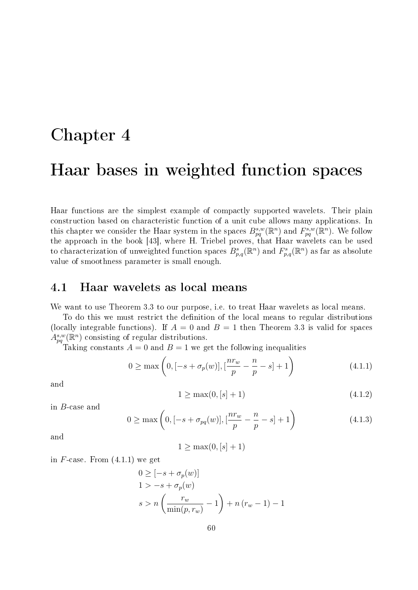# Chapter 4 Haar bases in weighted function spaces

Haar functions are the simplest example of compactly supported wavelets. Their plain construction based on characteristic function of a unit cube allows many applications. In this chapter we consider the Haar system in the spaces  $B_{pq}^{s,w}(\mathbb{R}^n)$  and  $F_{pq}^{s,w}(\mathbb{R}^n)$ . We follow the approach in the book [43], where H. Triebel proves, that Haar wavelets can be used to characterization of unweighted function spaces  $B_{p,q}^s(\mathbb{R}^n)$  and  $F_{p,q}^s(\mathbb{R}^n)$  as far as absolute value of smoothness parameter is small enough.

## 4.1 Haar wavelets as local means

We want to use Theorem 3.3 to our purpose, i.e. to treat Haar wavelets as local means.

To do this we must restrict the definition of the local means to regular distributions (locally integrable functions). If  $A = 0$  and  $B = 1$  then Theorem 3.3 is valid for spaces  $A_{pq}^{s,w}(\mathbb{R}^n)$  consisting of regular distributions.

Taking constants  $A = 0$  and  $B = 1$  we get the following inequalities

$$
0 \ge \max\left(0, [-s + \sigma_p(w)], [\frac{nr_w}{p} - \frac{n}{p} - s] + 1\right) \tag{4.1.1}
$$

and

$$
1 \ge \max(0, [s] + 1) \tag{4.1.2}
$$

in B-case and

$$
0 \ge \max\left(0, [-s + \sigma_{pq}(w)], [\frac{nr_w}{p} - \frac{n}{p} - s] + 1\right) \tag{4.1.3}
$$

and

 $1 \geq \max(0, [s] + 1)$ 

in  $F$ -case. From  $(4.1.1)$  we get

$$
0 \geq [-s + \sigma_p(w)]
$$
  
1 > -s + \sigma\_p(w)  

$$
s > n \left( \frac{r_w}{\min(p, r_w)} - 1 \right) + n (r_w - 1) - 1
$$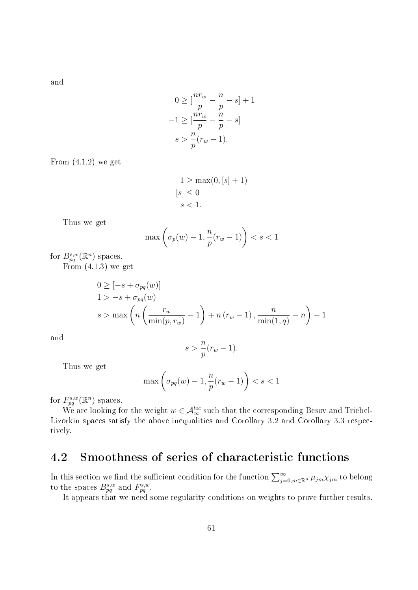and

$$
0 \ge \left[\frac{nr_w}{p} - \frac{n}{p} - s\right] + 1
$$

$$
-1 \ge \left[\frac{nr_w}{p} - \frac{n}{p} - s\right]
$$

$$
s > \frac{n}{p}(r_w - 1).
$$

From  $(4.1.2)$  we get

$$
1 \ge \max(0, [s] + 1)
$$
  

$$
[s] \le 0
$$
  

$$
s < 1.
$$

Thus we get

$$
\max\left(\sigma_p(w) - 1, \frac{n}{p}(r_w - 1)\right) < s < 1
$$

for  $B_{pq}^{s,w}(\mathbb{R}^n)$  spaces.

From (4.1.3) we get

$$
0 \geq [-s + \sigma_{pq}(w)]
$$
  
1 > -s + \sigma\_{pq}(w)  
s > max  $\left(n\left(\frac{r_w}{\min(p, r_w)} - 1\right) + n\left(r_w - 1\right), \frac{n}{\min(1, q)} - n\right) - 1$ 

and

$$
s > \frac{n}{p}(r_w - 1).
$$

Thus we get

$$
\max\left(\sigma_{pq}(w) - 1, \frac{n}{p}(r_w - 1)\right) < s < 1
$$

for  $F_{pq}^{s,w}(\mathbb{R}^n)$  spaces.

We are looking for the weight  $w \in \mathcal{A}_{\infty}^{loc}$  such that the corresponding Besov and Triebel-Lizorkin spaces satisfy the above inequalities and Corollary 3.2 and Corollary 3.3 respectively.

## 4.2 Smoothness of series of characteristic functions

In this section we find the sufficient condition for the function  $\sum_{j=0,m\in\mathbb{R}^n}^{\infty} \mu_{jm}\chi_{jm}$  to belong to the spaces  $B_{pq}^{s,w}$  and  $F_{pq}^{s,w}$ .

It appears that we need some regularity conditions on weights to prove further results.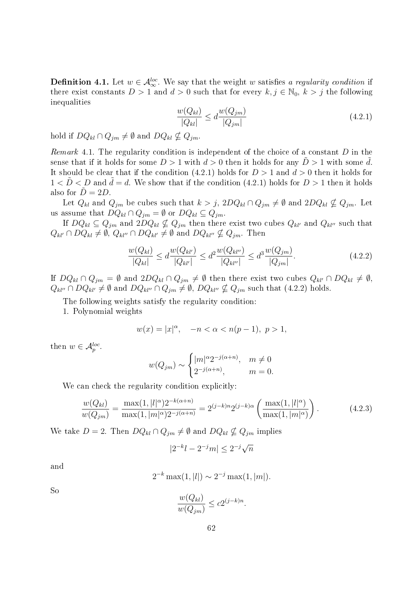**Definition 4.1.** Let  $w \in A_{\infty}^{loc}$ . We say that the weight w satisfies a regularity condition if there exist constants  $D > 1$  and  $d > 0$  such that for every  $k, j \in \mathbb{N}_0, k > j$  the following inequalities

$$
\frac{w(Q_{kl})}{|Q_{kl}|} \le d \frac{w(Q_{jm})}{|Q_{jm}|} \tag{4.2.1}
$$

hold if  $DQ_{kl} \cap Q_{jm} \neq \emptyset$  and  $DQ_{kl} \nsubseteq Q_{jm}$ .

Remark 4.1. The regularity condition is independent of the choice of a constant  $D$  in the sense that if it holds for some  $D > 1$  with  $d > 0$  then it holds for any  $D > 1$  with some d. It should be clear that if the condition (4.2.1) holds for  $D > 1$  and  $d > 0$  then it holds for  $1 < D < D$  and  $d = d$ . We show that if the condition (4.2.1) holds for  $D > 1$  then it holds also for  $\ddot{D} = 2D$ .

Let  $Q_{kl}$  and  $Q_{jm}$  be cubes such that  $k > j$ ,  $2DQ_{kl} \cap Q_{jm} \neq \emptyset$  and  $2DQ_{kl} \nsubseteq Q_{jm}$ . Let us assume that  $DQ_{kl} \cap Q_{jm} = \emptyset$  or  $DQ_{kl} \subseteq Q_{jm}$ .

If  $DQ_{kl} \subseteq Q_{jm}$  and  $2DQ_{kl} \nsubseteq Q_{jm}$  then there exist two cubes  $Q_{kl'}$  and  $Q_{kl''}$  such that  $Q_{kl'} \cap DQ_{kl} \neq \emptyset$ ,  $Q_{kl''} \cap DQ_{kl'} \neq \emptyset$  and  $DQ_{kl''} \nsubseteq Q_{jm}$ . Then

$$
\frac{w(Q_{kl})}{|Q_{kl}|} \le d \frac{w(Q_{kl'})}{|Q_{kl'}|} \le d^2 \frac{w(Q_{kl''})}{|Q_{kl''}|} \le d^3 \frac{w(Q_{jm})}{|Q_{jm}|}.
$$
\n(4.2.2)

If  $DQ_{kl} \cap Q_{jm} = \emptyset$  and  $2DQ_{kl} \cap Q_{jm} \neq \emptyset$  then there exist two cubes  $Q_{kl'} \cap DQ_{kl} \neq \emptyset$ ,  $Q_{kl}$ <sup>n</sup> ∩  $DQ_{kl'} \neq \emptyset$  and  $DQ_{kl''} \cap Q_{jm} \neq \emptyset$ ,  $DQ_{kl''} \nsubseteq Q_{jm}$  such that (4.2.2) holds.

The following weights satisfy the regularity condition:

1. Polynomial weights

$$
w(x) = |x|^{\alpha}, \quad -n < \alpha < n(p-1), \ p > 1,
$$

then  $w \in \mathcal{A}_p^{loc}$ .

$$
w(Q_{jm}) \sim \begin{cases} |m|^{\alpha} 2^{-j(\alpha+n)}, & m \neq 0 \\ 2^{-j(\alpha+n)}, & m = 0. \end{cases}
$$

We can check the regularity condition explicitly:

$$
\frac{w(Q_{kl})}{w(Q_{jm})} = \frac{\max(1, |l|^{\alpha})2^{-k(\alpha+n)}}{\max(1, |m|^{\alpha})2^{-j(\alpha+n)}} = 2^{(j-k)n}2^{(j-k)\alpha} \left(\frac{\max(1, |l|^{\alpha})}{\max(1, |m|^{\alpha})}\right). \tag{4.2.3}
$$

We take  $D = 2$ . Then  $DQ_{kl} \cap Q_{jm} \neq \emptyset$  and  $DQ_{kl} \nsubseteq Q_{jm}$  implies

$$
|2^{-k}l - 2^{-j}m| \le 2^{-j}\sqrt{n}
$$

and

$$
2^{-k} \max(1, |l|) \sim 2^{-j} \max(1, |m|).
$$

So

$$
\frac{w(Q_{kl})}{w(Q_{jm})} \le c2^{(j-k)n}.
$$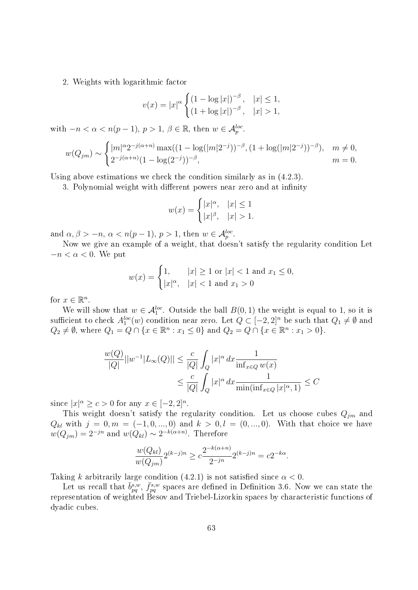#### 2. Weights with logarithmic factor

$$
v(x) = |x|^{\alpha} \begin{cases} (1 - \log |x|)^{-\beta}, & |x| \le 1, \\ (1 + \log |x|)^{-\beta}, & |x| > 1, \end{cases}
$$

with  $-n < \alpha < n(p-1)$ ,  $p > 1$ ,  $\beta \in \mathbb{R}$ , then  $w \in \mathcal{A}_{p}^{loc}$ .

$$
w(Q_{jm}) \sim \begin{cases} |m|^{\alpha} 2^{-j(\alpha+n)} \max((1-\log(|m|2^{-j}))^{-\beta}, (1+\log(|m|2^{-j}))^{-\beta}), & m \neq 0, \\ 2^{-j(\alpha+n)}(1-\log(2^{-j}))^{-\beta}, & m = 0. \end{cases}
$$

Using above estimations we check the condition similarly as in (4.2.3).

3. Polynomial weight with different powers near zero and at infinity

$$
w(x) = \begin{cases} |x|^{\alpha}, & |x| \le 1\\ |x|^{\beta}, & |x| > 1. \end{cases}
$$

and  $\alpha, \beta > -n, \, \alpha < n(p-1), \, p > 1$ , then  $w \in \mathcal{A}_p^{loc}$ .

Now we give an example of a weight, that doesn't satisfy the regularity condition Let  $-n < \alpha < 0$ . We put

$$
w(x) = \begin{cases} 1, & |x| \ge 1 \text{ or } |x| < 1 \text{ and } x_1 \le 0, \\ |x|^{\alpha}, & |x| < 1 \text{ and } x_1 > 0 \end{cases}
$$

for  $x \in \mathbb{R}^n$ .

We will show that  $w \in \mathcal{A}_1^{loc}$ . Outside the ball  $B(0,1)$  the weight is equal to 1, so it is sufficient to check  $A_1^{loc}(w)$  condition near zero. Let  $Q \subset [-2,2]^n$  be such that  $Q_1 \neq \emptyset$  and  $Q_2 \neq \emptyset$ , where  $Q_1 = Q \cap \{x \in \mathbb{R}^n : x_1 \leq 0\}$  and  $Q_2 = Q \cap \{x \in \mathbb{R}^n : x_1 > 0\}.$ 

$$
\frac{w(Q)}{|Q|}||w^{-1}|L_{\infty}(Q)|| \le \frac{c}{|Q|} \int_{Q} |x|^{\alpha} dx \frac{1}{\inf_{x \in Q} w(x)} \le \frac{c}{|Q|} \int_{Q} |x|^{\alpha} dx \frac{1}{\min(\inf_{x \in Q} |x|^{\alpha}, 1)} \le C
$$

since  $|x|^{\alpha} \geq c > 0$  for any  $x \in [-2,2]^n$ .

This weight doesn't satisfy the regularity condition. Let us choose cubes  $Q_{jm}$  and  $Q_{kl}$  with  $j = 0, m = (-1, 0, ..., 0)$  and  $k > 0, l = (0, ..., 0)$ . With that choice we have  $w(Q_{jm})=2^{-jn}$  and  $w(Q_{kl})\sim 2^{-k(\alpha+n)}$ . Therefore

$$
\frac{w(Q_{kl})}{w(Q_{jm})}2^{(k-j)n} \ge c \frac{2^{-k(\alpha+n)}}{2^{-jn}}2^{(k-j)n} = c2^{-k\alpha}.
$$

Taking k arbitrarily large condition (4.2.1) is not satisfied since  $\alpha < 0$ .

Let us recall that  $\bar{b}^{s,w}_{pq}$ ,  $\bar{f}^{s,w}_{pq}$  spaces are defined in Definition 3.6. Now we can state the representation of weighted Besov and Triebel-Lizorkin spaces by characteristic functions of dyadic cubes.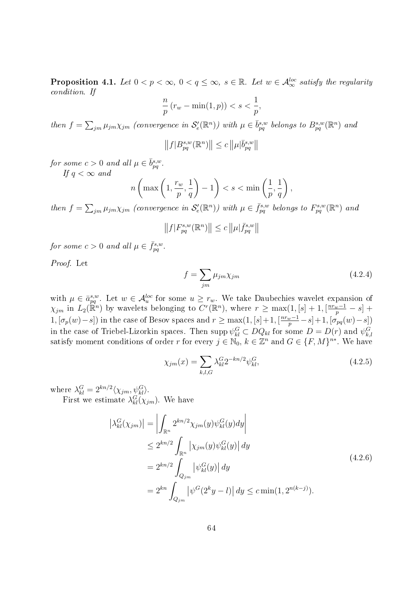**Proposition 4.1.** Let  $0 < p < \infty$ ,  $0 < q \leq \infty$ ,  $s \in \mathbb{R}$ . Let  $w \in \mathcal{A}_{\infty}^{loc}$  satisfy the regularity condition. If

$$
\frac{n}{p}\left(r_w - \min(1, p)\right) < s < \frac{1}{p},
$$

then  $f = \sum_{jm} \mu_{jm}\chi_{jm}$  (convergence in  $\mathcal{S}'_{e}(\mathbb{R}^n)$ ) with  $\mu \in \bar{b}_{pq}^{s,w}$  belongs to  $B_{pq}^{s,w}(\mathbb{R}^n)$  and

$$
||f|B^{s,w}_{pq}(\mathbb{R}^n)|| \leq c||\mu|\bar{b}^{s,w}_{pq}||
$$

for some  $c > 0$  and all  $\mu \in \bar{b}_{pq}^{s,w}$ .

If  $q < \infty$  and

$$
n\left(\max\left(1,\frac{r_w}{p},\frac{1}{q}\right)-1\right)
$$

then  $f = \sum_{jm} \mu_{jm}\chi_{jm}$  (convergence in  $\mathcal{S}'_{e}(\mathbb{R}^{n})$ ) with  $\mu \in \bar{f}_{pq}^{s,w}$  belongs to  $F_{pq}^{s,w}(\mathbb{R}^{n})$  and

$$
||f|F_{pq}^{s,w}(\mathbb{R}^n)|| \leq c||\mu|\bar{f}_{pq}^{s,w}||
$$

for some  $c > 0$  and all  $\mu \in \bar{f}_{pq}^{s,w}$ .

Proof. Let

$$
f = \sum_{jm} \mu_{jm} \chi_{jm} \tag{4.2.4}
$$

with  $\mu \in \bar{a}_{pq}^{s,w}$ . Let  $w \in \mathcal{A}_u^{loc}$  for some  $u \geq r_w$ . We take Daubechies wavelet expansion of  $\chi_{jm}$  in  $L_2(\mathbb{R}^n)$  by wavelets belonging to  $C^r(\mathbb{R}^n)$ , where  $r \geq \max(1, [s] + 1, \lceil \frac{nr_w-1}{p} - s \rceil +$ 1,  $[\sigma_p(w)-s]$  in the case of Besov spaces and  $r \ge \max(1, [s]+1, \lceil \frac{nr_w-1}{p} - s \rceil + 1, \lceil \sigma_{pq}(w)-s \rceil)$ in the case of Triebel-Lizorkin spaces. Then  $\text{supp }\psi_{kl}^G \subset DQ_{kl}$  for some  $D = D(r)$  and  $\psi_{k,l}^G$ <br>satisfy moment conditions of order r for every  $j \in \mathbb{N}_0$ ,  $k \in \mathbb{Z}^n$  and  $G \in \{F, M\}^{n*}$ . We have

$$
\chi_{jm}(x) = \sum_{k,l,G} \lambda_{kl}^G 2^{-kn/2} \psi_{kl}^G,
$$
\n(4.2.5)

where  $\lambda_{kl}^G = 2^{kn/2} \langle \chi_{jm}, \psi_{kl}^G \rangle$ .

First we estimate  $\lambda_{kl}^G(\chi_{jm})$ . We have

$$
\left| \lambda_{kl}^{G}(\chi_{jm}) \right| = \left| \int_{\mathbb{R}^n} 2^{kn/2} \chi_{jm}(y) \psi_{kl}^{G}(y) dy \right|
$$
  
\n
$$
\leq 2^{kn/2} \int_{\mathbb{R}^n} \left| \chi_{jm}(y) \psi_{kl}^{G}(y) \right| dy
$$
  
\n
$$
= 2^{kn/2} \int_{Q_{jm}} \left| \psi_{kl}^{G}(y) \right| dy
$$
  
\n
$$
= 2^{kn} \int_{Q_{jm}} \left| \psi^{G}(2^k y - l) \right| dy \leq c \min(1, 2^{n(k-j)}).
$$
 (4.2.6)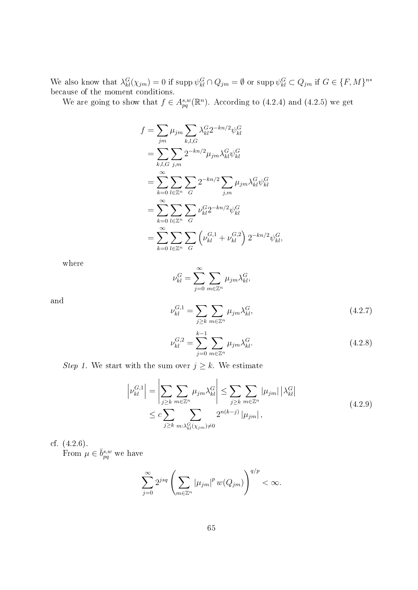We also know that  $\lambda_{kl}^G(\chi_{jm})=0$  if  $\text{supp }\psi_{kl}^G\cap Q_{jm}=\emptyset$  or  $\text{supp }\psi_{kl}^G\subset Q_{jm}$  if  $G\in\{F,M\}^{n*}$ because of the moment conditions.

We are going to show that  $f \in A^{s,w}_{pq}(\mathbb{R}^n)$ . According to (4.2.4) and (4.2.5) we get

$$
f = \sum_{jm} \mu_{jm} \sum_{k,l,G} \lambda_{kl}^{G} 2^{-kn/2} \psi_{kl}^{G}
$$
  
= 
$$
\sum_{k,l,G} \sum_{j,m} 2^{-kn/2} \mu_{jm} \lambda_{kl}^{G} \psi_{kl}^{G}
$$
  
= 
$$
\sum_{k=0}^{\infty} \sum_{l \in \mathbb{Z}^n} \sum_{G} 2^{-kn/2} \sum_{j,m} \mu_{jm} \lambda_{kl}^{G} \psi_{kl}^{G}
$$
  
= 
$$
\sum_{k=0}^{\infty} \sum_{l \in \mathbb{Z}^n} \sum_{G} \nu_{kl}^{G} 2^{-kn/2} \psi_{kl}^{G}
$$
  
= 
$$
\sum_{k=0}^{\infty} \sum_{l \in \mathbb{Z}^n} \sum_{G} \left( \nu_{kl}^{G,1} + \nu_{kl}^{G,2} \right) 2^{-kn/2} \psi_{kl}^{G},
$$

where

$$
\nu_{kl}^G = \sum_{j=0}^{\infty} \sum_{m \in \mathbb{Z}^n} \mu_{jm} \lambda_{kl}^G,
$$

and

$$
\nu_{kl}^{G,1} = \sum_{j \ge k} \sum_{m \in \mathbb{Z}^n} \mu_{jm} \lambda_{kl}^G,
$$
\n(4.2.7)

$$
\nu_{kl}^{G,2} = \sum_{j=0}^{k-1} \sum_{m \in \mathbb{Z}^n} \mu_{jm} \lambda_{kl}^G.
$$
 (4.2.8)

Step 1. We start with the sum over  $j \geq k$ . We estimate

$$
\left|\nu_{kl}^{G,1}\right| = \left|\sum_{j\geq k} \sum_{m\in\mathbb{Z}^n} \mu_{jm} \lambda_{kl}^G\right| \leq \sum_{j\geq k} \sum_{m\in\mathbb{Z}^n} |\mu_{jm}| \left|\lambda_{kl}^G\right|
$$
  

$$
\leq c \sum_{j\geq k} \sum_{m:\lambda_{kl}^G(\chi_{jm})\neq 0} 2^{n(k-j)} |\mu_{jm}|,
$$
 (4.2.9)

cf. (4.2.6). From  $\mu \in \bar{b}_{pq}^{s,w}$  we have

$$
\sum_{j=0}^{\infty} 2^{jsq} \left( \sum_{m \in \mathbb{Z}^n} |\mu_{jm}|^p w(Q_{jm}) \right)^{q/p} < \infty.
$$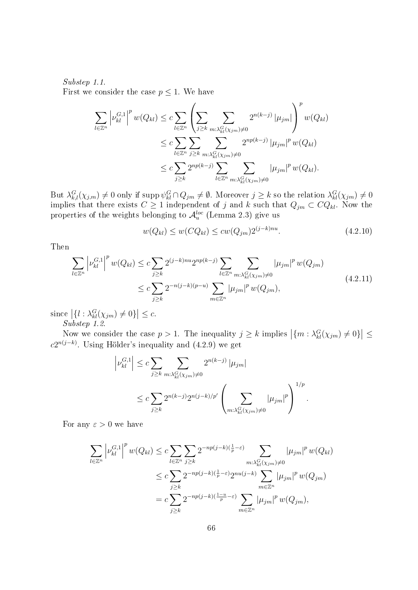#### Substep 1.1. First we consider the case  $p \leq 1$ . We have

$$
\sum_{l \in \mathbb{Z}^n} \left| \nu_{kl}^{G,1} \right|^p w(Q_{kl}) \leq c \sum_{l \in \mathbb{Z}^n} \left( \sum_{j \geq k} \sum_{m : \lambda_{kl}^G(\chi_{jm}) \neq 0} 2^{n(k-j)} |\mu_{jm}| \right)^p w(Q_{kl})
$$
  

$$
\leq c \sum_{l \in \mathbb{Z}^n} \sum_{j \geq k} \sum_{m : \lambda_{kl}^G(\chi_{jm}) \neq 0} 2^{np(k-j)} |\mu_{jm}|^p w(Q_{kl})
$$
  

$$
\leq c \sum_{j \geq k} 2^{np(k-j)} \sum_{l \in \mathbb{Z}^n} \sum_{m : \lambda_{kl}^G(\chi_{jm}) \neq 0} |\mu_{jm}|^p w(Q_{kl}).
$$

But  $\lambda^G_{k,l}(\chi_{j,m})\neq 0$  only if supp  $\psi^G_{kl}\cap Q_{jm}\neq\emptyset$ . Moreover  $j\geq k$  so the relation  $\lambda^G_{kl}(\chi_{jm})\neq 0$ implies that there exists  $C \geq 1$  independent of  $j$  and  $k$  such that  $Q_{jm} \subset CQ_{kl}$ . Now the properties of the weights belonging to  $\mathcal{A}_{u}^{loc}$  (Lemma 2.3) give us

$$
w(Q_{kl}) \le w(CQ_{kl}) \le cw(Q_{jm})2^{(j-k)nu}.
$$
\n(4.2.10)

Then

$$
\sum_{l \in \mathbb{Z}^n} \left| \nu_{kl}^{G,1} \right|^p w(Q_{kl}) \leq c \sum_{j \geq k} 2^{(j-k)nu} 2^{np(k-j)} \sum_{l \in \mathbb{Z}^n} \sum_{m:\lambda_{kl}^G(\chi_{jm}) \neq 0} |\mu_{jm}|^p w(Q_{jm})
$$
\n
$$
\leq c \sum_{j \geq k} 2^{-n(j-k)(p-u)} \sum_{m \in \mathbb{Z}^n} |\mu_{jm}|^p w(Q_{jm}), \tag{4.2.11}
$$

since  $\left| \{ l : \lambda_{kl}^G(\chi_{jm}) \neq 0 \} \right| \leq c.$ Substep 1.2.

Now we consider the case  $p > 1$ . The inequality  $j \ge k$  implies  $|\{m : \lambda_{kl}^G(\chi_{jm}) \neq 0\}| \le$  $c2^{n(j-k)}$ . Using Hölder's inequality and  $(4.2.9)$  we get

$$
\left| \nu_{kl}^{G,1} \right| \leq c \sum_{j \geq k} \sum_{m:\lambda_{kl}^G(\chi_{jm}) \neq 0} 2^{n(k-j)} |\mu_{jm}|
$$
  
 
$$
\leq c \sum_{j \geq k} 2^{n(k-j)} 2^{n(j-k)/p'} \left( \sum_{m:\lambda_{kl}^G(\chi_{jm}) \neq 0} |\mu_{jm}|^p \right)^{1/p}.
$$

For any  $\varepsilon > 0$  we have

$$
\sum_{l\in\mathbb{Z}^n} \left| \nu_{kl}^{G,1} \right|^p w(Q_{kl}) \leq c \sum_{l\in\mathbb{Z}^n} \sum_{j\geq k} 2^{-np(j-k)(\frac{1}{p}-\varepsilon)} \sum_{m:\lambda_{kl}^G(\chi_{jm})\neq 0} |\mu_{jm}|^p w(Q_{kl})
$$
  

$$
\leq c \sum_{j\geq k} 2^{-np(j-k)(\frac{1}{p}-\varepsilon)} 2^{nu(j-k)} \sum_{m\in\mathbb{Z}^n} |\mu_{jm}|^p w(Q_{jm})
$$
  

$$
= c \sum_{j\geq k} 2^{-np(j-k)(\frac{1-u}{p}-\varepsilon)} \sum_{m\in\mathbb{Z}^n} |\mu_{jm}|^p w(Q_{jm}),
$$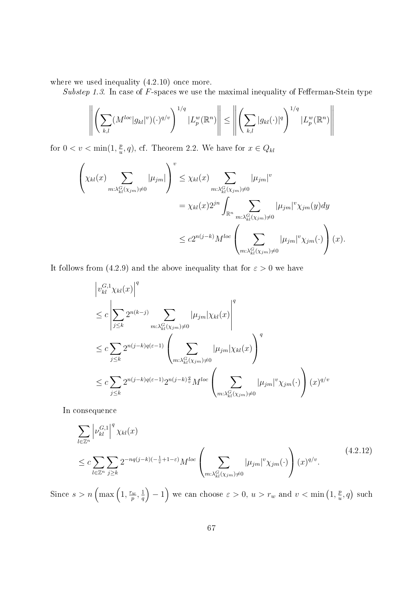where we used inequality  $(4.2.10)$  once more.

Substep 1.3. In case of  $F$ -spaces we use the maximal inequality of Fefferman-Stein type

$$
\left\| \left( \sum_{k,l} (M^{loc} |g_{kl}|^v)(\cdot)^{q/v} \right)^{1/q} |L_p^w(\mathbb{R}^n)| \right\| \leq \left\| \left( \sum_{k,l} |g_{kl}(\cdot)|^q \right)^{1/q} |L_p^w(\mathbb{R}^n)| \right\|
$$

for  $0 < v < \min(1, \frac{p}{p})$  $(\frac{p}{u}, q)$ , cf. Theorem 2.2. We have for  $x \in Q_{kl}$ 

$$
\left(\chi_{kl}(x)\sum_{m:\lambda_{kl}^G(\chi_{jm})\neq 0}|\mu_{jm}|\right)^v \leq \chi_{kl}(x)\sum_{m:\lambda_{kl}^G(\chi_{jm})\neq 0}|\mu_{jm}|^v
$$
  

$$
= \chi_{kl}(x)2^{jn}\int_{\mathbb{R}^n}\sum_{m:\lambda_{kl}^G(\chi_{jm})\neq 0}|\mu_{jm}|^v\chi_{jm}(y)dy
$$
  

$$
\leq c2^{n(j-k)}M^{loc}\left(\sum_{m:\lambda_{kl}^G(\chi_{jm})\neq 0}|\mu_{jm}|^v\chi_{jm}(\cdot)\right)(x).
$$

It follows from (4.2.9) and the above inequality that for  $\varepsilon > 0$  we have

$$
\left| v_{kl}^{G,1} \chi_{kl}(x) \right|^q
$$
\n
$$
\leq c \left| \sum_{j \leq k} 2^{n(k-j)} \sum_{m:\lambda_{kl}^G(\chi_{jm}) \neq 0} |\mu_{jm}| \chi_{kl}(x) \right|^q
$$
\n
$$
\leq c \sum_{j \leq k} 2^{n(j-k)q(\varepsilon-1)} \left( \sum_{m:\lambda_{kl}^G(\chi_{jm}) \neq 0} |\mu_{jm}| \chi_{kl}(x) \right)^q
$$
\n
$$
\leq c \sum_{j \leq k} 2^{n(j-k)q(\varepsilon-1)} 2^{n(j-k)\frac{q}{v}} M^{loc} \left( \sum_{m:\lambda_{kl}^G(\chi_{jm}) \neq 0} |\mu_{jm}|^v \chi_{jm}(\cdot) \right) (x)^{q/v}
$$

In consequence

$$
\sum_{l\in\mathbb{Z}^n} \left| \nu_{kl}^{G,1} \right|^q \chi_{kl}(x)
$$
\n
$$
\leq c \sum_{l\in\mathbb{Z}^n} \sum_{j\geq k} 2^{-nq(j-k)(-\frac{1}{v}+1-\varepsilon)} M^{loc} \left( \sum_{m:\lambda_{kl}^G(\chi_{jm})\neq 0} |\mu_{jm}|^v \chi_{jm}(\cdot) \right) (x)^{q/v}.
$$
\n
$$
(4.2.12)
$$

Since  $s > n \left( \max\left(1, \frac{r_w}{n}\right) \right)$  $\frac{w}{p},\frac{1}{q}$  $\left(\frac{1}{q}\right) - 1$  we can choose  $\varepsilon > 0$ ,  $u > r_w$  and  $v < \min\left(1, \frac{p}{u}\right)$  $(\frac{p}{u}, q)$  such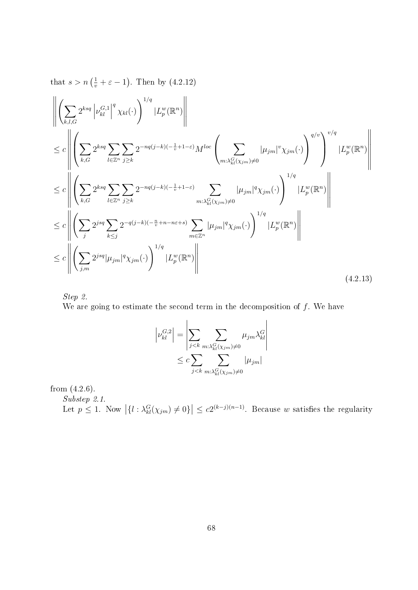that  $s > n\left(\frac{1}{v} + \varepsilon - 1\right)$ . Then by  $(4.2.12)$ 

$$
\left\| \left( \sum_{k,l,G} 2^{ksq} \left| \nu_{kl}^{G,1} \right|^{q} \chi_{kl}(\cdot) \right)^{1/q} |L_p^w(\mathbb{R}^n) \right\| \leq c \left\| \left( \sum_{k,G} 2^{ksq} \sum_{l \in \mathbb{Z}^n} \sum_{j \geq k} 2^{-nq(j-k)(-\frac{1}{v}+1-\varepsilon)} M^{loc} \left( \sum_{m:\lambda_{kl}^G(\chi_{jm}) \neq 0} |\mu_{jm}|^v \chi_{jm}(\cdot) \right)^{q/v} \right)^{v/q} |L_p^w(\mathbb{R}^n)| \right\|
$$
  
\n
$$
\leq c \left\| \left( \sum_{k,G} 2^{ksq} \sum_{l \in \mathbb{Z}^n} \sum_{j \geq k} 2^{-nq(j-k)(-\frac{1}{v}+1-\varepsilon)} \sum_{m:\lambda_{kl}^G(\chi_{jm}) \neq 0} |\mu_{jm}|^q \chi_{jm}(\cdot) \right)^{1/q} |L_p^w(\mathbb{R}^n)| \right\|
$$
  
\n
$$
\leq c \left\| \left( \sum_{j} 2^{jsq} \sum_{k \leq j} 2^{-q(j-k)(-\frac{n}{v}+n-n\varepsilon+s)} \sum_{m \in \mathbb{Z}^n} |\mu_{jm}|^q \chi_{jm}(\cdot) \right)^{1/q} |L_p^w(\mathbb{R}^n)| \right\|
$$
  
\n
$$
\leq c \left\| \left( \sum_{j,m} 2^{jsq} |\mu_{jm}|^q \chi_{jm}(\cdot) \right)^{1/q} |L_p^w(\mathbb{R}^n)| \right\|
$$
  
\n(4.2.13)

Step 2.

We are going to estimate the second term in the decomposition of  $f$ . We have

$$
\left| \nu_{kl}^{G,2} \right| = \left| \sum_{j < k} \sum_{m:\lambda_{kl}^G(\chi_{jm}) \neq 0} \mu_{jm} \lambda_{kl}^G \right|
$$
  

$$
\leq c \sum_{j < k} \sum_{m:\lambda_{kl}^G(\chi_{jm}) \neq 0} |\mu_{jm}|
$$

from (4.2.6).

Substep 2.1. Let  $p \leq 1$ . Now  $|\{l : \lambda_{kl}^G(\chi_{jm}) \neq 0\}| \leq c2^{(k-j)(n-1)}$ . Because w satisfies the regularity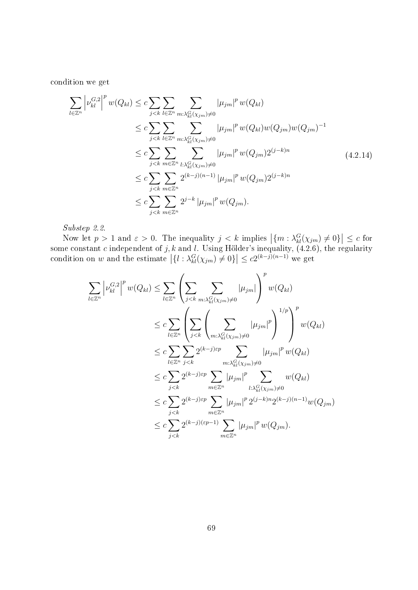condition we get

$$
\sum_{l \in \mathbb{Z}^n} \left| \nu_{kl}^{G,2} \right|^p w(Q_{kl}) \leq c \sum_{j < k} \sum_{l \in \mathbb{Z}^n} \sum_{m:\lambda_{kl}^G(\chi_{jm}) \neq 0} |\mu_{jm}|^p w(Q_{kl})
$$
\n
$$
\leq c \sum_{j < k} \sum_{l \in \mathbb{Z}^n} \sum_{m:\lambda_{kl}^G(\chi_{jm}) \neq 0} |\mu_{jm}|^p w(Q_{kl}) w(Q_{jm}) w(Q_{jm})^{-1}
$$
\n
$$
\leq c \sum_{j < k} \sum_{m \in \mathbb{Z}^n} \sum_{l:\lambda_{kl}^G(\chi_{jm}) \neq 0} |\mu_{jm}|^p w(Q_{jm}) 2^{(j-k)n}
$$
\n
$$
\leq c \sum_{j < k} \sum_{m \in \mathbb{Z}^n} 2^{(k-j)(n-1)} |\mu_{jm}|^p w(Q_{jm}) 2^{(j-k)n}
$$
\n
$$
\leq c \sum_{j < k} \sum_{m \in \mathbb{Z}^n} 2^{j-k} |\mu_{jm}|^p w(Q_{jm}).
$$
\n(4.2.14)

Substep 2.2.

Now let  $p > 1$  and  $\varepsilon > 0$ . The inequality  $j < k$  implies  $|\{m : \lambda_{kl}^G(\chi_{jm}) \neq 0\}| \leq c$  for some constant  $c$  independent of  $j, k$  and  $l$ . Using Hölder's inequality,  $(4.2.6)$ , the regularity condition on w and the estimate  $\left|\{l : \lambda_{kl}^G(\chi_{jm}) \neq 0\}\right| \le c2^{(k-j)(n-1)}$  we get

$$
\sum_{l\in\mathbb{Z}^n} \left| \nu_{kl}^{G,2} \right|^p w(Q_{kl}) \leq \sum_{l\in\mathbb{Z}^n} \left( \sum_{j < k} \sum_{m:\lambda_{kl}^G(x_{jm}) \neq 0} |\mu_{jm}| \right)^p w(Q_{kl})
$$
\n
$$
\leq c \sum_{l\in\mathbb{Z}^n} \left( \sum_{j < k} \left( \sum_{m:\lambda_{kl}^G(x_{jm}) \neq 0} |\mu_{jm}|^p \right)^{1/p} \right)^p w(Q_{kl})
$$
\n
$$
\leq c \sum_{l\in\mathbb{Z}^n} \sum_{j < k} 2^{(k-j)\varepsilon p} \sum_{m:\lambda_{kl}^G(x_{jm}) \neq 0} |\mu_{jm}|^p w(Q_{kl})
$$
\n
$$
\leq c \sum_{j < k} 2^{(k-j)\varepsilon p} \sum_{m\in\mathbb{Z}^n} |\mu_{jm}|^p \sum_{l:\lambda_{kl}^G(x_{jm}) \neq 0} w(Q_{kl})
$$
\n
$$
\leq c \sum_{j < k} 2^{(k-j)\varepsilon p} \sum_{m\in\mathbb{Z}^n} |\mu_{jm}|^p 2^{(j-k)n} 2^{(k-j)(n-1)} w(Q_{jm})
$$
\n
$$
\leq c \sum_{j < k} 2^{(k-j)(\varepsilon p-1)} \sum_{m\in\mathbb{Z}^n} |\mu_{jm}|^p w(Q_{jm}).
$$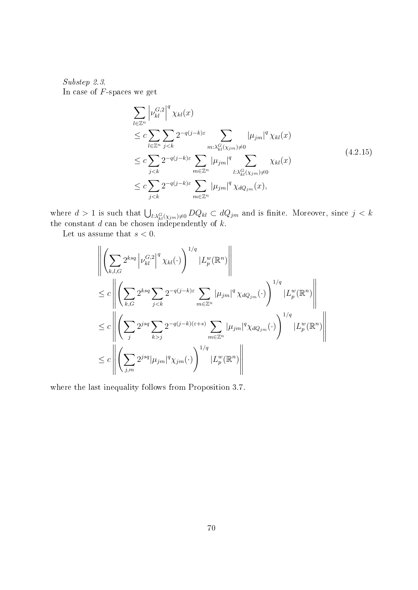Substep 2.3. In case of  $F$ -spaces we get

$$
\sum_{l \in \mathbb{Z}^n} \left| \nu_{kl}^{G,2} \right|^q \chi_{kl}(x)
$$
\n
$$
\leq c \sum_{l \in \mathbb{Z}^n} \sum_{j < k} 2^{-q(j-k)\varepsilon} \sum_{m: \lambda_{kl}^G(\chi_{jm}) \neq 0} |\mu_{jm}|^q \chi_{kl}(x)
$$
\n
$$
\leq c \sum_{j < k} 2^{-q(j-k)\varepsilon} \sum_{m \in \mathbb{Z}^n} |\mu_{jm}|^q \sum_{l: \lambda_{kl}^G(\chi_{jm}) \neq 0} \chi_{kl}(x)
$$
\n
$$
\leq c \sum_{j < k} 2^{-q(j-k)\varepsilon} \sum_{m \in \mathbb{Z}^n} |\mu_{jm}|^q \chi_{dQ_{jm}}(x), \tag{4.2.15}
$$

where  $d > 1$  is such that  $\bigcup_{l:\lambda_{kl}^G(\chi_{jm})\neq 0} DQ_{kl} \subset dQ_{jm}$  and is finite. Moreover, since  $j < k$ the constant  $d$  can be chosen independently of  $k$ .

Let us assume that  $s < 0$ .

$$
\left\| \left( \sum_{k,l,G} 2^{ksq} \left| \nu_{kl}^{G,2} \right|^q \chi_{kl}(\cdot) \right)^{1/q} |L_p^w(\mathbb{R}^n) \right\|
$$
  
\n
$$
\leq c \left\| \left( \sum_{k,G} 2^{ksq} \sum_{j < k} 2^{-q(j-k)\varepsilon} \sum_{m \in \mathbb{Z}^n} |\mu_{jm}|^q \chi_{dQ_{jm}}(\cdot) \right)^{1/q} |L_p^w(\mathbb{R}^n) \right\|
$$
  
\n
$$
\leq c \left\| \left( \sum_{j} 2^{jsq} \sum_{k > j} 2^{-q(j-k)(\varepsilon+s)} \sum_{m \in \mathbb{Z}^n} |\mu_{jm}|^q \chi_{dQ_{jm}}(\cdot) \right)^{1/q} |L_p^w(\mathbb{R}^n) \right\|
$$
  
\n
$$
\leq c \left\| \left( \sum_{j,m} 2^{jsq} |\mu_{jm}|^q \chi_{jm}(\cdot) \right)^{1/q} |L_p^w(\mathbb{R}^n) \right\|
$$

where the last inequality follows from Proposition 3.7.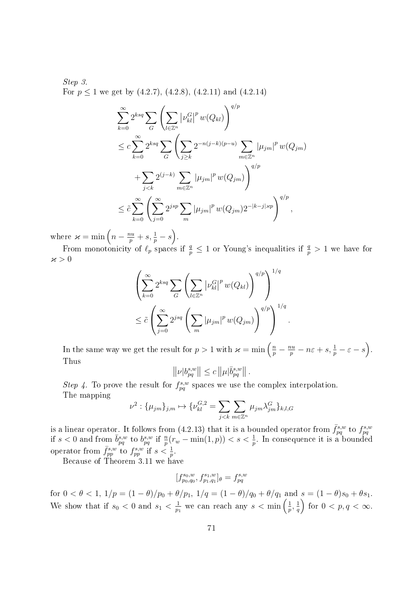Step 3. For  $p \le 1$  we get by  $(4.2.7)$ ,  $(4.2.8)$ ,  $(4.2.11)$  and  $(4.2.14)$ 

$$
\sum_{k=0}^{\infty} 2^{ksq} \sum_{G} \left( \sum_{l \in \mathbb{Z}^n} |\nu_{kl}^G|^p w(Q_{kl}) \right)^{q/p}
$$
  
\n
$$
\leq c \sum_{k=0}^{\infty} 2^{ksq} \sum_{G} \left( \sum_{j \geq k} 2^{-n(j-k)(p-u)} \sum_{m \in \mathbb{Z}^n} |\mu_{jm}|^p w(Q_{jm}) \right)^{q/p}
$$
  
\n
$$
+ \sum_{j < k} 2^{(j-k)} \sum_{m \in \mathbb{Z}^n} |\mu_{jm}|^p w(Q_{jm}) \Big)^{q/p}
$$
  
\n
$$
\leq \tilde{c} \sum_{k=0}^{\infty} \left( \sum_{j=0}^{\infty} 2^{jsp} \sum_{m} |\mu_{jm}|^p w(Q_{jm}) 2^{-|k-j|zp} \right)^{q/p},
$$

where  $\varkappa = \min \left( n - \frac{nu}{p} + s, \frac{1}{p} - s \right)$ .

From monotonicity of  $\ell_p$  spaces if  $\frac{q}{p} \leq 1$  or Young's inequalities if  $\frac{q}{p} > 1$  we have for  $\varkappa > 0$ 

$$
\left(\sum_{k=0}^{\infty} 2^{ksq} \sum_{G} \left(\sum_{l \in \mathbb{Z}^n} |\nu_{kl}^{G}|^p w(Q_{kl})\right)^{q/p}\right)^{1/q}
$$
  

$$
\leq \tilde{c} \left(\sum_{j=0}^{\infty} 2^{jsq} \left(\sum_{m} |\mu_{jm}|^p w(Q_{jm})\right)^{q/p}\right)^{1/q}
$$

In the same way we get the result for  $p > 1$  with  $\varkappa = \min\left(\frac{n}{p} - \frac{nu}{p} - n\varepsilon + s, \frac{1}{p} - \varepsilon - s\right)$ . Thus

.

$$
\left\|\nu|b_{pq}^{s,w}\right\|\leq c\left\|\mu|\bar{b}_{pq}^{s,w}\right\|.
$$

Step 4. To prove the result for  $f_{pq}^{s,w}$  spaces we use the complex interpolation. The mapping

$$
\nu^2: \{\mu_{jm}\}_{j,m} \mapsto \{\nu_{kl}^{G,2} = \sum_{j < k} \sum_{m \in \mathbb{Z}^n} \mu_{jm} \lambda_{jm}^G\}_{k,l,G}
$$

is a linear operator. It follows from (4.2.13) that it is a bounded operator from  $\bar{f}_{pq}^{s,w}$  to  $f_{pq}^{s,w}$ <br>if  $s < 0$  and from  $\bar{b}_{pq}^{s,w}$  to  $b_{pq}^{s,w}$  if  $\frac{n}{p}(r_w - \min(1, p)) < s < \frac{1}{p}$ . In consequence it is a bounded operator from  $\bar{f}_{pp}^{s,w}$  to  $f_{pp}^{s,w}$  if  $s < \frac{1}{p}$ .

Because of Theorem 3.11 we have

$$
[f_{p_0,q_0}^{s_0,w},f_{p_1,q_1}^{s_1,w}]_\theta=f_{pq}^{s,w}
$$

for  $0 < \theta < 1$ ,  $1/p = (1 - \theta)/p_0 + \theta/p_1$ ,  $1/q = (1 - \theta)/q_0 + \theta/q_1$  and  $s = (1 - \theta)s_0 + \theta s_1$ . We show that if  $s_0 < 0$  and  $s_1 < \frac{1}{n}$  $\frac{1}{p_1}$  we can reach any  $s < \min\left(\frac{1}{p}\right)$  $\frac{1}{p}, \frac{1}{q}$  $\left(\frac{1}{q}\right)$  for  $0 < p, q < \infty$ .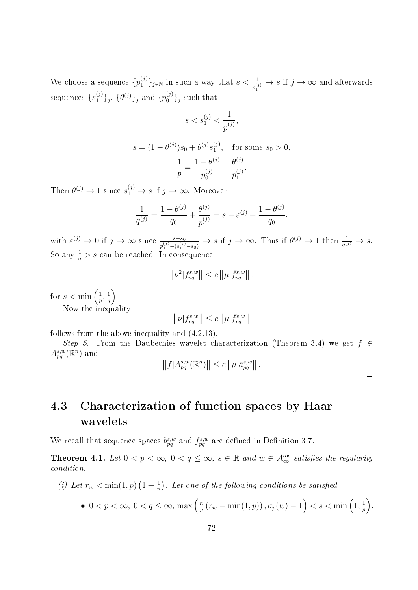We choose a sequence  $\{p_1^{(j)}\}_{j\in\mathbb{N}}$  in such a way that  $s<\frac{1}{p_1^{(j)}}\to s$  if  $j\to\infty$  and afterwards sequences  $\{s_1^{(j)}\}_j,$   $\{\theta^{(j)}\}_j$  and  $\{p_0^{(j)}\}_j$  such that

$$
s < s_1^{(j)} < \frac{1}{p_1^{(j)}},
$$

$$
s = (1 - \theta^{(j)})s_0 + \theta^{(j)}s_1^{(j)}, \text{ for some } s_0 > 0,
$$

$$
\frac{1}{p} = \frac{1 - \theta^{(j)}}{p_0^{(j)}} + \frac{\theta^{(j)}}{p_1^{(j)}}.
$$

Then  $\theta^{(j)} \to 1$  since  $s_1^{(j)} \to s$  if  $j \to \infty$ . Moreover

$$
\frac{1}{q^{(j)}} = \frac{1 - \theta^{(j)}}{q_0} + \frac{\theta^{(j)}}{p_1^{(j)}} = s + \varepsilon^{(j)} + \frac{1 - \theta^{(j)}}{q_0}.
$$

with  $\varepsilon^{(j)} \to 0$  if  $j \to \infty$  since  $\frac{s-s_0}{p_1^{(j)}-(s_1^{(j)}-s_0)} \to s$  if  $j \to \infty$ . Thus if  $\theta^{(j)} \to 1$  then  $\frac{1}{q^{(j)}} \to s$ . So any  $\frac{1}{q} > s$  can be reached. In consequence

$$
||\nu^2|f_{pq}^{s,w}|| \leq c ||\mu|\bar{f}_{pq}^{s,w}||.
$$

for  $s < \min\left(\frac{1}{n}\right)$  $\frac{1}{p},\frac{1}{q}$  $\frac{1}{q}$ . Now the inequality

 $\left\Vert \nu |f_{pq}^{s,w}\right\Vert \leq c\left\Vert \mu |\bar{f}_{pq}^{s,w}\right\Vert$ 

follows from the above inequality and (4.2.13).

Step 5. From the Daubechies wavelet characterization (Theorem 3.4) we get  $f \in$  $A^{s,w}_{pq}(\mathbb{R}^n)$  and

$$
||f|A_{pq}^{s,w}(\mathbb{R}^n)|| \leq c ||\mu|\bar{a}_{pq}^{s,w}||.
$$

 $\Box$ 

# 4.3 Characterization of function spaces by Haar wavelets

We recall that sequence spaces  $b_{pq}^{s,w}$  and  $f_{pq}^{s,w}$  are defined in Definition 3.7.

**Theorem 4.1.** Let  $0 < p < \infty$ ,  $0 < q \leq \infty$ ,  $s \in \mathbb{R}$  and  $w \in \mathcal{A}_{\infty}^{loc}$  satisfies the regularity condition.

(i) Let  $r_w < \min(1,p)$   $\left(1+\frac{1}{n}\right)$ . Let one of the following conditions be satisfied

• 
$$
0 < p < \infty, \ 0 < q \leq \infty, \ \max\left(\frac{n}{p}\left(r_w - \min(1, p)\right), \sigma_p(w) - 1\right) < s < \min\left(1, \frac{1}{p}\right).
$$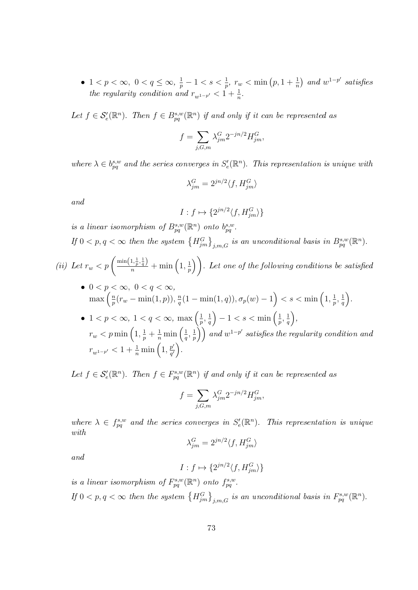• 1 <  $p < \infty$ ,  $0 < q \le \infty$ ,  $\frac{1}{p} - 1 < s < \frac{1}{p}$ ,  $r_w < \min(p, 1 + \frac{1}{n})$  and  $w^{1-p'}$  satisfies the regularity condition and  $r_{w^{1-p'}} < 1 + \frac{1}{n}$ .

Let  $f \in \mathcal{S}'_e(\mathbb{R}^n)$ . Then  $f \in B^{s,w}_{pq}(\mathbb{R}^n)$  if and only if it can be represented as

$$
f = \sum_{j,G,m} \lambda_{jm}^G 2^{-jn/2} H_{jm}^G,
$$

where  $\lambda \in b_{pq}^{s,w}$  and the series converges in  $S'_e(\mathbb{R}^n)$ . This representation is unique with

$$
\lambda^G_{jm}=2^{jn/2}\langle f,H^G_{jm}\rangle
$$

and

$$
I:f\mapsto \{2^{jn/2}\langle f,H_{jm}^G\rangle\}
$$

is a linear isomorphism of  $B_{pq}^{s,w}(\mathbb{R}^n)$  onto  $b_{pq}^{s,w}$ .

If  $0 < p, q < \infty$  then the system  $\{H_{jm}^G\}_{j,m,G}$  is an unconditional basis in  $B_{pq}^{s,w}(\mathbb{R}^n)$ .

(ii) Let 
$$
r_w < p\left(\frac{\min\left(1, \frac{1}{p}, \frac{1}{q}\right)}{n} + \min\left(1, \frac{1}{p}\right)\right)
$$
. Let one of the following conditions be satisfied

\n- \n
$$
0 < p < \infty, \quad 0 < q < \infty,
$$
\n $\max\left(\frac{n}{p}(r_w - \min(1, p)), \frac{n}{q}(1 - \min(1, q)), \sigma_p(w) - 1\right) < s < \min\left(1, \frac{1}{p}, \frac{1}{q}\right).$ \n
\n- \n $1 < p < \infty, \quad 1 < q < \infty, \quad \max\left(\frac{1}{p}, \frac{1}{q}\right) - 1 < s < \min\left(\frac{1}{p}, \frac{1}{q}\right),$ \n
\n

 $\frac{1}{p}, \frac{1}{q}$  $\frac{1}{p}, \frac{1}{q}$  $r_w < p\min\left(1, \frac{1}{p} + \frac{1}{n}\min\left(\frac{1}{q}\right)\right)$  $\frac{1}{q},\frac{1}{p}$  $\left(\frac{1}{p}\right)\big)$  and  $w^{1-p'}$  satisfies the regularity condition and  $r_{w^{1-p'}} < 1 + \frac{1}{n} \min\left(1, \frac{p'}{q'}\right)$  $\frac{p'}{q'}\bigg).$ 

Let  $f \in \mathcal{S}'_e(\mathbb{R}^n)$ . Then  $f \in F^{s,w}_{pq}(\mathbb{R}^n)$  if and only if it can be represented as

$$
f = \sum_{j,G,m} \lambda_{jm}^G 2^{-jn/2} H_{jm}^G,
$$

where  $\lambda \in f_{pq}^{s,w}$  and the series converges in  $S'_{e}(\mathbb{R}^{n})$ . This representation is unique with

$$
\lambda^G_{jm}=2^{jn/2}\langle f,H^G_{jm}\rangle
$$

and

$$
I: f \mapsto \{2^{jn/2}\langle f, H_{jm}^G \rangle\}
$$

is a linear isomorphism of  $F_{pq}^{s,w}(\mathbb{R}^n)$  onto  $f_{pq}^{s,w}$ . If  $0 < p, q < \infty$  then the system  $\{H_{jm}^G\}_{j,m,G}$  is an unconditional basis in  $F_{pq}^{s,w}(\mathbb{R}^n)$ .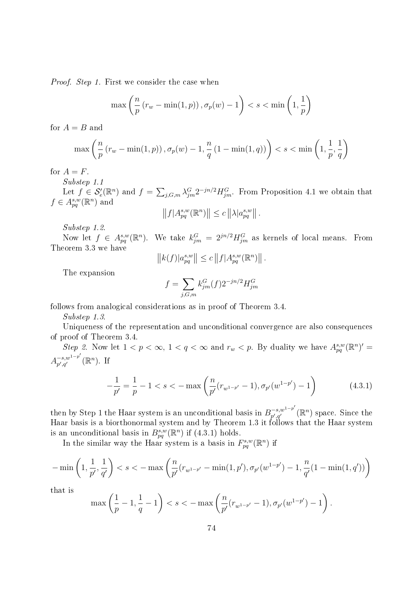Proof. Step 1. First we consider the case when

$$
\max\left(\frac{n}{p}\left(r_w - \min(1, p)\right), \sigma_p(w) - 1\right) < s < \min\left(1, \frac{1}{p}\right)
$$

for  $A = B$  and

$$
\max\left(\frac{n}{p}\left(r_w - \min(1, p)\right), \sigma_p(w) - 1, \frac{n}{q}\left(1 - \min(1, q)\right)\right) < s < \min\left(1, \frac{1}{p}, \frac{1}{q}\right)
$$

for  $A = F$ .

Substep 1.1 Let  $f \in \mathcal{S}'_e(\mathbb{R}^n)$  and  $f = \sum_{j,G,m} \lambda_{jm}^G 2^{-jn/2} H_{jm}^G$ . From Proposition 4.1 we obtain that  $f \in A_{pq}^{s,w}(\mathbb{R}^n)$  and

$$
||f|A_{pq}^{s,w}(\mathbb{R}^n)|| \leq c ||\lambda|a_{pq}^{s,w}||.
$$

Substep 1.2.

Now let  $f \in A_{pq}^{s,w}(\mathbb{R}^n)$ . We take  $k_{jm}^G = 2^{jn/2} H_{jm}^G$  as kernels of local means. From Theorem 3.3 we have

$$
||k(f)|a_{pq}^{s,w}|| \leq c ||f|A_{pq}^{s,w}(\mathbb{R}^n)||.
$$

The expansion

$$
f=\sum_{j,G,m}k^G_{jm}(f)2^{-jn/2}H^G_{jm}
$$

follows from analogical considerations as in proof of Theorem 3.4.

Substep 1.3.

Uniqueness of the representation and unconditional convergence are also consequences of proof of Theorem 3.4.

Step 2. Now let  $1 < p < \infty$ ,  $1 < q < \infty$  and  $r_w < p$ . By duality we have  $A_{pq}^{s,w}(\mathbb{R}^n)' =$  $A^{-s,w^{1-p'}}_{n',a'}$  $_{p',q'}^{-s,w^{1-p'}}(\mathbb{R}^n)$ . If

$$
-\frac{1}{p'} = \frac{1}{p} - 1 < s < -\max\left(\frac{n}{p'}(r_{w^{1-p'}} - 1), \sigma_{p'}(w^{1-p'}) - 1\right) \tag{4.3.1}
$$

then by Step 1 the Haar system is an unconditional basis in  $B_{n',n'}^{-s,w^{1-p'}}$  $\mathcal{P}_{p',q'}^{(-s,w^{1-p'}}(\mathbb{R}^n)$  space. Since the Haar basis is a biorthonormal system and by Theorem 1.3 it follows that the Haar system is an unconditional basis in  $B_{pq}^{s,w}(\mathbb{R}^n)$  if  $(4.3.1)$  holds.

In the similar way the Haar system is a basis in  $F_{pq}^{s,w}(\mathbb{R}^n)$  if

$$
-\min\left(1,\frac{1}{p'},\frac{1}{q'}\right) < s < -\max\left(\frac{n}{p'}(r_{w^{1-p'}}-\min(1,p'),\sigma_{p'}(w^{1-p'})-1,\frac{n}{q'}(1-\min(1,q'))\right)
$$

that is

$$
\max\left(\frac{1}{p}-1,\frac{1}{q}-1\right) < s < -\max\left(\frac{n}{p'}(r_{w^{1-p'}}-1), \sigma_{p'}(w^{1-p'})-1\right).
$$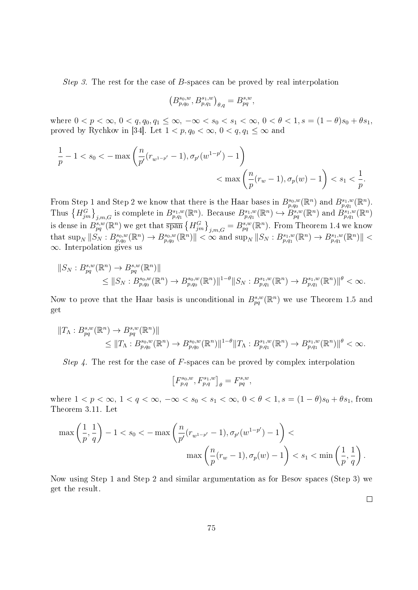Step 3. The rest for the case of B-spaces can be proved by real interpolation

$$
\left(B^{s_0,w}_{p,q_0},B^{s_1,w}_{p,q_1}\right)_{\theta,q}=B^{s,w}_{pq},
$$

where  $0 < p < \infty$ ,  $0 < q$ ,  $q_0, q_1 \leq \infty$ ,  $-\infty < s_0 < s_1 < \infty$ ,  $0 < \theta < 1$ ,  $s = (1 - \theta)s_0 + \theta s_1$ , proved by Rychkov in [34]. Let  $1 < p, q_0 < \infty, 0 < q, q_1 \leq \infty$  and

$$
\frac{1}{p} - 1 < s_0 < -\max\left(\frac{n}{p'}(r_{w^{1-p'}} - 1), \sigma_{p'}(w^{1-p'}) - 1\right) \\
&< \max\left(\frac{n}{p}(r_w - 1), \sigma_p(w) - 1\right) < s_1 < \frac{1}{p}.
$$

From Step 1 and Step 2 we know that there is the Haar bases in  $B_{p,q_0}^{s_0,w}(\mathbb{R}^n)$  and  $B_{p,q_1}^{s_1,w}(\mathbb{R}^n)$ . Thus  $\{H_{jm}^G\}_{j,m,G}$  is complete in  $B_{p,q_1}^{s_1,w}(\mathbb{R}^n)$ . Because  $B_{p,q_1}^{s_1,w}(\mathbb{R}^n) \hookrightarrow \widetilde{B_{pq}^{s,w}}(\mathbb{R}^n)$  and  $\widetilde{B_{p,q_1}^{s_1,w}}(\mathbb{R}^n)$ is dense in  $B_{pq}^{s,w}(\mathbb{R}^n)$  we get that  $\overline{\text{span}}\left\{H_{jm}^G\right\}_{j,m,G}=B_{pq}^{s,w}(\mathbb{R}^n)$ . From Theorem 1.4 we know  $\text{that sup}_{N} || S_{N} : B_{p,q_0}^{s_0,w}(\mathbb{R}^n) \to B_{p,q_0}^{s_0,w}(\mathbb{R}^n) || < \infty \text{ and } \text{sup}_{N} || S_{N} : B_{p,q_1}^{s_1,w}(\mathbb{R}^n) \to B_{p,q_1}^{s_1,w}(\mathbb{R}^n) || <$ ∞. Interpolation gives us

$$
||S_N : B_{pq}^{s,w}(\mathbb{R}^n) \to B_{pq}^{s,w}(\mathbb{R}^n)||
$$
  
\n
$$
\leq ||S_N : B_{p,q_0}^{s_0,w}(\mathbb{R}^n) \to B_{p,q_0}^{s_0,w}(\mathbb{R}^n)||^{1-\theta} ||S_N : B_{p,q_1}^{s_1,w}(\mathbb{R}^n) \to B_{p,q_1}^{s_1,w}(\mathbb{R}^n)||^{\theta} < \infty.
$$

Now to prove that the Haar basis is unconditional in  $B_{pq}^{s,w}(\mathbb{R}^n)$  we use Theorem 1.5 and get

$$
||T_{\Lambda}: B_{pq}^{s,w}(\mathbb{R}^n) \to B_{pq}^{s,w}(\mathbb{R}^n) ||
$$
  
\n
$$
\leq ||T_{\Lambda}: B_{p,q_0}^{s_0,w}(\mathbb{R}^n) \to B_{p,q_0}^{s_0,w}(\mathbb{R}^n) ||^{1-\theta} ||T_{\Lambda}: B_{p,q_1}^{s_1,w}(\mathbb{R}^n) \to B_{p,q_1}^{s_1,w}(\mathbb{R}^n) ||^{\theta} < \infty.
$$

Step 4. The rest for the case of F-spaces can be proved by complex interpolation

$$
\left[F^{s_0,w}_{p,q},F^{s_1,w}_{p,q}\right]_\theta=F^{s,w}_{pq},
$$

where  $1 < p < \infty$ ,  $1 < q < \infty$ ,  $-\infty < s_0 < s_1 < \infty$ ,  $0 < \theta < 1$ ,  $s = (1 - \theta)s_0 + \theta s_1$ , from Theorem 3.11. Let

$$
\begin{split} \max\left(\frac{1}{p},\frac{1}{q}\right)-1&
$$

Now using Step 1 and Step 2 and similar argumentation as for Besov spaces (Step 3) we get the result.

 $\Box$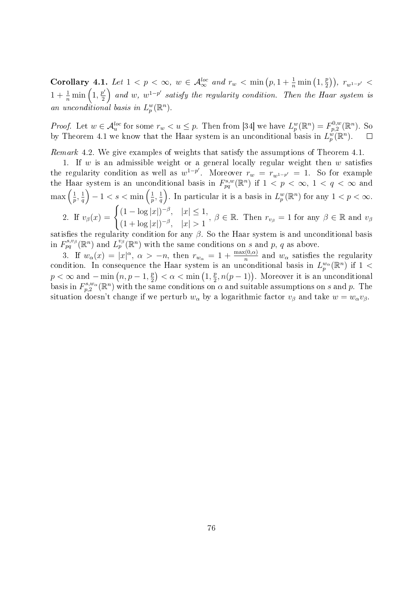Corollary 4.1. Let  $1 < p < \infty$ ,  $w \in \mathcal{A}_{\infty}^{loc}$  and  $r_w < \min\left(p, 1 + \frac{1}{n} \min\left(1, \frac{p}{2}\right)\right)$  $(\frac{p}{2})$ ),  $r_{w^{1-p'}}$  <  $1+\frac{1}{n}\min\left(1,\frac{p'}{2}\right)$  $\left(\frac{p'}{2}\right)$  and w,  $w^{1-p'}$  satisfy the regularity condition. Then the Haar system is an unconditional basis in  $L_p^w(\mathbb{R}^n)$ .

*Proof.* Let  $w \in \mathcal{A}_u^{loc}$  for some  $r_w < u \leq p$ . Then from [34] we have  $L_p^w(\mathbb{R}^n) = F_{p,2}^{0,w}$  $p^{0,w}_{p,2}(\mathbb{R}^n)$ . So by Theorem 4.1 we know that the Haar system is an unconditional basis in  $L_p^{\omega}(\mathbb{R}^n)$ .  $\Box$ 

Remark 4.2. We give examples of weights that satisfy the assumptions of Theorem 4.1.

1. If w is an admissible weight or a general locally regular weight then  $w$  satisfies the regularity condition as well as  $w^{1-p'}$ . Moreover  $r_w = r_{w^{1-p'}} = 1$ . So for example the Haar system is an unconditional basis in  $F_{pq}^{s,w}(\mathbb{R}^n)$  if  $1 \leq p < \infty$ ,  $1 < q < \infty$  and  $\max\left(\frac{1}{n}\right)$  $\frac{1}{p}, \frac{1}{q}$  $\left(\frac{1}{q}\right) - 1 < s < \min\left(\frac{1}{p}\right)$  $\frac{1}{p},\frac{1}{q}$  $\frac{1}{q}$ ). In particular it is a basis in  $L_p^w(\mathbb{R}^n)$  for any  $1 < p < \infty$ . 2. If  $v_\beta(x) = \begin{cases} (1 - \log|x|)^{-\beta}, & |x| \leq 1, \\ (1 - \log|x|)^{-\beta}, & |x| \leq 1, \end{cases}$ 

 $(1 - \log |x|)^{-\beta}, \quad |x| \geq 1, \ \beta \in \mathbb{R}.$  Then  $r_{v_\beta} = 1$  for any  $\beta \in \mathbb{R}$  and  $v_\beta$ <br> $(1 + \log |x|)^{-\beta}, \quad |x| > 1$ 

satisfies the regularity condition for any  $\beta$ . So the Haar system is and unconditional basis in  $F_{pq}^{s,v_\beta}(\mathbb{R}^n)$  and  $L_p^{v_\beta}(\mathbb{R}^n)$  with the same conditions on s and p, q as above.

3. If  $w_\alpha(x) = |x|^\alpha$ ,  $\alpha > -n$ , then  $r_{w_\alpha} = 1 + \frac{\max(0, \alpha)}{n}$  and  $w_\alpha$  satisfies the regularity condition. In consequence the Haar system is an unconditional basis in  $L_p^{w_\alpha}(\mathbb{R}^n)$  if  $1$  <  $p < \infty$  and  $-\min(n, p-1, \frac{p}{2})$  $\left(\frac{p}{2}\right) < \alpha < \min\left(1, \frac{p}{2}\right)$  $(\frac{p}{2}, n(p-1))$ . Moreover it is an unconditional basis in  $F^{s,w_\alpha}_{n,2}$  $p_1^{s,w_\alpha}(\mathbb{R}^n)$  with the same conditions on  $\alpha$  and suitable assumptions on s and p. The situation doesn't change if we perturb  $w_{\alpha}$  by a logarithmic factor  $v_{\beta}$  and take  $w = w_{\alpha}v_{\beta}$ .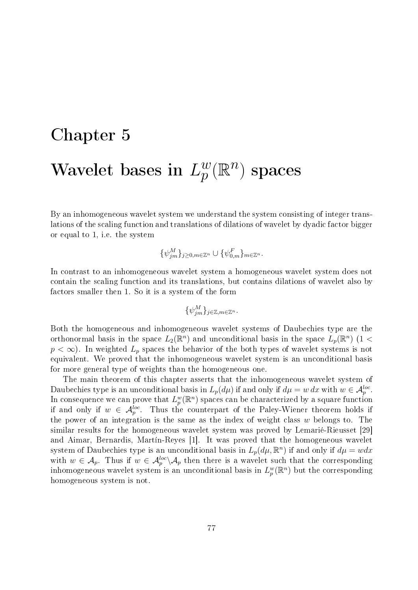## Chapter 5 Wavelet bases in  $L_p^w$  $_p^w(\mathbb{R}^n)$  spaces

By an inhomogeneous wavelet system we understand the system consisting of integer translations of the scaling function and translations of dilations of wavelet by dyadic factor bigger or equal to 1, i.e. the system

$$
\{\psi_{jm}^M\}_{j\geq 0, m\in \mathbb{Z}^n}\cup \{\psi_{0,m}^F\}_{m\in \mathbb{Z}^n}.
$$

In contrast to an inhomogeneous wavelet system a homogeneous wavelet system does not contain the scaling function and its translations, but contains dilations of wavelet also by factors smaller then 1. So it is a system of the form

$$
\{\psi_{jm}^M\}_{j\in\mathbb{Z},m\in\mathbb{Z}^n}.
$$

Both the homogeneous and inhomogeneous wavelet systems of Daubechies type are the orthonormal basis in the space  $L_2(\mathbb{R}^n)$  and unconditional basis in the space  $L_p(\mathbb{R}^n)$  (1 <  $p < \infty$ ). In weighted  $L_p$  spaces the behavior of the both types of wavelet systems is not equivalent. We proved that the inhomogeneous wavelet system is an unconditional basis for more general type of weights than the homogeneous one.

The main theorem of this chapter asserts that the inhomogeneous wavelet system of Daubechies type is an unconditional basis in  $L_p(d\mu)$  if and only if  $d\mu = w dx$  with  $w \in \mathcal{A}_p^{loc}$ . In consequence we can prove that  $L_p^w(\mathbb{R}^n)$  spaces can be characterized by a square function if and only if  $w \in \mathcal{A}_p^{loc}$ . Thus the counterpart of the Paley-Wiener theorem holds if the power of an integration is the same as the index of weight class w belongs to. The similar results for the homogeneous wavelet system was proved by Lemarié-Rieusset [29] and Aimar, Bernardis, Martín-Reyes [1]. It was proved that the homogeneous wavelet system of Daubechies type is an unconditional basis in  $L_p(d\mu, \mathbb{R}^n)$  if and only if  $d\mu = wdx$ with  $w \in \mathcal{A}_p$ . Thus if  $w \in \mathcal{A}_p^{loc} \backslash \mathcal{A}_p$  then there is a wavelet such that the corresponding inhomogeneous wavelet system is an unconditional basis in  $L_p^w(\mathbb{R}^n)$  but the corresponding homogeneous system is not.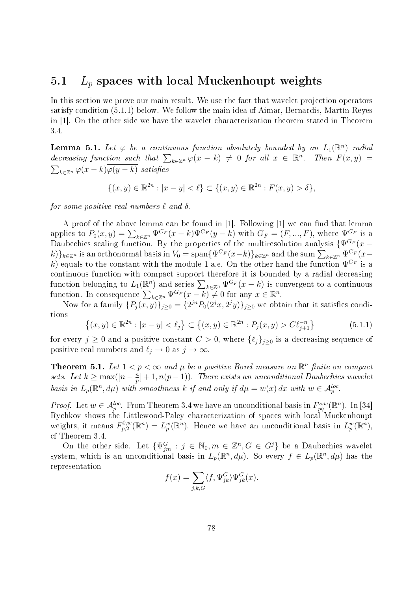## 5.1  $L_p$  spaces with local Muckenhoupt weights

In this section we prove our main result. We use the fact that wavelet projection operators satisfy condition (5.1.1) below. We follow the main idea of Aimar, Bernardis, Martín-Reyes in [1]. On the other side we have the wavelet characterization theorem stated in Theorem 3.4.

**Lemma 5.1.** Let  $\varphi$  be a continuous function absolutely bounded by an  $L_1(\mathbb{R}^n)$  radial decreasing function such that  $\sum_{k\in\mathbb{Z}^n}\varphi(x-k)\neq 0$  for all  $x\in\mathbb{R}^n$ . Then  $F(x,y)=$  $\sum_{k\in\mathbb{Z}^n}\varphi(x-k)\varphi(y-k)$  satisfies

$$
\{(x,y) \in \mathbb{R}^{2n} : |x - y| < \ell\} \subset \{(x,y) \in \mathbb{R}^{2n} : F(x,y) > \delta\},
$$

for some positive real numbers  $\ell$  and  $\delta$ .

A proof of the above lemma can be found in  $[1]$ . Following  $[1]$  we can find that lemma applies to  $P_0(x,y) = \sum_{k \in \mathbb{Z}^n} \Psi^{G_F}(x-k) \Psi^{G_F}(y-k)$  with  $G_F = (F, ..., F)$ , where  $\Psi^{G_F}_{\mathbb{Z}}$  is a Daubechies scaling function. By the properties of the multiresolution analysis  $\{\Psi^{G_F}(x-\})$  $(k)$ <sub>k∈Zn</sub> is an orthonormal basis in  $V_0 = \overline{\text{span}}\{\Psi^{G_F}(x-k)\}_{k\in\mathbb{Z}^n}$  and the sum  $\sum_{k\in\mathbb{Z}^n}\Psi^{G_F}(x-k)$ k) equals to the constant with the module 1 a.e. On the other hand the function  $\Psi^{G_F}$  is a continuous function with compact support therefore it is bounded by a radial decreasing function belonging to  $L_1(\mathbb{R}^n)$  and series  $\sum_{k\in\mathbb{Z}^n}\Psi^{G_F}(x-k)$  is convergent to a continuous function. In consequence  $\sum_{k\in\mathbb{Z}^n}\Psi^{G_F}(x-k)\neq 0$  for any  $x\in\mathbb{R}^n$ .

Now for a family  $\{P_j(x,y)\}_{j\geq 0} = \{2^{jn}P_0(2^jx, 2^jy)\}_{j\geq 0}$  we obtain that it satisfies conditions

$$
\{(x,y) \in \mathbb{R}^{2n} : |x-y| < \ell_j\} \subset \{(x,y) \in \mathbb{R}^{2n} : P_j(x,y) > C\ell_{j+1}^{-n}\}\tag{5.1.1}
$$

for every  $j \geq 0$  and a positive constant  $C > 0$ , where  $\{\ell_j\}_{j\geq 0}$  is a decreasing sequence of positive real numbers and  $\ell_j \to 0$  as  $j \to \infty$ .

**Theorem 5.1.** Let  $1 < p < \infty$  and  $\mu$  be a positive Borel measure on  $\mathbb{R}^n$  finite on compact sets. Let  $k \geq \max(\left\lceil n - \frac{n}{n} \right\rceil)$  $\binom{n}{p}+1,n(p-1)).$  There exists an unconditional Daubechies wavelet basis in  $L_p(\mathbb{R}^n, d\mu)$  with smoothness k if and only if  $d\mu = w(x) dx$  with  $w \in A_p^{loc}$ .

*Proof.* Let  $w \in \mathcal{A}_{p}^{loc}$ . From Theorem 3.4 we have an unconditional basis in  $F_{pq}^{s,w}(\mathbb{R}^n)$ . In [34] Rychkov shows the Littlewood-Paley characterization of spaces with local Muckenhoupt weights, it means  $F_{n,2}^{0,w}$  $L_p^{0,w}(\mathbb{R}^n) = L_p^w(\mathbb{R}^n)$ . Hence we have an unconditional basis in  $L_p^w(\mathbb{R}^n)$ , cf Theorem 3.4.

On the other side. Let  $\{\Psi_{jm}^G : j \in \mathbb{N}_0, m \in \mathbb{Z}^n, G \in G^j\}$  be a Daubechies wavelet system, which is an unconditional basis in  $L_p(\mathbb{R}^n, d\mu)$ . So every  $f \in L_p(\mathbb{R}^n, d\mu)$  has the representation

$$
f(x) = \sum_{j,k,G} \langle f, \Psi_{jk}^G \rangle \Psi_{jk}^G(x).
$$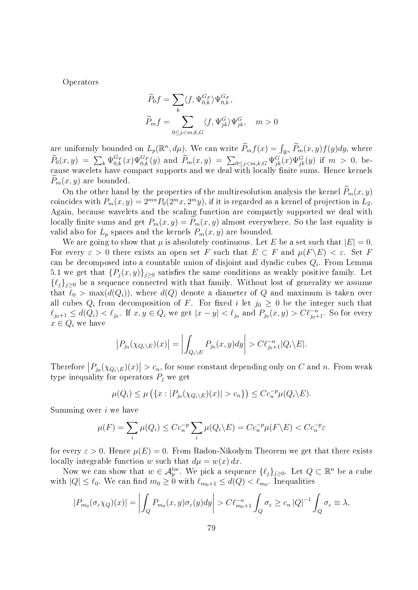Operators

$$
\widetilde{P}_0 f = \sum_k \langle f, \Psi_{0,k}^{G_F} \rangle \Psi_{0,k}^{G_F},
$$
\n
$$
\widetilde{P}_m f = \sum_{0 \le j < m, k, G} \langle f, \Psi_{jk}^G \rangle \Psi_{jk}^G, \quad m > 0
$$

are uniformly bounded on  $L_p(\mathbb{R}^n, d\mu)$ . We can write  $\widetilde{P}_m f(x) = \int_{\mathbb{R}^n} \widetilde{P}_m(x, y) f(y) dy$ , where  $\widetilde{P}_0(x,y) = \sum_k \Psi_{0,k}^{G_F}(x) \Psi_{0,k}^{G_F}(y)$  and  $\widetilde{P}_m(x,y) = \sum_{0 \le j < m,k,G} \Psi_{jk}^G(x) \Psi_{jk}^G(y)$  if  $m > 0$ , because wavelets have compact supports and we deal with locally finite sums. Hence kernels  $P_m(x, y)$  are bounded.

On the other hand by the properties of the multiresolution analysis the kernel  $P_m(x, y)$ coincides with  $P_m(x, y) = 2^{mn} P_0(2^m x, 2^m y)$ , if it is regarded as a kernel of projection in  $L_2$ . Again, because wavelets and the scaling function are compactly supported we deal with locally finite sums and get  $P_m(x, y) = P_m(x, y)$  almost everywhere. So the last equality is valid also for  $L_p$  spaces and the kernels  $P_m(x, y)$  are bounded.

We are going to show that  $\mu$  is absolutely continuous. Let E be a set such that  $|E| = 0$ . For every  $\varepsilon > 0$  there exists an open set F such that  $E \subset F$  and  $\mu(F \backslash E) < \varepsilon$ . Set F can be decomposed into a countable union of disjoint and dyadic cubes  $Q_i$ . From Lemma 5.1 we get that  $\{P_j(x,y)\}_{j\geq0}$  satisfies the same conditions as weakly positive family. Let  $\{\ell_j\}_{j\geq 0}$  be a sequence connected with that family. Without lost of generality we assume that  $\ell_0 > \max(d(Q_i))$ , where  $d(Q)$  denote a diameter of Q and maximum is taken over all cubes  $Q_i$  from decomposition of F. For fixed i let  $j_0 \geq 0$  be the integer such that  $\ell_{j_0+1} \le d(Q_i) < \ell_{j_0}$ . If  $x, y \in Q_i$  we get  $|x-y| < \ell_{j_0}$  and  $P_{j_0}(x, y) > C\ell_{j_0+1}^{-n}$ . So for every  $x \in Q_i$  we have

$$
\left|P_{j_0}(\chi_{Q_i\setminus E})(x)\right| = \left|\int_{Q_i\setminus E} P_{j_0}(x,y)dy\right| > C\ell_{j_0+1}^{-n} |Q_i\setminus E|.
$$

Therefore  $|P_{j_0}(\chi_{Q_i\setminus E})(x)| > c_n$ , for some constant depending only on C and n. From weak type inequality for operators  $P_i$  we get

$$
\mu(Q_i) \leq \mu\left(\{x : |P_{j_0}(\chi_{Q_i \setminus E})(x)| > c_n\}\right) \leq C c_n^{-p} \mu(Q_i \setminus E).
$$

Summing over  $i$  we have

$$
\mu(F) = \sum_{i} \mu(Q_i) \le C c_n^{-p} \sum_{i} \mu(Q_i \backslash E) = C c_n^{-p} \mu(F \backslash E) < C c_n^{-p} \varepsilon
$$

for every  $\varepsilon > 0$ . Hence  $\mu(E) = 0$ . From Radon-Nikodym Theorem we get that there exists locally integrable function w such that  $d\mu = w(x) dx$ .

Now we can show that  $w \in \mathcal{A}_{p}^{loc}$ . We pick a sequence  $\{\ell_j\}_{j\geq 0}$ . Let  $Q \subset \mathbb{R}^n$  be a cube with  $|Q| \leq \ell_0$ . We can find  $m_0 \geq 0$  with  $\ell_{m_0+1} \leq d(Q) < \ell_{m_0}$ . Inequalities

$$
|P_{m_0}(\sigma_\varepsilon \chi_Q)(x)| = \left| \int_Q P_{m_0}(x, y) \sigma_\varepsilon(y) dy \right| > C \ell_{m_0+1}^{-n} \int_Q \sigma_\varepsilon \ge c_n \left| Q \right|^{-1} \int_Q \sigma_\varepsilon \equiv \lambda,
$$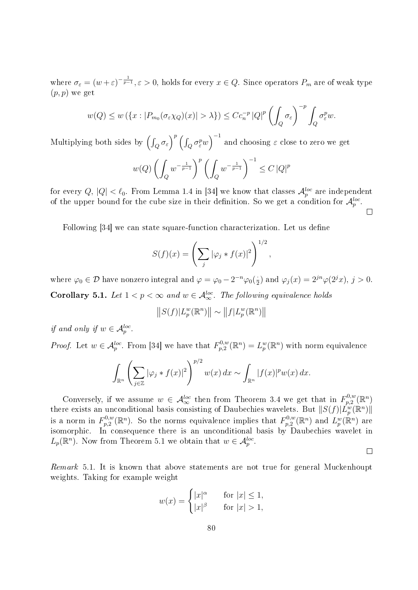where  $\sigma_{\varepsilon} = (w+\varepsilon)^{-\frac{1}{p-1}}, \varepsilon > 0$ , holds for every  $x \in Q$ . Since operators  $P_m$  are of weak type  $(p, p)$  we get

$$
w(Q) \le w\left(\left\{x: |P_{m_0}(\sigma_\varepsilon \chi_Q)(x)| > \lambda\right\}\right) \le Cc_n^{-p}|Q|^p\left(\int_Q \sigma_\varepsilon\right)^{-p}\int_Q \sigma_\varepsilon^p w.
$$

Multiplying both sides by  $\left(\int_Q \sigma_\varepsilon\right)^p \left(\int_Q \sigma_\varepsilon^p w\right)^{-1}$  and choosing  $\varepsilon$  close to zero we get

$$
w(Q) \left( \int_Q w^{-\frac{1}{p-1}} \right)^p \left( \int_Q w^{-\frac{1}{p-1}} \right)^{-1} \leq C \, |Q|^p
$$

for every  $Q, |Q| < \ell_0$ . From Lemma 1.4 in [34] we know that classes  ${\cal A}_p^{loc}$  are independent of the upper bound for the cube size in their definition. So we get a condition for  $\mathcal{A}_p^{loc}$ .

Following [34] we can state square-function characterization. Let us dene

$$
S(f)(x) = \left(\sum_{j} |\varphi_j * f(x)|^2\right)^{1/2},
$$

where  $\varphi_0 \in \mathcal{D}$  have nonzero integral and  $\varphi = \varphi_0 - 2^{-n} \varphi_0(\frac{1}{2})$  $\frac{1}{2}$ ) and  $\varphi_j(x) = 2^{jn} \varphi(2^j x), j > 0.$ **Corollary 5.1.** Let  $1 < p < \infty$  and  $w \in \mathcal{A}_{\infty}^{loc}$ . The following equivalence holds

$$
||S(f)|L_p^w(\mathbb{R}^n)|| \sim ||f|L_p^w(\mathbb{R}^n)||
$$

if and only if  $w \in \mathcal{A}_p^{loc}$ .

*Proof.* Let  $w \in \mathcal{A}_{p}^{loc}$ . From [34] we have that  $F_{p,2}^{0,w}$  $L_{p,2}^{0,w}(\mathbb{R}^n)=L_p^w(\mathbb{R}^n)$  with norm equivalence

$$
\int_{\mathbb{R}^n} \left( \sum_{j \in \mathbb{Z}} |\varphi_j * f(x)|^2 \right)^{p/2} w(x) dx \sim \int_{\mathbb{R}^n} |f(x)|^p w(x) dx.
$$

Conversely, if we assume  $w \in \mathcal{A}_{\infty}^{loc}$  then from Theorem 3.4 we get that in  $F_{p,2}^{0,w}$  $\mathbb{P}^{0,w}_{p,2}(\mathbb{R}^n)$ there exists an unconditional basis consisting of Daubechies wavelets. But  $||S(f)|L_p^w(\mathbb{R}^n)||$ is a norm in  $F^{0,w}_{n,2}$  $p_{p,2}^{0,w}(\mathbb{R}^n)$ . So the norms equivalence implies that  $F_{p,2}^{0,w}$  $L_{p,2}^{0,w}(\mathbb{R}^n)$  and  $L_p^w(\mathbb{R}^n)$  are isomorphic. In consequence there is an unconditional basis by Daubechies wavelet in  $L_p(\mathbb{R}^n)$ . Now from Theorem 5.1 we obtain that  $w \in \mathcal{A}_p^{loc}$ .

 $\Box$ 

 $\Box$ 

Remark 5.1. It is known that above statements are not true for general Muckenhoupt weights. Taking for example weight

$$
w(x) = \begin{cases} |x|^{\alpha} & \text{for } |x| \le 1, \\ |x|^{\beta} & \text{for } |x| > 1, \end{cases}
$$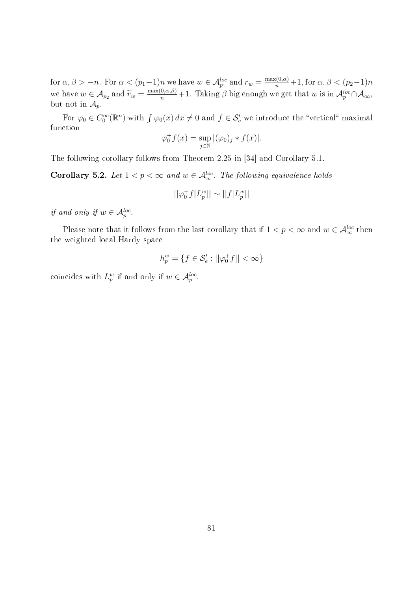for  $\alpha, \beta > -n$ . For  $\alpha < (p_1-1)n$  we have  $w \in \mathcal{A}_{p_1}^{loc}$  and  $r_w = \frac{\max(0, \alpha)}{n} + 1$ , for  $\alpha, \beta < (p_2-1)n$ we have  $w \in A_{p_2}$  and  $\widetilde{r}_w = \frac{\max(0, \alpha, \beta)}{n} + 1$ . Taking  $\beta$  big enough we get that w is in  $A_p^{loc} \cap A_\infty$ , but not in  $\mathcal{A}_p$ .

For  $\varphi_0 \in C_0^{\infty}(\mathbb{R}^n)$  with  $\int \varphi_0(x) dx \neq 0$  and  $f \in \mathcal{S}'_e$  we introduce the "vertical" maximal function

$$
\varphi_0^+ f(x) = \sup_{j \in \mathbb{N}} |(\varphi_0)_j * f(x)|.
$$

The following corollary follows from Theorem 2.25 in [34] and Corollary 5.1.

**Corollary 5.2.** Let  $1 < p < \infty$  and  $w \in \mathcal{A}_{\infty}^{loc}$ . The following equivalence holds

$$
||\varphi_0^+ f|L_p^w|| \sim ||f|L_p^w||
$$

if and only if  $w \in \mathcal{A}_p^{loc}$ .

Please note that it follows from the last corollary that if  $1 < p < \infty$  and  $w \in \mathcal{A}_{\infty}^{loc}$  then the weighted local Hardy space

$$
h_p^w = \{ f \in \mathcal{S}'_e : ||\varphi_0^+ f|| < \infty \}
$$

coincides with  $L_p^w$  if and only if  $w \in \mathcal{A}_p^{loc}$ .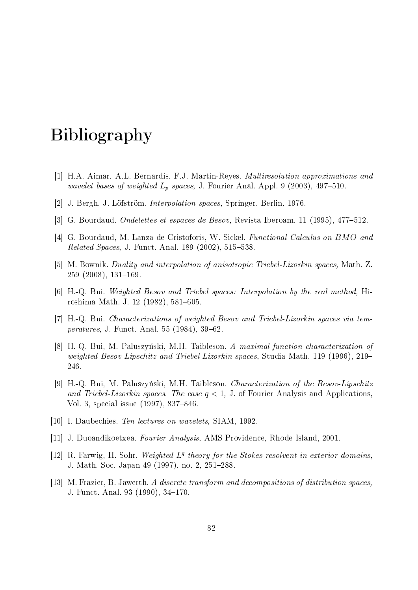## Bibliography

- [1] H.A. Aimar, A.L. Bernardis, F.J. Martín-Reyes. Multiresolution approximations and wavelet bases of weighted  $L_p$  spaces, J. Fourier Anal. Appl. 9 (2003), 497–510.
- [2] J. Bergh, J. Löfström. Interpolation spaces, Springer, Berlin, 1976.
- [3] G. Bourdaud. Ondelettes et espaces de Besov, Revista Iberoam. 11 (1995), 477512.
- [4] G. Bourdaud, M. Lanza de Cristoforis, W. Sickel. Functional Calculus on BMO and *Related Spaces, J. Funct. Anal.* 189 (2002),  $515-538$ .
- [5] M. Bownik. Duality and interpolation of anisotropic Triebel-Lizorkin spaces, Math. Z.  $259$  (2008),  $131-169$ .
- [6] H.-Q. Bui. Weighted Besov and Triebel spaces: Interpolation by the real method, Hiroshima Math. J. 12 (1982), 581-605.
- [7] H.-Q. Bui. Characterizations of weighted Besov and Triebel-Lizorkin spaces via temperatures, J. Funct. Anal. 55 (1984), 39-62.
- [8] H.-Q. Bui, M. Paluszyński, M.H. Taibleson. A maximal function characterization of weighted Besov-Lipschitz and Triebel-Lizorkin spaces, Studia Math. 119 (1996), 219 246.
- [9] H.-Q. Bui, M. Paluszyński, M.H. Taibleson. Characterization of the Besov-Lipschitz and Triebel-Lizorkin spaces. The case  $q < 1$ , J. of Fourier Analysis and Applications, Vol. 3, special issue (1997), 837-846.
- [10] I. Daubechies. Ten lectures on wavelets, SIAM, 1992.
- [11] J. Duoandikoetxea. Fourier Analysis, AMS Providence, Rhode Island, 2001.
- [12] R. Farwig, H. Sohr. Weighted  $L<sup>q</sup>$ -theory for the Stokes resolvent in exterior domains, J. Math. Soc. Japan 49 (1997), no. 2, 251–288.
- [13] M. Frazier, B. Jawerth. A discrete transform and decompositions of distribution spaces, J. Funct. Anal. 93 (1990), 34–170.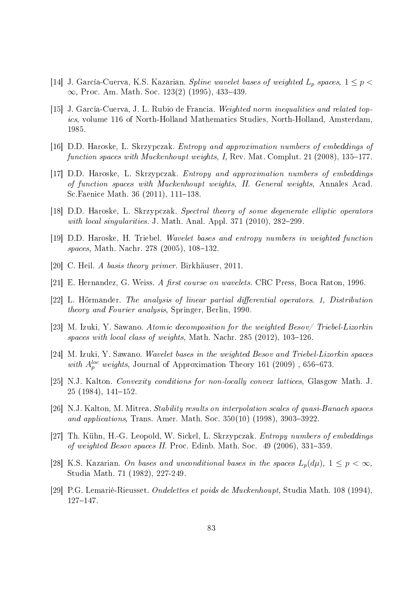- [14] J. García-Cuerva, K.S. Kazarian. Spline wavelet bases of weighted  $L_p$  spaces,  $1 \leq p <$  $\infty$ , Proc. Am. Math. Soc. 123(2) (1995), 433–439.
- [15] J. García-Cuerva, J. L. Rubio de Francia. Weighted norm inequalities and related topics, volume 116 of North-Holland Mathematics Studies, North-Holland, Amsterdam, 1985.
- [16] D.D. Haroske, L. Skrzypczak. Entropy and approximation numbers of embeddings of function spaces with Muckenhoupt weights, I, Rev. Mat. Complut. 21 (2008),  $135-177$ .
- [17] D.D. Haroske, L. Skrzypczak. Entropy and approximation numbers of embeddings of function spaces with Muckenhoupt weights, II. General weights, Annales Acad. Sc.Faenice Math. 36  $(2011)$ , 111-138.
- [18] D.D. Haroske, L. Skrzypczak. Spectral theory of some degenerate elliptic operators with local singularities. J. Math. Anal. Appl.  $371$   $(2010)$ ,  $282-299$ .
- [19] D.D. Haroske, H. Triebel. Wavelet bases and entropy numbers in weighted function spaces, Math. Nachr. 278 (2005),  $108-132$ .
- [20] C. Heil. A basis theory primer. Birkhäuser, 2011.
- [21] E. Hernandez, G. Weiss. A first course on wavelets. CRC Press, Boca Raton, 1996.
- [22] L. Hörmander. The analysis of linear partial differential operators. 1, Distribution theory and Fourier analysis, Springer, Berlin, 1990.
- [23] M. Izuki, Y. Sawano. Atomic decomposition for the weighted Besov/ Triebel-Lizorkin spaces with local class of weights, Math. Nachr.  $285$  (2012), 103-126.
- [24] M. Izuki, Y. Sawano. Wavelet bases in the weighted Besov and Triebel-Lizorkin spaces with  $A_p^{loc}$  weights, Journal of Approximation Theory 161 (2009), 656-673.
- [25] N.J. Kalton. Convexity conditions for non-locally convex lattices, Glasgow Math. J.  $25(1984), 141-152.$
- [26] N.J. Kalton, M. Mitrea. Stability results on interpolation scales of quasi-Banach spaces and applications, Trans. Amer. Math. Soc.  $350(10)$  (1998), 3903-3922.
- [27] Th. Kühn, H.-G. Leopold, W. Sickel, L. Skrzypczak. Entropy numbers of embeddings of weighted Besov spaces II. Proc. Edinb. Math. Soc.  $49$  (2006), 331–359.
- [28] K.S. Kazarian. On bases and unconditional bases in the spaces  $L_p(d\mu)$ ,  $1 \leq p < \infty$ , Studia Math. 71 (1982), 227-249.
- [29] P.G. Lemarié-Rieusset. Ondelettes et poids de Muckenhoupt, Studia Math. 108 (1994), 127-147.